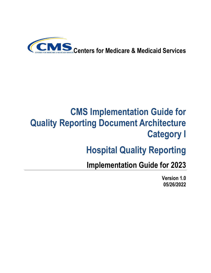

# **CMS Implementation Guide for Quality Reporting Document Architecture Category I**

# **Hospital Quality Reporting**

**Implementation Guide for 2023**

**Version 1.0 05/26/2022**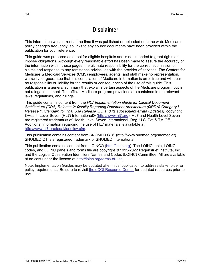## **Disclaimer**

This information was current at the time it was published or uploaded onto the web. Medicare policy changes frequently, so links to any source documents have been provided within the publication for your reference.

This guide was prepared as a tool for eligible hospitals and is not intended to grant rights or impose obligations. Although every reasonable effort has been made to assure the accuracy of the information within these pages, the ultimate responsibility for the correct submission of claims and response to any remittance advice lies with the provider of services. The Centers for Medicare & Medicaid Services (CMS) employees, agents, and staff make no representation, warranty, or guarantee that this compilation of Medicare information is error-free and will bear no responsibility or liability for the results or consequences of the use of this guide. This publication is a general summary that explains certain aspects of the Medicare program, but is not a legal document. The official Medicare program provisions are contained in the relevant laws, regulations, and rulings.

This guide contains content from the *HL7 Implementation Guide for Clinical Document Architecture (CDA) Release 2: Quality Reporting Document Architecture (QRDA) Category I, Release 1, Standard for Trial Use Release 5.3, and its subsequent errata update(s)*, copyright ©Health Level Seven (HL7) International® [\(http://www.hl7.org\)](http://www.hl7.org/). HL7 and Health Level Seven are registered trademarks of Health Level Seven International. Reg. U.S. Pat & TM Off. Additional information regarding the use of HL7 materials is available at [http://www.hl7.org/legal/ippolicy.cfm.](http://www.hl7.org/legal/ippolicy.cfm)

This publication contains content from SNOMED CT® (http://www.snomed.org/snomed-ct). SNOMED CT is a registered trademark of SNOMED International.

This publication contains content from LOINC® [\(http://loinc.org\)](http://loinc.org/). The LOINC table, LOINC codes, and LOINC panels and forms file are copyright © 1995-2022 Regenstrief Institute, Inc. and the Logical Observation Identifiers Names and Codes (LOINC) Committee. All are available at no cost under the license at [http://loinc.org/terms-of-use.](http://loinc.org/terms-of-use)

Note: Implementation Guides may be updated after initial publication to address stakeholder or policy requirements. Be sure to revisit [the eCQI Resource Center](https://ecqi.healthit.gov/qrda) for updated resources prior to use.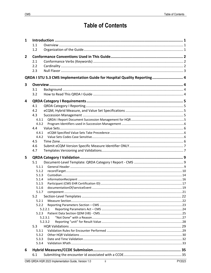## **Table of Contents**

| 1              |                                                                          |  |
|----------------|--------------------------------------------------------------------------|--|
|                | 1.1                                                                      |  |
|                | 1.2                                                                      |  |
| $\overline{2}$ |                                                                          |  |
|                | 2.1                                                                      |  |
|                | 2.2                                                                      |  |
|                | 2.3                                                                      |  |
|                | QRDA I STU 5.3 CMS Implementation Guide for Hospital Quality Reporting 4 |  |
| 3              |                                                                          |  |
|                | 3.1                                                                      |  |
|                | 3.2                                                                      |  |
| 4              |                                                                          |  |
|                | 4.1                                                                      |  |
|                | 4.2                                                                      |  |
|                | 4.3                                                                      |  |
|                | 4.3.1                                                                    |  |
|                | 4.3.2                                                                    |  |
|                | 4.4                                                                      |  |
|                | 4.4.1                                                                    |  |
|                | 4.4.2                                                                    |  |
|                | 4.5                                                                      |  |
|                | 4.6                                                                      |  |
|                | 4.7                                                                      |  |
| 5              |                                                                          |  |
|                | 5.1                                                                      |  |
|                | 5.1.1                                                                    |  |
|                | 5.1.2                                                                    |  |
|                | 5.1.3                                                                    |  |
|                | 5.1.4                                                                    |  |
|                | 5.1.5                                                                    |  |
|                | 5.1.6                                                                    |  |
|                | 5.1.7                                                                    |  |
|                | 5.2                                                                      |  |
|                | 5.2.1                                                                    |  |
|                | 5.2.2                                                                    |  |
|                | 5.2.2.1                                                                  |  |
|                | 5.2.3<br>5.2.3.1                                                         |  |
|                | 5.2.3.2                                                                  |  |
|                | 5.3                                                                      |  |
|                | 5.3.1                                                                    |  |
|                | 5.3.2                                                                    |  |
|                | 5.3.3                                                                    |  |
|                | 5.3.4                                                                    |  |
|                |                                                                          |  |
| 6              |                                                                          |  |
|                | 6.1                                                                      |  |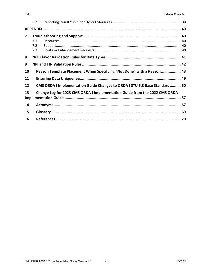| 7  | 7.1<br>7.2<br>7.3 |                                                                            |  |
|----|-------------------|----------------------------------------------------------------------------|--|
| 8  |                   |                                                                            |  |
| 9  |                   |                                                                            |  |
| 10 |                   | Reason Template Placement When Specifying "Not Done" with a Reason 43      |  |
| 11 |                   |                                                                            |  |
| 12 |                   | CMS QRDA I Implementation Guide Changes to QRDA I STU 5.3 Base Standard 50 |  |
| 13 |                   | Change Log for 2023 CMS QRDA I Implementation Guide from the 2022 CMS QRDA |  |
| 14 |                   |                                                                            |  |
| 15 |                   |                                                                            |  |
| 16 |                   |                                                                            |  |
|    |                   |                                                                            |  |
|    |                   |                                                                            |  |
|    |                   |                                                                            |  |
|    |                   |                                                                            |  |

 $6.2$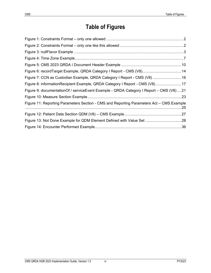## **Table of Figures**

| Figure 6: recordTarget Example, QRDA Category I Report - CMS (V8) 14                       |  |
|--------------------------------------------------------------------------------------------|--|
| Figure 7: CCN as Custodian Example, QRDA Category I Report - CMS (V8)  16                  |  |
| Figure 8: informationRecipient Example, QRDA Category I Report - CMS (V8)  17              |  |
| Figure 9: documentation Of / service Event Example - QRDA Category I Report - CMS (V8)  21 |  |
|                                                                                            |  |
| Figure 11: Reporting Parameters Section - CMS and Reporting Parameters Act - CMS Example   |  |
|                                                                                            |  |
| Figure 13: Not Done Example for QDM Element Defined with Value Set 28                      |  |
|                                                                                            |  |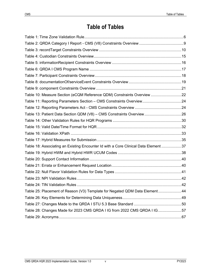## **Table of Tables**

| Table 10: Measure Section (eCQM Reference QDM) Constraints Overview 22              |  |
|-------------------------------------------------------------------------------------|--|
| Table 11: Reporting Parameters Section - CMS Constraints Overview24                 |  |
|                                                                                     |  |
| Table 13: Patient Data Section QDM (V8) - CMS Constraints Overview26                |  |
|                                                                                     |  |
|                                                                                     |  |
|                                                                                     |  |
|                                                                                     |  |
| Table 18: Associating an Existing Encounter Id with a Core Clinical Data Element 37 |  |
|                                                                                     |  |
|                                                                                     |  |
|                                                                                     |  |
|                                                                                     |  |
|                                                                                     |  |
|                                                                                     |  |
| Table 25: Placement of Reason (V3) Template for Negated QDM Data Element44          |  |
|                                                                                     |  |
|                                                                                     |  |
| Table 28: Changes Made for 2023 CMS QRDA I IG from 2022 CMS QRDA I IG57             |  |
|                                                                                     |  |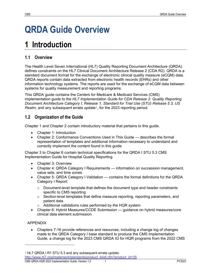# **QRDA Guide Overview**

## <span id="page-6-0"></span>**1 Introduction**

### <span id="page-6-1"></span>**1.1 Overview**

The Health Level Seven International (HL7) Quality Reporting Document Architecture (QRDA) defines constraints on the HL7 Clinical Document Architecture Release 2 (CDA R2). QRDA is a standard document format for the exchange of electronic clinical quality measure (eCQM) data. QRDA reports contain data extracted from electronic health records (EHRs) and other information technology systems. The reports are used for the exchange of eCQM data between systems for quality measurement and reporting programs.

This QRDA guide contains the Centers for Medicare & Medicaid Services (CMS) implementation guide to the *HL7 Implementation Guide for CDA Release 2: Quality Reporting Document Architecture Category I, Release 1, Standard for Trial Use (STU) Release 5.3, US Realm*, and any subsequent errata update<sup>[1](#page-6-3)</sup>, for the 2023 reporting period.

## <span id="page-6-2"></span>**1.2 Organization of the Guide**

Chapter 1 and Chapter 2 contain introductory material that pertains to this guide.

- Chapter 1: Introduction
- Chapter 2: Conformance Conventions Used in This Guide describes the formal representation of templates and additional information necessary to understand and correctly implement the content found in this guide

Chapter 3 to Chapter 6 contain technical specifications for the QRDA I STU 5.3 CMS Implementation Guide for Hospital Quality Reporting

- Chapter 3: Overview
- Chapter 4: QRDA Category I Requirements information on succession management, value sets, and time zones
- Chapter 5: QRDA Category I Validation contains the formal definitions for the QRDA Category I Report:
	- $\circ$  Document-level template that defines the document type and header constraints specific to CMS reporting
	- $\circ$  Section-level templates that define measure reporting, reporting parameters, and patient data
	- $\circ$  Additional validations rules performed by the HQR system
- Chapter 6: Hybrid Measures/CCDE Submission guidance on hybrid measures/core clinical data element submission.

#### APPENDIX

• Chapters 7-16 provide references and resources, including a change log of changes made to the QRDA Category I base standard to produce the CMS Implementation Guide, a change log for the 2023 CMS QRDA IG for HQR programs from the 2022 CMS

<span id="page-6-3"></span><sup>1</sup> HL7 QRDA I R1 STU 5.3 and any subsequent errata update.

[http://www.hl7.org/implement/standards/product\\_brief.cfm?product\\_id=35](http://www.hl7.org/implement/standards/product_brief.cfm?product_id=35)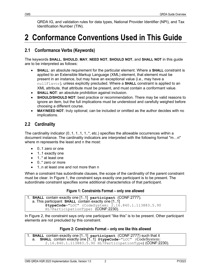QRDA IG, and validation rules for data types, National Provider Identifier (NPI), and Tax Identification Number (TIN).

## <span id="page-7-0"></span>**2 Conformance Conventions Used in This Guide**

#### <span id="page-7-1"></span>**2.1 Conformance Verbs (Keywords)**

The keywords **SHALL**, **SHOULD**, **MAY**, **NEED NOT**, **SHOULD NOT**, and **SHALL NOT** in this guide are to be interpreted as follows:

- **SHALL**: an absolute requirement for the particular element. Where a **SHALL** constraint is applied to an Extensible Markup Language (XML) element, that element must be present in an instance, but may have an exceptional value (i.e., may have a nullFlavor), unless explicitly precluded. Where a **SHALL** constraint is applied to an XML attribute, that attribute must be present, and must contain a conformant value.
- **SHALL NOT**: an absolute prohibition against inclusion.
- **SHOULD/SHOULD NOT**: best practice or recommendation. There may be valid reasons to ignore an item, but the full implications must be understood and carefully weighed before choosing a different course.
- **MAY/NEED NOT**: truly optional; can be included or omitted as the author decides with no implications.

#### <span id="page-7-2"></span>**2.2 Cardinality**

The cardinality indicator (0..1, 1..1, 1..\*, etc.) specifies the allowable occurrences within a document instance. The cardinality indicators are interpreted with the following format "m…n" where m represents the least and n the most:

- 0..1 zero or one
- 1..1 exactly one
- 1..\* at least one
- 0..\* zero or more
- 1..n at least one and not more than n

When a constraint has subordinate clauses, the scope of the cardinality of the parent constraint must be clear. In [Figure 1,](#page-7-3) the constraint says exactly one participant is to be present. The subordinate constraint specifies some additional characteristics of that participant.

#### **Figure 1: Constraints Format – only one allowed**

```
1. SHALL contain exactly one [1..1] participant (CONF:2777).
   a. This participant SHALL contain exactly one [1..1] @typeCode="LOC" (CodeSystem: 2.16.840.1.113883.5.90
 HL7ParticipationType) (CONF:2230).
```
In [Figure 2,](#page-7-4) the constraint says only one participant "like this" is to be present. Other participant elements are not precluded by this constraint.

#### **Figure 2: Constraints Format – only one like this allowed**

<span id="page-7-4"></span>1. **SHALL** contain exactly one [1..1] **participant** (CONF:2777) such that it **SHALL** contain exactly one [1..1] @typeCode="LOC" (CodeSystem: 2.16.840.1.113883.5.90 HL7ParticipationType) (CONF:2230).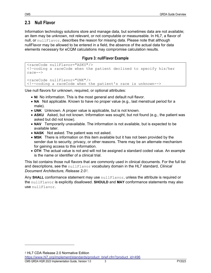#### <span id="page-8-0"></span>**2.3 Null Flavor**

Information technology solutions store and manage data, but sometimes data are not available; an item may be unknown, not relevant, or not computable or measureable. In HL7, a flavor of null, or  $nullFlavor$ , describes the reason for missing data. Please note that although nullFlavor may be allowed to be entered in a field, the absence of the actual data for data elements necessary for eCQM calculations may compromise calculation results.

#### **Figure 3: nullFlavor Example**

```
<raceCode nullFlavor="ASKU"/>
<!—coding a raceCode when the patient declined to specify his/her 
race-->
<raceCode nullFlavor="UNK"/>
<!--coding a raceCode when the patient's race is unknown-->
```
Use null flavors for unknown, required, or optional attributes:

- **NI** No information. This is the most general and default null flavor.
- **NA** Not applicable. Known to have no proper value (e.g., last menstrual period for a male).
- **UNK** Unknown. A proper value is applicable, but is not known.
- **ASKU** Asked, but not known. Information was sought, but not found (e.g., the patient was asked but did not know).
- **NAV** Temporarily unavailable. The information is not available, but is expected to be available later.
- **NASK** Not asked. The patient was not asked.
- **MSK** There is information on this item available but it has not been provided by the sender due to security, privacy, or other reasons. There may be an alternate mechanism for gaining access to this information.
- **OTH** The actual value is not and will not be assigned a standard coded value. An example is the name or identifier of a clinical trial.

This list contains those null flavors that are commonly used in clinical documents. For the full list and descriptions, see the nullFlavor vocabulary domain in the HL7 standard, *Clinical Document Architecture, Release 2.0[2](#page-8-2)*.

Any **SHALL** conformance statement may use nullFlavor, unless the attribute is required or the nullFlavor is explicitly disallowed. **SHOULD** and **MAY** conformance statements may also use nullFlavor.

<span id="page-8-2"></span><sup>2</sup> HL7 CDA Release 2.0 Normative Edition

[https://www.hl7.org/implement/standards/product\\_brief.cfm?product\\_id=496](https://www.hl7.org/implement/standards/product_brief.cfm?product_id=496)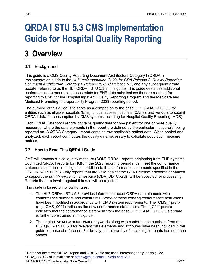# <span id="page-9-0"></span>**QRDA I STU 5.3 CMS Implementation Guide for Hospital Quality Reporting**

## <span id="page-9-1"></span>**3 Overview**

## <span id="page-9-2"></span>**3.1 Background**

This guide is a CMS Quality Reporting Document Architecture Category I (QRDA I) implementation guide to the *HL7 Implementation Guide for CDA Release 2: Quality Reporting Document Architecture Category I, Release 1, STU Release 5.3*, and any subsequent errata update, referred to as the HL7 QRDA I STU 5.3 in this guide. This guide describes additional conformance statements and constraints for EHR data submissions that are required for reporting to CMS for the Hospital Inpatient Quality Reporting Program and the Medicare and Medicaid Promoting Interoperability Program 2023 reporting period.

The purpose of this guide is to serve as a companion to the base HL7 QRDA I STU 5.3 for entities such as eligible hospitals (EHs), critical access hospitals (CAHs), and vendors to submit QRDA I data for consumption by CMS systems including for Hospital Quality Reporting (HQR).

Each QRDA Category I report<sup>[3](#page-9-4)</sup> contains quality data for one patient for one or more quality measures, where the data elements in the report are defined by the particular measure(s) being reported on. A QRDA Category I report contains raw applicable patient data. When pooled and analyzed, each report contributes the quality data necessary to calculate population measure metrics.

## <span id="page-9-3"></span>**3.2 How to Read This QRDA I Guide**

CMS will process clinical quality measure (CQM) QRDA I reports originating from EHR systems. Submitted QRDA I reports for HQR in the 2023 reporting period must meet the conformance statements specified in this guide in addition to the conformance statements specified in the HL7 QRDA I STU 5.3. Only reports that are valid against the CDA Release 2 schema enhanced to support the *urn:hl7-org:sdtc* namespace (CDA\_SDTC.xsd)[4](#page-9-5) will be accepted for processing. Reports that are invalid against this rule will be rejected.

This guide is based on following rules:

- 1. The HL7 QRDA I STU 5.3 provides information about QRDA data elements with conformance numbers and constraints. Some of these existing conformance restrictions have been modified in accordance with CMS system requirements. The "CMS " prefix (e.g., CMS\_0001) indicates the new conformance statements. The "\_C01" postfix indicates that the conformance statement from the base HL7 QRDA I STU 5.3 standard is further constrained in this guide.
- 2. The original **SHALL**/**SHOULD**/**MAY** keywords along with conformance numbers from the HL7 QRDA I STU 5.3 for relevant data elements and attributes have been included in this guide for ease of reference. For brevity, the hierarchy of enclosing elements has not been shown.

<span id="page-9-5"></span><span id="page-9-4"></span><sup>3</sup> Note that the terms QRDA I report and QRDA I file are used interchangeably in this guide. <sup>4</sup> CDA\_SDTC.xsd is available at [https://github.com/HL7/cda-core-2.0.](https://github.com/HL7/cda-core-2.0)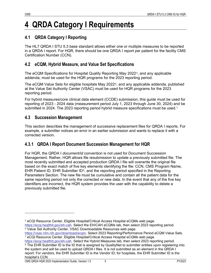## <span id="page-10-0"></span>**4 QRDA Category I Requirements**

## <span id="page-10-1"></span>**4.1 QRDA Category I Reporting**

The HL7 QRDA I STU 5.3 base standard allows either one or multiple measures to be reported in a QRDA I report. For HQR, there should be one QRDA I report per patient for the facility CMS Certification Number (CCN).

## <span id="page-10-2"></span>**4.2 eCQM, Hybrid Measure, and Value Set Specifications**

The eCQM Specifications for Hospital Quality Reporting May 2022[5](#page-10-5), and any applicable addenda, must be used for the HQR programs for the 2023 reporting period.

The eCQM Value Sets for eligible hospitals May 2022[6](#page-10-6), and any applicable addenda, published at the Value Set Authority Center (VSAC) must be used for HQR programs for the 2023 reporting period.

For hybrid measures/core clinical data element (CCDE) submission, this guide must be used for reporting of 2023 - 2024 data (measurement period July 1, 2023 through June 30, 2024) and be submitted in 2024. The 2023 reporting period hybrid measure specifications must be used.<sup>[7](#page-10-7)</sup>

## <span id="page-10-3"></span>**4.3 Succession Management**

This section describes the management of successive replacement files for QRDA I reports. For example, a submitter notices an error in an earlier submission and wants to replace it with a corrected version.

## <span id="page-10-4"></span>**4.3.1 QRDA I Report Document Succession Management for HQR**

For HQR, the QRDA I *document/id* convention is not used for Document Succession Management. Rather, HQR allows file resubmission to update a previously submitted file. The most recently submitted and accepted production QRDA I file will overwrite the original file based on the exact match of five key elements identifying the file: CCN, CMS Program Name, EHR Patient ID, EHR Submitter ID<sup>[8](#page-10-8)</sup>, and the reporting period specified in the Reporting Parameters Section. The new file must be cumulative and contain all the patient data for the same reporting period not only the corrected or new data. In the event that any of the five key identifiers are incorrect, the HQR system provides the user with the capability to delete a previously submitted file.

<span id="page-10-8"></span><span id="page-10-7"></span>[https://ecqi.healthit.gov/eh-cah.](https://ecqi.healthit.gov/eligible-hospital/critical-access-hospital-ecqms) Select the Hybrid Measures tab, then select 2023 reporting period. 8 The EHR Submitter ID is the ID that is assigned by QualityNet to submitter entities upon registering into the system and will be used to upload QRDA I files. It is not submitted as an element in the QRDA I report. For vendors, the EHR Submitter ID is the Vendor ID; for hospitals, the EHR Submitter ID is the hospital's CCN.

<span id="page-10-5"></span><sup>5</sup> eCQI Resource Center, Eligible Hospital/Critical Access Hospital eCQMs web page. [https://ecqi.healthit.gov/eh-cah.](https://ecqi.healthit.gov/eligible-hospital/critical-access-hospital-ecqms) Select the EH/CAH eCQMs tab, then select 2023 reporting period. <sup>6</sup> Value Set Authority Center, VSAC Downloadable Resources web page.

<span id="page-10-6"></span>[https://vsac.nlm.nih.gov/download/ecqm.](https://vsac.nlm.nih.gov/download/ecqm) Select 2023 Reporting/Performance Period eCQM Value Sets. <sup>7</sup> eCQI Resource Center, Eligible Hospital/Critical Access Hospital eCQMs web page.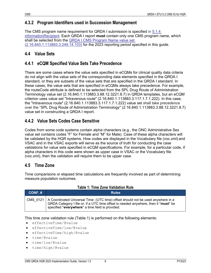#### <span id="page-11-0"></span>**4.3.2 Program Identifiers used in Succession Management**

The CMS program name requirement for QRDA I submission is specified in [5.1.4](#page-21-0)  [informationRecipient.](#page-21-0) Each QRDA I report **must** contain only one CMS program name, which shall be selected from the QRDA I CMS Program [Name value set](#page-21-3)  [\(2.16.840.1.113883.3.249.14.103\)](#page-21-3) for the 2023 reporting period specified in this guide.

### <span id="page-11-1"></span>**4.4 Value Sets**

#### <span id="page-11-2"></span>**4.4.1 eCQM Specified Value Sets Take Precedence**

There are some cases where the value sets specified in eCQMs for clinical quality data criteria do not align with the value sets of the corresponding data elements specified in the QRDA I standard, or they are subsets of the value sets that are specified in the QRDA I standard. In these cases, the value sets that are specified in eCQMs always take precedence. For example, the routeCode attribute is defined to be selected from the SPL Drug Route of Administration Terminology value set (2.16.840.1.113883.3.88.12.3221.8.7) in QRDA templates, but an eCQM criterion uses value set "Intravenous route" (2.16.840.1.113883.3.117.1.7.1.222). In this case, the "Intravenous route" (2.16.840.1.113883.3.117.1.7.1.222) value set shall take precedence over the "SPL Drug Route of Administration Terminology" (2.16.840.1.113883.3.88.12.3221.8.7) value set in constructing a QRDA I report.

### <span id="page-11-3"></span>**4.4.2 Value Sets Codes Case Sensitive**

Codes from some code systems contain alpha characters (e.g., the ONC Administrative Sex value set contains codes "F" for Female and "M" for Male). Case of these alpha characters will be validated by the HQR systems. How codes are displayed in the Vocabulary file (voc.xml) and VSAC and in the VSAC exports will serve as the source of truth for conducting the case validations for value sets specified in eCQM specifications. For example, for a particular code, if alpha characters in this code were shown as upper case in VSAC or the Vocabulary file (voc.xml), then the validation will require them to be upper case.

#### <span id="page-11-4"></span>**4.5 Time Zone**

<span id="page-11-5"></span>Time comparisons or elapsed time calculations are frequently involved as part of determining measure population outcomes.

#### **Table 1: Time Zone Validation Rule**

| $\blacksquare$ CONF. # | <b>Rules</b>                                                                                                                                                                                                                          |
|------------------------|---------------------------------------------------------------------------------------------------------------------------------------------------------------------------------------------------------------------------------------|
|                        | CMS 0121   A Coordinated Universal Time (UTC time) offset should not be used anywhere in a<br>QRDA Category I file or, if a UTC time offset is needed anywhere, then it *must* be<br>specified *everywhere* a time field is provided. |

This time zone validation rule [\(Table 1\)](#page-11-5) is performed on the following elements:

- effectiveTime/@value
- effectiveTime/low/@value
- effectiveTime/high/@value
- time/@value
- time/low/@value
- time/high/@value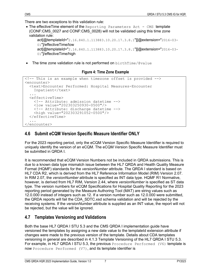There are two exceptions to this validation rule:

• The effective Time element of the Reporting Parameters Act - CMS template (CONF:CMS\_0027 and CONF:CMS\_0028) will not be validated using this time zone validation rule:

```
act[@templateId="2.16.840.1.113883.10.20.17.3.8.1"][@extension="2016-03-
01"]/effectiveTime/low
act[@templateId="2.16.840.1.113883.10.20.17.3.8.1"][@extension="2016-03-
01"]/effectiveTime/high
```
<span id="page-12-2"></span>• The time zone validation rule is not performed on  $birthTime/Qualue$ 

#### **Figure 4: Time Zone Example**

```
<!-- This is an example when timezone offset is provided -->
<encounter>
   <text>Encounter Performed: Hospital Measures-Encounter Inpatient</text> ...
    <!-- Attribute: admission datetime -->
     <low value="202303250930-0500"/>
     <!-- Attribute: discharge datetime --> 
     <high value="202303291052-0500"/>
   </effectiveTime>
 ...
</encounter>
```
#### <span id="page-12-0"></span>**4.6 Submit eCQM Version Specific Measure Identifier ONLY**

For the 2023 reporting period, only the eCQM Version Specific Measure Identifier is required to uniquely identify the version of an eCQM. The eCQM Version Specific Measure Identifier must be submitted in QRDA I.

It is recommended that eCQM Version Numbers not be included in QRDA submissions. This is due to a known data type mismatch issue between the HL7 QRDA and Health Quality Measure Format (HQMF) standards for the *versionNumber* attribute. The QRDA I standard is based on HL7 CDA R2, which is derived from the HL7 Reference Information Model (RIM) Version 2.07. In RIM 2.07, the *versionNumber* attribute is specified as INT data type. HQMF R1 Normative, however, is derived from HL7 RIM, Version 2.44, where *versionNumber* is specified as ST data type. The version numbers for eCQM Specifications for Hospital Quality Reporting for the 2023 reporting period generated by the Measure Authoring Tool (MAT) are string values such as 12.0.000 instead of integers such as 12. If a version number such as 12.0.000 were submitted, the QRDA reports will fail the CDA\_SDTC.xsd schema validation and will be rejected by the receiving systems. If the *versionNumber* attribute is supplied as an INT value, the report will not be rejected, but the value will be ignored.

#### <span id="page-12-1"></span>**4.7 Templates Versioning and Validations**

Both the base HL7 QRDA I STU 5.3 and the CMS QRDA I implementation guide have versioned the templates by assigning a new date value to the templateId extension attribute if changes were made to the previous version of the template. Details about CDA templates versioning in general are described in 4.1.3 Template Versioning of the HL7 QRDA I STU 5.3. For example, in HL7 QRDA I STU 5.3, the previous Procedure Performed (V6) template is now Procedure Performed (V7), and its template identifier is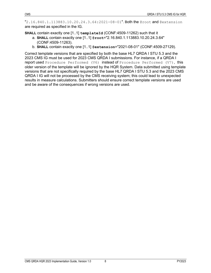"2.16.840.1.113883.10.20.24.3.64:2021-08-01". Both the @root and @extension are required as specified in the IG.

**SHALL** contain exactly one [1..1] **templateId** (CONF:4509-11262) such that it

- a. **SHALL** contain exactly one [1..1] **@root**="2.16.840.1.113883.10.20.24.3.64" (CONF:4509-11263).
- b. **SHALL** contain exactly one [1..1] **@extension**="2021-08-01" (CONF:4509-27129).

Correct template versions that are specified by both the base HL7 QRDA I STU 5.3 and the 2023 CMS IG must be used for 2023 CMS QRDA I submissions. For instance, if a QRDA I report used Procedure Performed (V6) instead of Procedure Performed (V7), this older version of the template will be ignored by the HQR System. Data submitted using template versions that are not specifically required by the base HL7 QRDA I STU 5.3 and the 2023 CMS QRDA I IG will not be processed by the CMS receiving system; this could lead to unexpected results in measure calculations. Submitters should ensure correct template versions are used and be aware of the consequences if wrong versions are used.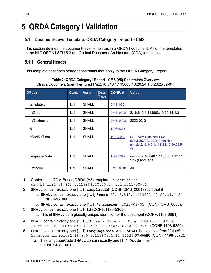## <span id="page-14-0"></span>**5 QRDA Category I Validation**

### <span id="page-14-1"></span>**5.1 Document-Level Template: QRDA Category I Report - CMS**

This section defines the document-level templates in a QRDA I document. All of the templates in the HL7 QRDA I STU 5.3 are Clinical Document Architecture (CDA) templates.

#### <span id="page-14-2"></span>**5.1.1 General Header**

<span id="page-14-3"></span>This template describes header constraints that apply to the QRDA Category I report.

| <b>XPath</b>  | Card. | <b>Verb</b>  | <b>Data</b><br><b>Type</b> | CONF.#          | <b>Value</b>                                                                                           |
|---------------|-------|--------------|----------------------------|-----------------|--------------------------------------------------------------------------------------------------------|
| templateId    | 1.1   | <b>SHALL</b> |                            | <b>CMS 0001</b> |                                                                                                        |
| @root         | 1.1   | <b>SHALL</b> |                            | <b>CMS 0002</b> | 2.16.840.1.113883.10.20.24.1.3                                                                         |
| @extension    | 1.1   | <b>SHALL</b> |                            | <b>CMS 0003</b> | 2022-02-01                                                                                             |
| id            | 1.1   | <b>SHALL</b> |                            | 1198-5363       |                                                                                                        |
| effectiveTime | 1.1   | SHALL        |                            | 1198-5256       | US Realm Date and Time<br>(DTM.US.FIELDED) (identifier:<br>urn:oid:2.16.840.1.113883.10.20.22.5.<br>4) |
| languageCode  | 1.1   | <b>SHALL</b> |                            | 1198-5372       | urn:oid:2.16.840.1.113883.1.11.11<br>526 (Language)                                                    |
| @code         | 1.1   | <b>SHALL</b> |                            | <b>CMS 0010</b> | en                                                                                                     |

#### **Table 2: QRDA Category I Report - CMS (V8) Constraints Overview**

ClinicalDocument (identifier: urn:hl7ii:2.16.840.1.113883.10.20.24.1.3:2022-02-01)

- 1. Conforms to QDM-Based QRDA (V8) template (identifier: urn:hl7ii:2.16.840.1.113883.10.20.24.1.2:2021-08-01).
- <span id="page-14-5"></span><span id="page-14-4"></span>2. **SHALL** contain exactly one [1..1] **templateId** (CONF:CMS\_0001) such that it a. **SHALL** contain exactly one [1..1] **@root**="2.16.840.1.113883.10.20.24.1.3" (CONF:CMS\_0002).
- <span id="page-14-7"></span><span id="page-14-6"></span>b. **SHALL** contain exactly one [1..1] **@extension**="2022-02-01" (CONF:CMS\_0003). 3. **SHALL** contain exactly one [1..1] **id** (CONF:1198-5363).
	- a. This id **SHALL** be a globally unique identifier for the document (CONF:1198-9991).
- <span id="page-14-8"></span>4. **SHALL** contain exactly one [1..1] US Realm Date and Time (DTM.US.FIELDED) (identifier: urn:oid:2.16.840.1.113883.10.20.22.5.4) (CONF:1198-5256).
- <span id="page-14-10"></span><span id="page-14-9"></span>5. **SHALL** contain exactly one [1..1] **languageCode**, which **SHALL** be selected from ValueSet Language urn:oid:2.16.840.1.113883.1.11.11526 **DYNAMIC** (CONF:1198-5372).
	- a. This languageCode **SHALL** contain exactly one [1..1] **@code**="en" (CONF:CMS\_0010).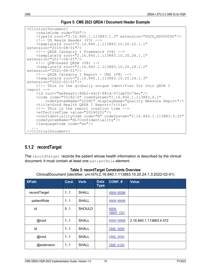```
Figure 5: CMS 2023 QRDA I Document Header Example
```

```
<ClinicalDocument>
      <realmCode code="US"/>
      <typeId root="2.16.840.1.113883.1.3" extension="POCD_HD000040"/> <!-- US Realm Header (V3) --> 
      <templateId root="2.16.840.1.113883.10.20.22.1.1" 
extension="2015-08-01"/><br>
<!-- ORDA Category I Framework (V4) -->
\text{XtemplateId root} = \frac{n}{2.16.840.1.113883.10.20.24.1.1"<br>extension="2017-08-01"/>
extension="2017-08-01"/> <!-- QDM-based QRDA (V8) --> <templateId root="2.16.840.1.113883.10.20.24.1.2" 
extension="2021-08-01"/> <!-- QRDA Category I Report - CMS (V8) --> 
 <templateId root="2.16.840.1.113883.10.20.24.1.3" 
extension="2022-02-01"/>
      <!-- This is the globally unique identifier for this QRDA I 
report --><br>
<id root="be8eeafc-86b2-4d1f-881d-971def0c74ec"/>
     <code code="55182-0" codeSystem="2.16.840.1.113883.6.1"<br>codeSystemName="LOINC" displayName="Quality Measure Report"/>
     <title>Good Health QRDA I Report</title>
      <!-- This is the report creation time --> 
      <effectiveTime value="20240201"/>
      <confidentialityCode code="N" codeSystem="2.16.840.1.113883.5.25" codeSystemName="HL7Confidentiality"/>
      <languageCode code="en"/>
. . . . <u>.</u>
</ClinicalDocument>
```
## <span id="page-15-0"></span>**5.1.2 recordTarget**

The recordTarget records the patient whose health information is described by the clinical document; it must contain at least one patientRole element.

<span id="page-15-2"></span>

| <b>XPath</b> | Card. | <b>Verb</b>   | <b>Data</b><br><b>Type</b> | CONF.#             | <b>Value</b>            |
|--------------|-------|---------------|----------------------------|--------------------|-------------------------|
| recordTarget | 11    | <b>SHALL</b>  |                            | 4509-16598         |                         |
| patientRole  | 1.1   | <b>SHALL</b>  |                            | 4509-16856         |                         |
| id           | 0.1   | <b>SHOULD</b> |                            | 4509-<br>16857 C01 |                         |
| @root        | 11    | <b>SHALL</b>  |                            | 4509-16858         | 2.16.840.1.113883.4.572 |
| id           | 1.1   | <b>SHALL</b>  |                            | <b>CMS 0009</b>    |                         |
| @root        | 1.1   | <b>SHALL</b>  |                            | <b>CMS 0053</b>    |                         |
| @extension   | 1.1   | <b>SHALL</b>  |                            | <b>CMS 0103</b>    |                         |

**Table 3: recordTarget Constraints Overview**

ClinicalDocument (identifier: urn:hl7ii:2.16.840.1.113883.10.20.24.1.3:2022-02-01)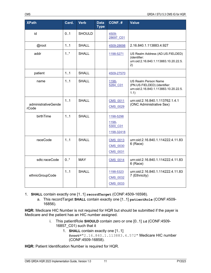| <b>XPath</b>                 | Card.  | <b>Verb</b>   | <b>Data</b><br><b>Type</b> | CONF.#                                         | <b>Value</b>                                                                                          |
|------------------------------|--------|---------------|----------------------------|------------------------------------------------|-------------------------------------------------------------------------------------------------------|
| id                           | 0.1    | <b>SHOULD</b> |                            | 4509-<br>28697 C01                             |                                                                                                       |
| @root                        | 1.1    | <b>SHALL</b>  |                            | 4509-28698                                     | 2.16.840.1.113883.4.927                                                                               |
| addr                         | 1.1    | <b>SHALL</b>  |                            | 1198-5271                                      | US Realm Address (AD.US.FIELDED)<br>(identifier:<br>urn:oid:2.16.840.1.113883.10.20.22.5.<br>2)       |
| patient                      | 1.1    | <b>SHALL</b>  |                            | 4509-27570                                     |                                                                                                       |
| name                         | 1.1    | <b>SHALL</b>  |                            | 1198-<br>5284 C01                              | US Realm Person Name<br>(PN.US.FIELDED) (identifier:<br>urn:oid:2.16.840.1.113883.10.20.22.5.<br>1.1) |
| administrativeGende<br>rCode | 1.1    | <b>SHALL</b>  |                            | <b>CMS 0011</b><br><b>CMS 0029</b>             | urn:oid:2.16.840.1.113762.1.4.1<br>(ONC Administrative Sex)                                           |
| birthTime                    | 11     | <b>SHALL</b>  |                            | 1198-5298<br>1198-<br>5300 C01<br>1198-32418   |                                                                                                       |
| raceCode                     | 1.1    | <b>SHALL</b>  |                            | <b>CMS 0013</b><br>CMS 0030<br><b>CMS 0031</b> | urn:oid:2.16.840.1.114222.4.11.83<br>6 (Race)                                                         |
| sdtc:raceCode                | $0.1*$ | <b>MAY</b>    |                            | <b>CMS 0014</b>                                | urn:oid:2.16.840.1.114222.4.11.83<br>6 (Race)                                                         |
| ethnicGroupCode              | 1.1    | <b>SHALL</b>  |                            | 1198-5323<br><b>CMS 0032</b><br>CMS_0033       | urn:oid:2.16.840.1.114222.4.11.83<br>7 (Ethnicity)                                                    |

- 1. **SHALL** contain exactly one [1..1] **recordTarget** (CONF:4509-16598).
	- a. This recordTarget **SHALL** contain exactly one [1..1] **patientRole** (CONF:4509- 16856).

**HQR:** Medicare HIC Number is not required for HQR but should be submitted if the payer is Medicare and the patient has an HIC number assigned.

- <span id="page-16-3"></span><span id="page-16-2"></span><span id="page-16-1"></span><span id="page-16-0"></span>i. This patientRole **SHOULD** contain zero or one [0..1] **id** (CONF:4509- 16857\_C01) such that it
	- 1. **SHALL** contain exactly one [1..1] **@root**="2.16.840.1.113883.4.572" Medicare HIC number (CONF:4509-16858).

**HQR:** Patient Identification Number is required for HQR.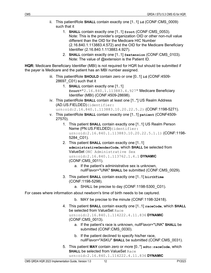- <span id="page-17-1"></span><span id="page-17-0"></span>ii. This patientRole **SHALL** contain exactly one [1..1] **id** (CONF:CMS\_0009) such that it
	- 1. **SHALL** contain exactly one [1..1] **@root** (CONF:CMS\_0053). Note: This is the provider's organization OID or other non-null value different than the OID for the Medicare HIC Number (2.16.840.1.113883.4.572) and the OID for the Medicare Beneficiary Identifier (2.16.840.1.113883.4.927).
	- 2. **SHALL** contain exactly one [1..1] **@extension** (CONF:CMS\_0103). Note: The value of @extension is the Patient ID.

**HQR:** Medicare Beneficiary Identifier (MBI) is not required for HQR but should be submitted if the payer is Medicare and the patient has an MBI number assigned.

- <span id="page-17-2"></span>iii. This patientRole **SHOULD** contain zero or one [0..1] **id** (CONF:4509- 28697\_C01) such that it
	- 1. **SHALL** contain exactly one [1..1] **@root**="2.16.840.1.113883.4.927" Medicare Beneficiary Identifier (MBI) (CONF:4509-28698).
- iv. This patientRole **SHALL** contain at least one [1..\*] US Realm Address (AD.US.FIELDED)(identifier:

<span id="page-17-7"></span><span id="page-17-6"></span><span id="page-17-5"></span><span id="page-17-4"></span><span id="page-17-3"></span>urn:oid:2.16.840.1.113883.10.20.22.5.2) (CONF:1198-5271).

- v. This patientRole **SHALL** contain exactly one [1..1] **patient** (CONF4509- 27570).
	- 1. This patient **SHALL** contain exactly one [1..1] US Realm Person Name (PN.US.FIELDED)(identifier: urn:oid:2.16.840.1.113883.10.20.22.5.1.1) (CONF:1198-5284\_C01).
	- 2. This patient **SHALL** contain exactly one [1..1] **administrativeGenderCode**, which **SHALL** be selected from ValueSet ONC Administrative Sex urn:oid:2.16.840.1.113762.1.4.1 **DYNAMIC** (CONF:CMS\_0011).
		- a. If the patient's administrative sex is unknown, nullFlavor="UNK" **SHALL** be submitted (CONF:CMS\_0029).
	- 3. This patient **SHALL** contain exactly one [1..1] **birthTime** (CONF:1198-5298).
		- a. SHALL be precise to day (CONF:1198-5300\_C01).

For cases where information about newborn's time of birth needs to be captured.

- <span id="page-17-9"></span><span id="page-17-8"></span>b. MAY be precise to the minute (CONF:1198-32418).
- 4. This patient **SHALL** contain exactly one [1..1] **raceCode**, which **SHALL** be selected from ValueSet Race

urn:oid:2.16.840.1.114222.4.11.836 **DYNAMIC** (CONF:CMS\_0013).

- <span id="page-17-10"></span>a. If the patient's race is unknown, nullFlavor="UNK" **SHALL** be submitted (CONF:CMS\_0030).
- b. If the patient declined to specify his/her race, nullFlavor="ASKU" **SHALL** be submitted (CONF:CMS\_0031).
- 5. This patient **MAY** contain zero or more [0..\*] **sdtc:raceCode**, which **SHALL** be selected from ValueSet Race urn:oid:2.16.840.1.114222.4.11.836 **DYNAMIC**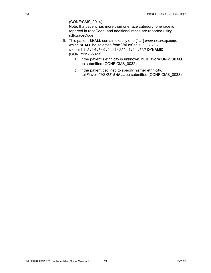(CONF:CMS\_0014).

<span id="page-18-0"></span>Note: If a patient has more than one race category, one race is reported in raceCode, and additional races are reported using sdtc:raceCode.

- 6. This patient **SHALL** contain exactly one [1..1] **ethnicGroupCode**, which **SHALL** be selected from ValueSet Ethnicity urn:oid:2.16.840.1.114222.4.11.837 **DYNAMIC** (CONF:1198-5323).
	- a. If the patient's ethnicity is unknown, nullFlavor="UNK" **SHALL**  be submitted (CONF:CMS\_0032).
	- b. If the patient declined to specify his/her ethnicity, nullFlavor="ASKU" **SHALL** be submitted (CONF:CMS\_0033).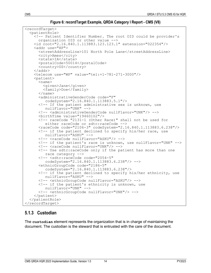```
Figure 6: recordTarget Example, QRDA Category I Report - CMS (V8)
```

```
<recordTarget>
   <patientRole>
     <!-- Patient Identifier Number. The root OID could be provider's organization OID or other value -->
     <id root="2.16.840.1.113883.123.123.1" extension="022354"/>
     <addr use="HP">
        <streetAddressLine>101 North Pole Lane</streetAddressLine> <city>Ames</city>
    <postalCode>50014</postalCode><br>
<country>US</country><br>
</addr>
    \leqtelecom use="WP" value="tel:+1-781-271-3000"/>
    <sub>patient</sub></sub>
       <name><br><qiven>Jane</qiven>
       <family>Doe</family><br></name>
       <administrativeGenderCode code="F"<br>codeSystem="2.16.840.1.113883.5.1"/>
        <!-- If the patient administrative sex is unknown, use 
           nullFlavor="UNK" -->
       <!-- <administrativeGenderCode nullFlavor="UNK"/> --><br><birthTime value="19460102"/>
       <!-- raceCode "2131-1 (Other Race)" shall not be used for
           either raceCode or sdtc:raceCode -->
        <raceCode code="2106-3" codeSystem="2.16.840.1.113883.6.238"/>
        <!-- if the patient declined to specify his/her race, use 
           nullFlavor="ASKU" -->
       <!-- <raceCode nullFlavor="ASKU"/> -->
        <!-- if the patient's race is unknown, use nullFlavor="UNK" -->
       <!-- <raceCode nullFlavor="UNK"/> -->
       \langle!-- Use sdtc:raceCode only if the patient has more than one race category -->
       <!-- <sdtc:raceCode code="2054-5"
           codeSystem="2.16.840.1.113883.6.238"/> --> 
        <ethnicGroupCode code="2186-5" 
           codeSystem="2.16.840.1.113883.6.238"/>
        <!-- if the patient declined to specify his/her ethnicity, use 
           nullFlavor="ASKU" -->
        <!-- <ethnicGroupCode nullFlavor="ASKU"/> -->
        <!-- if the patient's ethnicity is unknown, use nullFlavor="UNK" -->
        <!-- <ethnicGroupCode nullFlavor="UNK"/> --> 
     </patient>
   </patientRole>
</recordTarget>
```
## <span id="page-19-0"></span>**5.1.3 Custodian**

The **custodian** element represents the organization that is in charge of maintaining the document. The custodian is the steward that is entrusted with the care of the document.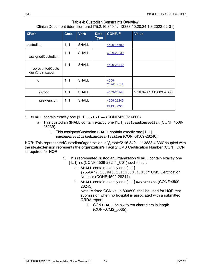#### **Table 4: Custodian Constraints Overview**

ClinicalDocument (identifier: urn:hl7ii:2.16.840.1.113883.10.20.24.1.3:2022-02-01)

<span id="page-20-0"></span>

| <b>XPath</b>                         | Card. | <b>Verb</b>  | <b>Data</b><br><b>Type</b> | CONF.#                        | <b>Value</b>            |
|--------------------------------------|-------|--------------|----------------------------|-------------------------------|-------------------------|
| custodian                            | 1.1   | <b>SHALL</b> |                            | 4509-16600                    |                         |
| assignedCustodian                    | 1.1   | <b>SHALL</b> |                            | 4509-28239                    |                         |
| representedCusto<br>dianOrganization | 1.1   | <b>SHALL</b> |                            | 4509-28240                    |                         |
| id                                   | 1.1   | <b>SHALL</b> |                            | 4509-<br>28241 C01            |                         |
| @root                                | 1.1   | <b>SHALL</b> |                            | 4509-28244                    | 2.16.840.1.113883.4.336 |
| @extension                           | 1.1   | <b>SHALL</b> |                            | 4509-28245<br><b>CMS 0035</b> |                         |

1. **SHALL** contain exactly one [1..1] **custodian** (CONF:4509-16600).

- a. This custodian **SHALL** contain exactly one [1..1] **assignedCustodian** (CONF:4509- 28239).
	- i. This assignedCustodian **SHALL** contain exactly one [1..1] **representedCustodianOrganization** (CONF:4509-28240).

**HQR:** This representedCustodianOrganization id/@root='2.16.840.1.113883.4.336' coupled with the id/@extension represents the organization's Facility CMS Certification Number (CCN). CCN is required for HQR.

- <span id="page-20-4"></span><span id="page-20-3"></span><span id="page-20-2"></span><span id="page-20-1"></span>1. This representedCustodianOrganization **SHALL** contain exactly one [1..1] **id** (CONF:4509-28241\_C01) such that it
	- a. **SHALL** contain exactly one [1..1] **@root**="2.16.840.1.113883.4.336" CMS Certification Number (CONF:4509-28244).
	- b. **SHALL** contain exactly one [1..1] **@extension** (CONF:4509- 28245).

<span id="page-20-5"></span>Note: A fixed CCN value 800890 shall be used for HQR test submission when no hospital is associated with a submitted QRDA report.

<span id="page-20-6"></span>i. CCN **SHALL** be six to ten characters in length (CONF:CMS\_0035).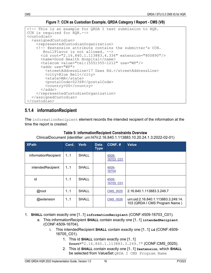**Figure 7: CCN as Custodian Example, QRDA Category I Report - CMS (V8)** 

```
<!-- This is an example for QRDA I test submission to HQR. 
CCN is required for HQR.--> 
<custodian>
   <assignedCustodian>
      <representedCustodianOrganization>
      <!-- @extension attribute contains the submitter's CCN. 
       <id root="2.16.840.1.113883.4.336" extension="800890"/><br><name>Good Health Hospital</name>
       <telecom value="tel:(555)555-1212" use="WP"/><br><addr use="WP">
           <streetAddressLine>17 Daws Rd.</streetAddressLine> <city>Blue Bell</city>
           <state>MA</state>
           <postalCode>02368</postalCode>
        <country>US</country> </addr>
   </representedCustodianOrganization> </assignedCustodian>
</custodian>
```
## <span id="page-21-0"></span>**5.1.4 informationRecipient**

<span id="page-21-2"></span>The informationRecipient element records the intended recipient of the information at the time the report is created.

| <b>XPath</b>         | Card. | <b>Verb</b>  | <b>Data</b><br><b>Type</b> | CONF.#             | <b>Value</b>                                                         |
|----------------------|-------|--------------|----------------------------|--------------------|----------------------------------------------------------------------|
| informationRecipient | 1.1   | <b>SHALL</b> |                            | 4509-<br>16703 C01 |                                                                      |
| intendedRecipient    | 1.1   | SHALL        |                            | 4509-<br>16704     |                                                                      |
| id                   | 11    | <b>SHALL</b> |                            | 4509-<br>16705 C01 |                                                                      |
| @root                | 1.1   | <b>SHALL</b> |                            | <b>CMS 0025</b>    | 2.16.840.1.113883.3.249.7                                            |
| @extension           | 1.1   | SHALL        |                            | <b>CMS 0026</b>    | urn:oid:2.16.840.1.113883.3.249.14.<br>103 (QRDA I CMS Program Name) |

**Table 5: informationRecipient Constraints Overview** ClinicalDocument (identifier: urn:hl7ii:2.16.840.1.113883.10.20.24.1.3:2022-02-01)

<span id="page-21-3"></span>1. **SHALL** contain exactly one [1..1] **informationRecipient** (CONF:4509-16703\_C01).

- <span id="page-21-7"></span><span id="page-21-6"></span><span id="page-21-5"></span><span id="page-21-4"></span>a. This informationRecipient **SHALL** contain exactly one [1..1] **intendedRecipient** (CONF:4509-16704).
	- i. This intendedRecipient **SHALL** contain exactly one [1..1] **id** (CONF:4509- 16705\_C01).
		- 1. This id **SHALL** contain exactly one [1..1]
		- **@root**="2.16.840.1.113883.3.249.7" (CONF:CMS\_0025). 2. This id **SHALL** contain exactly one [1..1] **@extension**, which **SHALL** be selected from ValueSet QRDA I CMS Program Name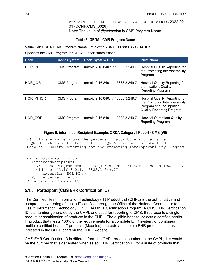<span id="page-22-3"></span>urn:oid:2.16.840.1.113883.3.249.14.103 **STATIC** 2022-02- 01 (CONF:CMS\_0026).

Note: The value of @extension is CMS Program Name.

#### **Table 6: QRDA I CMS Program Name**

<span id="page-22-2"></span>

| Value Set: QRDA I CMS Program Name urn:oid:2.16.840.1.113883.3.249.14.103<br>Specifies the CMS Program for QRDA I report submissions. |                    |                                   |                                                                                                                                          |  |  |  |  |  |  |
|---------------------------------------------------------------------------------------------------------------------------------------|--------------------|-----------------------------------|------------------------------------------------------------------------------------------------------------------------------------------|--|--|--|--|--|--|
| Code<br><b>Code System</b><br><b>Code System OID</b><br><b>Print Name</b>                                                             |                    |                                   |                                                                                                                                          |  |  |  |  |  |  |
| HQR PI                                                                                                                                | <b>CMS Program</b> | urn:oid:2.16.840.1.113883.3.249.7 | <b>Hospital Quality Reporting for</b><br>the Promoting Interoperability<br>Program                                                       |  |  |  |  |  |  |
| HQR IQR                                                                                                                               | <b>CMS Program</b> | urn:oid:2.16.840.1.113883.3.249.7 | <b>Hospital Quality Reporting for</b><br>the Inpatient Quality<br><b>Reporting Program</b>                                               |  |  |  |  |  |  |
| HQR PI IQR                                                                                                                            | <b>CMS Program</b> | urn:oid:2.16.840.1.113883.3.249.7 | <b>Hospital Quality Reporting for</b><br>the Promoting Interoperability<br>Program and the Inpatient<br><b>Quality Reporting Program</b> |  |  |  |  |  |  |
| HQR OQR                                                                                                                               | <b>CMS Program</b> | urn:oid:2.16.840.1.113883.3.249.7 | <b>Hospital Outpatient Quality</b><br><b>Reporting Program</b>                                                                           |  |  |  |  |  |  |

#### **Figure 8: informationRecipient Example, QRDA Category I Report - CMS (V8)**

```
<!-- This example shows the @extension attribute with a value of 
"HQR_PI", which indicates that this QRDA I report is submitted to the 
Hospital Quality Reporting for the Promoting Interoperability Program
--<informationRecipient>
   <intendedRecipient>
     <!-- CMS Program Name is required. @nullFlavor is not allowed --> 
     <id root="2.16.840.1.113883.3.249.7" 
   extension="HQR_PI"/> </intendedRecipient>
</informationRecipient>
```
## <span id="page-22-0"></span>**5.1.5 Participant (CMS EHR Certification ID)**

The Certified Health Information Technology (IT) Product List (CHPL) is the authoritative and comprehensive listing of health IT certified through the Office of the National Coordinator for Health Information Technology (ONC) Health IT Certification Program. A CMS EHR Certification ID is a number generated by the CHPL and used for reporting to CMS. It represents a single product or combination of products in the CHPL. The eligible hospital selects a certified health IT product that meets 100% of the requirements for a complete EHR system, or combines multiple certified health IT products (Modules) to create a complete EHR product suite, as indicated in the CHPL chart on the CHPL website[9](#page-22-4).

<span id="page-22-4"></span>CMS EHR Certification ID is different from the CHPL product number. In the CHPL, this would be the number that is generated when select EHR Certification ID for a suite of products that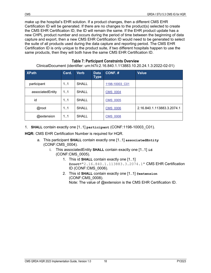make up the hospital's EHR solution. If a product changes, then a different CMS EHR Certification ID will be generated. If there are no changes to the product(s) selected to create the CMS EHR Certification ID, the ID will remain the same. If the EHR product update has a new CHPL product number and occurs during the period of time between the beginning of data capture and export, then a new CMS EHR Certification ID would need to be generated to select the suite of all products used during the data capture and reporting period. The CMS EHR Certification ID is only unique to the product suite, if two different hospitals happen to use the same products, then they will both have the same CMS EHR Certification ID.

<span id="page-23-0"></span>

| <u> UMINAIDOUMINENT (NUENTINENT: UNITINAITIAL TOIO40. T. 1 TOOOJ. TOIZOIZ4. T.O.ZOZZ-OZ-OTT</u> |       |              |                     |                 |                            |  |  |  |
|-------------------------------------------------------------------------------------------------|-------|--------------|---------------------|-----------------|----------------------------|--|--|--|
| <b>XPath</b>                                                                                    | Card. | <b>Verb</b>  | <b>Data</b><br>Type | CONF.#          | <b>Value</b>               |  |  |  |
| participant                                                                                     | 11    | <b>SHALL</b> |                     | 1198-10003 C01  |                            |  |  |  |
| associatedEntity                                                                                | 11    | <b>SHALL</b> |                     | <b>CMS 0004</b> |                            |  |  |  |
| id                                                                                              | 1.1   | <b>SHALL</b> |                     | <b>CMS 0005</b> |                            |  |  |  |
| @root                                                                                           | 1.1   | <b>SHALL</b> |                     | <b>CMS 0006</b> | 2.16.840.1.113883.3.2074.1 |  |  |  |
| @extension                                                                                      | 11    | <b>SHALL</b> |                     | <b>CMS 0008</b> |                            |  |  |  |

#### <span id="page-23-2"></span>**Table 7: Participant Constraints Overview**

ClinicalDocument (identifier: urn:hl7ii:2.16.840.1.113883.10.20.24.1.3:2022-02-01)

1. **SHALL** contain exactly one [1..1] **participant** (CONF:1198-10003\_C01).

**HQR:** CMS EHR Certification Number is required for HQR.

- <span id="page-23-4"></span><span id="page-23-3"></span><span id="page-23-1"></span>a. This participant **SHALL** contain exactly one [1..1] **associatedEntity** (CONF:CMS\_0004).
	- i. This associatedEntity **SHALL** contain exactly one [1..1] **id** (CONF:CMS\_0005).
		- 1. This id **SHALL** contain exactly one [1..1] **@root**="2.16.840.1.113883.3.2074.1" CMS EHR Certification ID (CONF:CMS\_0006).
		- 2. This id **SHALL** contain exactly one [1..1] **@extension** (CONF:CMS\_0008). Note: The value of @extension is the CMS EHR Certification ID.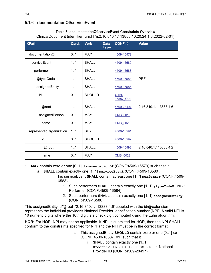### <span id="page-24-1"></span><span id="page-24-0"></span>**5.1.6 documentationOf/serviceEvent**

#### **Table 8: documentationOf/serviceEvent Constraints Overview** ClinicalDocument (identifier: urn:hl7ii:2.16.840.1.113883.10.20.24.1.3:2022-02-01)

| <b>XPath</b>            | Card.   | <b>Verb</b>   | <b>Data</b><br><b>Type</b> | CONF.#             | <b>Value</b>          |
|-------------------------|---------|---------------|----------------------------|--------------------|-----------------------|
| documentationOf         | 0.1     | <b>MAY</b>    |                            | 4509-16579         |                       |
| serviceEvent            | 1.1     | <b>SHALL</b>  |                            | 4509-16580         |                       |
| performer               | $1.1$ * | <b>SHALL</b>  |                            | 4509-16583         |                       |
| @typeCode               | 1.1     | <b>SHALL</b>  |                            | 4509-16584         | <b>PRF</b>            |
| assignedEntity          | 1.1     | <b>SHALL</b>  |                            | 4509-16586         |                       |
| id                      | 0.1     | <b>SHOULD</b> |                            | 4509-<br>16587 C01 |                       |
| @root                   | 1.1     | SHALL         |                            | 4509-28497         | 2.16.840.1.113883.4.6 |
| assignedPerson          | 0.1     | <b>MAY</b>    |                            | CMS_0019           |                       |
| name                    | 0.1     | <b>MAY</b>    |                            | <b>CMS 0020</b>    |                       |
| representedOrganization | 1.1     | <b>SHALL</b>  |                            | 4509-16591         |                       |
| id                      | 0.1     | <b>SHOULD</b> |                            | 4509-16592         |                       |
| @root                   | 1.1     | <b>SHALL</b>  |                            | 4509-16593         | 2.16.840.1.113883.4.2 |
| name                    | 0.1     | <b>MAY</b>    |                            | <b>CMS 0022</b>    |                       |

1. MAY contain zero or one [0..1] documentationof (CONF:4509-16579) such that it

- <span id="page-24-2"></span>a. **SHALL** contain exactly one [1..1] **serviceEvent** (CONF:4509-16580).
	- i. This serviceEvent **SHALL** contain at least one [1..\*] **performer** (CONF:4509- 16583).
		- 1. Such performers **SHALL** contain exactly one [1..1] **@typeCode**="PRF" Performer (CONF:4509-16584).
		- 2. Such performers **SHALL** contain exactly one [1..1] **assignedEntity** (CONF:4509-16586).

This assignedEntity id/@root='2.16.840.1.113883.4.6' coupled with the id/@extension represents the individual provider's National Provider Identification number (NPI). A valid NPI is 10 numeric digits where the 10th digit is a check digit computed using the Luhn algorithm.

**HQR:** For HQR, NPI may not be applicable. If NPI is submitted for HQR, then the NPI SHALL conform to the constraints specified for NPI and the NPI must be in the correct format.

- <span id="page-24-8"></span><span id="page-24-7"></span><span id="page-24-6"></span><span id="page-24-5"></span><span id="page-24-4"></span><span id="page-24-3"></span>a. This assignedEntity **SHOULD** contain zero or one [0..1] **id** (CONF:4509-16587\_01) such that it
	- i. **SHALL** contain exactly one [1..1] **@root**="2.16.840.1.113883.4.6" National Provider ID (CONF:4509-28497).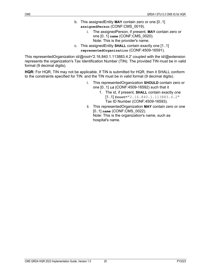- <span id="page-25-0"></span>b. This assignedEntity **MAY** contain zero or one [0..1] **assignedPerson** (CONF:CMS\_0019).
	- i. The assignedPerson, if present, **MAY** contain zero or one [0..1] **name** (CONF:CMS\_0020). Note: This is the provider's name.
- <span id="page-25-1"></span>c. This assignedEntity **SHALL** contain exactly one [1..1] **representedOrganization** (CONF:4509-16591).

This representedOrganization id/@root='2.16.840.1.113883.4.2' coupled with the id/@extension represents the organization's Tax Identification Number (TIN). The provided TIN must be in valid format (9 decimal digits).

**HQR:** For HQR, TIN may not be applicable. If TIN is submitted for HQR, then it SHALL conform to the constraints specified for TIN. and the TIN must be in valid format (9 decimal digits).

- <span id="page-25-3"></span><span id="page-25-2"></span>i. This representedOrganization **SHOULD** contain zero or one [0..1] **id** (CONF:4509-16592) such that it
	- 1. The id, if present, **SHALL** contain exactly one [1..1] **@root**="2.16.840.1.113883.4.2" Tax ID Number (CONF:4509-16593).
- <span id="page-25-5"></span><span id="page-25-4"></span>ii. This representedOrganization **MAY** contain zero or one [0..1] **name** (CONF:CMS\_0022). Note: This is the organization's name, such as hospital's name.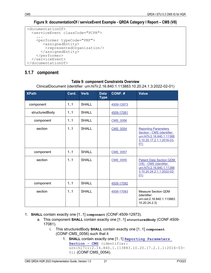**Figure 9: documentationOf / serviceEvent Example - QRDA Category I Report – CMS (V8)** 

```
<documentationOf>
   <serviceEvent classCode="PCPR">
    ...<br><performer typeCode="PRF">
         <assignedEntity>
          <representedOrganization/>
     </assignedEntity> </performer>
   </serviceEvent>
</documentationOf>
```
## <span id="page-26-2"></span><span id="page-26-0"></span>**5.1.7 component**

#### **Table 9: component Constraints Overview**

ClinicalDocument (identifier: urn:hl7ii:2.16.840.1.113883.10.20.24.1.3:2022-02-01)

| <b>XPath</b>   | Card. | <b>Verb</b>  | <b>Data</b><br><b>Type</b> | CONF.#          | <b>Value</b>                                                                                                                 |
|----------------|-------|--------------|----------------------------|-----------------|------------------------------------------------------------------------------------------------------------------------------|
| component      | 1.1   | <b>SHALL</b> |                            | 4509-12973      |                                                                                                                              |
| structuredBody | 1.1   | <b>SHALL</b> |                            | 4509-17081      |                                                                                                                              |
| component      | 1.1   | <b>SHALL</b> |                            | <b>CMS 0056</b> |                                                                                                                              |
| section        | 1.1   | <b>SHALL</b> |                            | <b>CMS 0054</b> | <b>Reporting Parameters</b><br>Section - CMS (identifier:<br>urn:hl7ii:2.16.840.1.11388<br>3.10.20.17.2.1.1:2016-03-<br>01)  |
| component      | 1.1   | <b>SHALL</b> |                            | <b>CMS 0057</b> |                                                                                                                              |
| section        | 1.1   | SHALL        |                            | <b>CMS 0055</b> | <b>Patient Data Section QDM</b><br>(V8) - CMS (identifier:<br>urn:hl7ii:2.16.840.1.11388<br>3.10.20.24.2.1.1:2022-02-<br>01) |
| component      | 1.1   | <b>SHALL</b> |                            | 4509-17082      |                                                                                                                              |
| section        | 1.1   | SHALL        |                            | 4509-17083      | Measure Section QDM<br>(identifier:<br>urn:oid:2.16.840.1.113883.<br>10.20.24.2.3)                                           |

- <span id="page-26-4"></span><span id="page-26-3"></span>1. **SHALL** contain exactly one [1..1] **component** (CONF:4509-12973).
	- a. This component **SHALL** contain exactly one [1..1] **structuredBody** (CONF:4509- 17081).
		- i. This structuredBody **SHALL** contain exactly one [1..1] **component** (CONF:CMS\_0056) such that it
			- 1. **SHALL** contain exactly one [1..1] **[Reporting Parameters](#page-28-0)  [Section - CMS](#page-28-0)** (identifier: urn:hl7ii:2.16.840.1.113883.10.20.17.2.1.1:2016-03- 01) (CONF:CMS\_0054).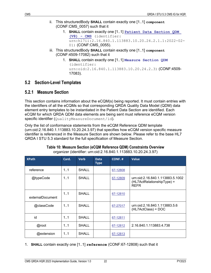- ii. This structuredBody **SHALL** contain exactly one [1..1] **component** (CONF:CMS\_0057) such that it
	- 1. **SHALL** contain exactly one [1..1] **[Patient Data Section QDM](#page-30-0)  [\(V8\) - CMS](#page-30-0)** (identifier: urn:hl7ii:2.16.840.1.113883.10.20.24.2.1.1:2022-02- 01) (CONF:CMS 0055).
- <span id="page-27-5"></span><span id="page-27-4"></span><span id="page-27-3"></span>iii. This structuredBody **SHALL** contain exactly one [1..1] **component** (CONF:4509-17082) such that it
	- 1. **SHALL** contain exactly one [1..1] **Measure Section QDM** (identifier: urn:oid:2.16.840.1.113883.10.20.24.2.3) (CONF:4509-17083).

#### <span id="page-27-0"></span>**5.2 Section-Level Templates**

#### <span id="page-27-1"></span>**5.2.1 Measure Section**

This section contains information about the eCQM(s) being reported. It must contain entries with the identifiers of all the eCQMs so that corresponding QRDA Quality Data Model (QDM) data element entry templates to be instantiated in the Patient Data Section are identified. Each eCQM for which QRDA QDM data elements are being sent must reference eCQM version specific identifier (QualityMeasureDocument/id).

Only the list of conformance statements from the eCQM Reference QDM template (urn:oid:2.16.840.1.113883.10.20.24.3.97) that specifies how eCQM version specific measure identifier is referenced in the Measure Section are shown below. Please refer to the base HL7 QRDA I STU 5.3 standard for the full specification of Measure Section.

<span id="page-27-2"></span>

| <b>XPath</b>     | Card. | <b>Verb</b>  | <b>Data</b><br><b>Type</b> | CONF. #  | <b>Value</b>                                                                  |
|------------------|-------|--------------|----------------------------|----------|-------------------------------------------------------------------------------|
| reference        | 11    | <b>SHALL</b> |                            | 67-12808 |                                                                               |
| @typeCode        | 1.1   | SHALL        |                            | 67-12809 | urn:oid:2.16.840.1.113883.5.1002<br>(HL7ActRelationshipType) =<br><b>REFR</b> |
| externalDocument | 11    | <b>SHALL</b> |                            | 67-12810 |                                                                               |
| @classCode       | 11    | SHALL        |                            | 67-27017 | urn:oid:2.16.840.1.113883.5.6<br>(HL7ActClass) = DOC                          |
| id               | 11    | <b>SHALL</b> |                            | 67-12811 |                                                                               |
| @root            | 11    | <b>SHALL</b> |                            | 67-12812 | 2.16.840.1.113883.4.738                                                       |
| @extension       | 1.1   | <b>SHALL</b> |                            | 67-12813 |                                                                               |

#### **Table 10: Measure Section (eCQM Reference QDM) Constraints Overview**

organizer (identifier: urn:oid:2.16.840.1.113883.10.20.24.3.97)

<span id="page-27-6"></span>1. **SHALL** contain exactly one [1..1] **reference** (CONF:67-12808) such that it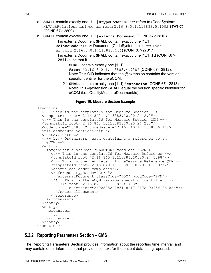- a. **SHALL** contain exactly one [1..1] **@typeCode**="REFR" refers to (CodeSystem: HL7ActRelationshipType urn:oid:2.16.840.1.113883.5.1002 **STATIC**) (CONF:67-12809).
- b. **SHALL** contain exactly one [1..1] **externalDocument** (CONF:67-12810).
	- i. This externalDocument **SHALL** contain exactly one [1..1] **@classCode**="DOC" Document (CodeSystem: HL7ActClass urn:oid:2.16.840.1.113883.5.6) (CONF:67-27017).
	- ii. This externalDocument **SHALL** contain exactly one [1..1] **id** (CONF:67- 12811) such that it
		- 1. **SHALL** contain exactly one [1..1] **@root**="2.16.840.1.113883.4.738" (CONF:67-12812). Note: This OID indicates that the @extension contains the version specific identifier for the eCQM.
		- 2. **SHALL** contain exactly one [1..1] **@extension** (CONF:67-12813). Note: This @extension SHALL equal the version specific identifier for eCQM (i.e., QualityMeasureDocument/id)

<span id="page-28-7"></span><span id="page-28-6"></span><span id="page-28-5"></span><span id="page-28-4"></span><span id="page-28-3"></span><span id="page-28-2"></span>**Figure 10: Measure Section Example**

```
<section>
  <!-- This is the templateId for Measure Section -->
  <templateId root="2.16.840.1.113883.10.20.24.2.2"/>
  <!-- This is the templateId for Measure Section QDM -->
   <templateId root="2.16.840.1.113883.10.20.24.2.3"/>
  <code code="55186-1" codeSystem="2.16.840.1.113883.6.1"/>
  <title>Measure Section</title>
   <text>...</text>
  \langle -1..* Organizers, each containing a reference to an eCQM ->
   <entry>
     <organizer classCode="CLUSTER" moodCode="EVN">
       <!-- This is the templateId for Measure Reference --> 
       <templateId root="2.16.840.1.113883.10.20.24.3.98"/>
       <!-- This is the templateId for eMeasure Reference QDM -->
       <templateId root="2.16.840.1.113883.10.20.24.3.97"/>
       <statusCode code="completed"/>
       <reference typeCode="REFR">
         <externalDocument classCode="DOC" moodCode="EVN">
        <!-- This is the eCQM version specific identifier -->
              extension="2c928082-7c31-8117-017c-9395f18b1aea"/>
       </externalDocument>
    </organizer>
  </entry> 
  <entry>
    <organizer>
       ...
     </organizer>
  </entry>
</section>
```
## <span id="page-28-0"></span>**5.2.2 Reporting Parameters Section – CMS**

The Reporting Parameters Section provides information about the reporting time interval, and may contain other information that provides context for the patient data being reported.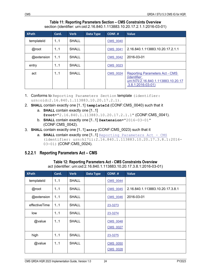#### **Table 11: Reporting Parameters Section – CMS Constraints Overview** section (identifier: urn:oid:2.16.840.1.113883.10.20.17.2.1.1:2016-03-01)

<span id="page-29-1"></span>

| <b>XPath</b> | Card. | <b>Verb</b>  | Data Type | CONF.#          | <b>Value</b>                                                                                                         |
|--------------|-------|--------------|-----------|-----------------|----------------------------------------------------------------------------------------------------------------------|
| templateld   | 1.1   | <b>SHALL</b> |           | <b>CMS 0040</b> |                                                                                                                      |
| @root        | 1.1   | <b>SHALL</b> |           | <b>CMS 0041</b> | 2.16.840.1.113883.10.20.17.2.1.1                                                                                     |
| @extension   | 11    | <b>SHALL</b> |           | <b>CMS 0042</b> | 2016-03-01                                                                                                           |
| entry        | 1.1   | <b>SHALL</b> |           | <b>CMS 0023</b> |                                                                                                                      |
| act          | 1.1   | SHALL        |           | <b>CMS 0024</b> | <b>Reporting Parameters Act - CMS</b><br>(identifier:<br>urn:hl7ii:2.16.840.1.113883.10.20.17<br>$.3.8.1:2016-03-01$ |

1. Conforms to Reporting Parameters Section template (identifier: urn:oid:2.16.840.1.113883.10.20.17.2.1).

- 2. **SHALL** contain exactly one [1..1] **templateId** (CONF:CMS\_0040) such that it
	- a. **SHALL** contain exactly one [1..1] **@root**="2.16.840.1.113883.10.20.17.2.1.1" (CONF:CMS\_0041).
	- b. **SHALL** contain exactly one [1..1] **@extension**="2016-03-01" (CONF:CMS\_0042).
- <span id="page-29-5"></span>3. **SHALL** contain exactly one [1..1] **entry** (CONF:CMS\_0023) such that it
	- a. **SHALL contain exactly one [1..1]** [Reporting Parameters Act CMS](#page-29-0) (identifier: urn:hl7ii:2.16.840.1.113883.10.20.17.3.8.1:2016- 03-01) (CONF:CMS\_0024).

#### <span id="page-29-2"></span><span id="page-29-0"></span>**5.2.2.1 Reporting Parameters Act – CMS**

#### <span id="page-29-7"></span><span id="page-29-6"></span><span id="page-29-4"></span><span id="page-29-3"></span>**Table 12: Reporting Parameters Act - CMS Constraints Overview** act (identifier: urn:oid:2.16.840.1.113883.10.20.17.3.8.1:2016-03-01)

| <b>XPath</b>  | Card. | <b>Verb</b>  | Data Type | CONF. #         | <b>Value</b>                     |
|---------------|-------|--------------|-----------|-----------------|----------------------------------|
| templateId    | 1.1   | <b>SHALL</b> |           | <b>CMS 0044</b> |                                  |
| @root         | 1.1   | <b>SHALL</b> |           | <b>CMS 0045</b> | 2.16.840.1.113883.10.20.17.3.8.1 |
| @extension    | 1.1   | <b>SHALL</b> |           | <b>CMS 0046</b> | 2016-03-01                       |
| effectiveTime | 1.1   | <b>SHALL</b> |           | 23-3273         |                                  |
| low           | 1.1   | <b>SHALL</b> |           | 23-3274         |                                  |
| @value        | 1.1   | <b>SHALL</b> |           | <b>CMS 0048</b> |                                  |
|               |       |              |           | CMS 0027        |                                  |
| high          | 1.1   | <b>SHALL</b> |           | 23-3275         |                                  |
| @value        | 1.1   | <b>SHALL</b> |           | <b>CMS 0050</b> |                                  |
|               |       |              |           | <b>CMS 0028</b> |                                  |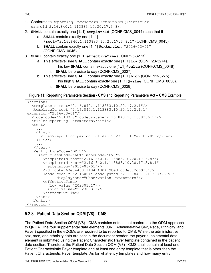- 1. Conforms to Reporting Parameters Act template (identifier: urn:oid:2.16.840.1.113883.10.20.17.3.8).
- <span id="page-30-3"></span><span id="page-30-2"></span>2. **SHALL** contain exactly one [1..1] **templateId** (CONF:CMS 0044) such that it
	- a. **SHALL** contain exactly one [1..1] **@root**="2.16.840.1.113883.10.20.17.3.8.1" (CONF:CMS\_0045).
	- b. **SHALL** contain exactly one [1..1] **@extension**="2016-03-01" (CONF:CMS\_0046).
- <span id="page-30-6"></span><span id="page-30-5"></span><span id="page-30-4"></span>3. **SHALL** contain exactly one [1..1] **effectiveTime** (CONF:23-3273).
	- a. This effectiveTime **SHALL** contain exactly one [1..1] **low** (CONF:23-3274).
		- i. This low **SHALL** contain exactly one [1..1] **@value** (CONF:CMS\_0048).
		- ii. **SHALL** be precise to day (CONF:CMS\_0027)
	- b. This effectiveTime **SHALL** contain exactly one [1..1] **high** (CONF:23-3275).
		- i. This high **SHALL** contain exactly one [1..1] **@value** (CONF:CMS\_0050).
		- ii. **SHALL** be precise to day (CONF:CMS\_0028)

#### <span id="page-30-11"></span><span id="page-30-10"></span><span id="page-30-9"></span><span id="page-30-8"></span><span id="page-30-7"></span><span id="page-30-1"></span>**Figure 11: Reporting Parameters Section - CMS and Reporting Parameters Act – CMS Example**

```
<section>
   <templateId root="2.16.840.1.113883.10.20.17.2.1"/>
   <templateId root="2.16.840.1.113883.10.20.17.2.1.1" 
extension="2016-03-01"/>
   <code code="55187-9" codeSystem="2.16.840.1.113883.6.1"/> <title>Reporting Parameters</title>
   <text>
 ...
     <list>
       <item>Reporting period: 01 Jan 2023 – 31 March 2023</item>
     </list>
     ...
   \langle/text>
   <entry typeCode="DRIV"><br><act classCode="ACT" moodCode="EVN">
        <templateId root="2.16.840.1.113883.10.20.17.3.8"/>
         <templateId root="2.16.840.1.113883.10.20.17.3.8.1" 
           extension="2016-03-01"/> 
         <id root="67e84480-1f84-4d04-9be3-cc3e8c2c6933"/>
         <code code="252116004" codeSystem="2.16.840.1.113883.6.96"
               displayName="Observation Parameters"/>
         <effectiveTime>
           <low value="20230101"/>
           <high value="20230331"/>
     </effectiveTime>
  </entry>
</section>
```
## <span id="page-30-0"></span>**5.2.3 Patient Data Section QDM (V8) - CMS**

The Patient Data Section QDM (V8) - CMS contains entries that conform to the QDM approach to QRDA. The four supplemental data elements (ONC Administrative Sex, Race, Ethnicity, and Payer) specified in the eCQMs are required to be reported to CMS. While the administrative sex, race, and ethnicity data are sent in the document header, the payer supplemental data element is submitted using the Patient Characteristic Payer template contained in the patient data section. Therefore, the Patient Data Section QDM (V8) - CMS shall contain at least one Patient Characteristic Payer template and at least one entry template that is other than the Patient Characteristic Payer template. As for what entry templates and how many entry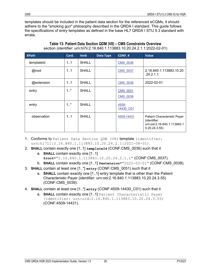templates should be included in the patient data section for the referenced eCQMs, it should adhere to the "smoking gun" philosophy described in the QRDA I standard. This guide follows the specifications of entry templates as defined in the base HL7 QRDA I STU 5.3 standard with errata.

<span id="page-31-0"></span>

| <b>XPath</b> | Card.   | <b>Verb</b>  | Data Type | CONF. #                            | Value                                                                                        |
|--------------|---------|--------------|-----------|------------------------------------|----------------------------------------------------------------------------------------------|
| templateId   | 11      | <b>SHALL</b> |           | <b>CMS 0036</b>                    |                                                                                              |
| @root        | 11      | <b>SHALL</b> |           | <b>CMS 0037</b>                    | 2.16.840.1.113883.10.20<br>.24.2.1.1                                                         |
| @extension   | 11      | <b>SHALL</b> |           | <b>CMS 0038</b>                    | 2022-02-01                                                                                   |
| entry        | $1.1$ * | SHALL        |           | <b>CMS 0051</b><br><b>CMS 0039</b> |                                                                                              |
| entry        | 1.1     | <b>SHALL</b> |           | 4509-<br>14430 C01                 |                                                                                              |
| observation  | 1.1     | <b>SHALL</b> |           | 4509-14431                         | Patient Characteristic Payer<br>(identifier:<br>urn:oid:2.16.840.1.113883.1<br>0.20.24.3.55) |

**Table 13: Patient Data Section QDM (V8) – CMS Constraints Overview** section (identifier: urn:hl7ii:2.16.840.1.113883.10.20.24.2.1.1:2022-02-01)

- 1. Conforms to Patient Data Section QDM (V8) template (identifier: urn:hl7ii:2.16.840.1.113883.10.20.24.2.1:2021-08-01).
- <span id="page-31-2"></span><span id="page-31-1"></span>2. **SHALL** contain exactly one [1..1] **templateId** (CONF:CMS 0036) such that it
	- a. **SHALL** contain exactly one [1..1] **@root**="2.16.840.1.113883.10.20.24.2.1.1" (CONF:CMS\_0037).
	- b. **SHALL** contain exactly one [1..1] **@extension**="2022-02-01" (CONF:CMS\_0038).
- <span id="page-31-4"></span><span id="page-31-3"></span>3. **SHALL** contain at least one [1..\*] **entry** (CONF:CMS\_0051) such that it
	- a. **SHALL** contain exactly one [1..1] entry template that is other than the Patient Characteristic Payer (identifier: urn:oid:2.16.840.1.113883.10.20.24.3.55) (CONF:CMS\_0039).
- <span id="page-31-6"></span><span id="page-31-5"></span>4. **SHALL** contain at least one [1..\*] **entry** (CONF:4509-14430\_C01) such that it
	- a. **SHALL** contain exactly one [1..1] Patient Characteristic Payer (identifier: urn:oid:2.16.840.1.113883.10.20.24.3.55) (CONF:4509-14431).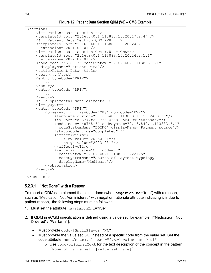**Figure 12: Patient Data Section QDM (V8) – CMS Example**

```
<section>
     <!-- Patient Data Section -->
     <templateId root="2.16.840.1.113883.10.20.17.2.4" /> <!-- Patient Data Section QDM (V8) -->
     <templateId root="2.16.840.1.113883.10.20.24.2.1" 
    extension="2021-08-01"/><br>\langle-- Patient Data Section QDM (V8) - CMS-->
    \texttt{<templateId} \ \texttt{root="2.16.840.1.113883.10.20.24.2.1.1"} \ \texttt{extension="2022-02-01"}/\texttt{>}\text{Code code}=" 55188-7" codeSystem="2.16.840.1.113883.6.1"<br>displayName="Patient Data"/>
     <title>Patient Data</title> <text>...</text>
     <entry typeCode="DRIV">
 ...
    </entry><br><entry typeCode="DRIV">
     ... </entry> <!--supplemental data elements-->
     <!-- payer-->
     <entry typeCode="DRIV">
          <observation classCode="OBS" moodCode="EVN">
              <id root="a83777f2-0753-4638-9bb4-9d0d4a559a52"/>
               <code code="48768-6" codeSystem="2.16.840.1.113883.6.1" 
                  codeSystemName="LOINC" displayName="Payment source"/>
               <statusCode code="completed" />
               <effectiveTime>
                    <low value="20230101"/>
                    <high value="20231231"/>
               </effectiveTime>
               <value xsi:type="CD" code="1" 
                 codeSystemName="Source of Payment Typology"
                  displayName="Medicare"/> 
          </observation>
     </entry>
 ...
</section>
```
#### <span id="page-32-0"></span>**5.2.3.1 "Not Done" with a Reason**

To report a QDM data element that is not done (when **negationInd**="true") with a reason, such as "Medication Not Administered" with negation rationale attribute indicating it is due to patient reason, the following steps must be followed:

- 1. Must set the attribute negataionInd="true"
- 2. If QDM in eCQM specification is defined using a value set, for example, ["Medication, Not Ordered": "Warfarin"]:
	- Must provide code/[@nullFlavor="NA"]
	- Must provide the value set OID instead of a specific code from the value set. Set the code attribute code/sdtc:valueSet="[VSAC value set OID]"
		- $\circ$  Use  $\circ$ ode/originalText for the text description of the concept in the pattern "None of value set: [value set name]"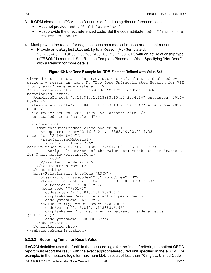- 3. If QDM element in eCQM specification is defined using direct referenced code:
	- Must not provide code/[@nullFlavor="NA"]
	- Must provide the direct referenced code. Set the code attribute  $\c{code} = "[The Direct]$ Referenced Code]"
- 4. Must provide the reason for negation, such as a medical reason or a patient reason
	- Provide an **entryRelationship** to a Reason (V3) (templateId:
		- 2.16.840.1.113883.10.20.24.3.88:2017-08-01") with an actRelationship type of "RSON" is required. See [Reason Template Placement When Specifying "Not Done"](#page-48-0)  [with a Reason](#page-48-0) for more details.

#### **Figure 13: Not Done Example for QDM Element Defined with Value Set**

```
<!--Medication not administered, patient refusal: Drug declined by 
patient - reason unknown. No "Low Dose Unfractionated Heparin for VTE 
Prophylaxis" were administered -->
<substanceAdministration classCode="SBADM" moodCode="EVN" 
negationInd="true">
 <templateId root="2.16.840.1.113883.10.20.22.4.16" extension="2014- 06-09"/>
   <templateId root="2.16.840.1.113883.10.20.24.3.42" extension="2022-
08-01"/>
   <id root="48cb49dc-2bf7-43e9-9824-8538665158f8" />
   <statusCode code="completed"/>
   ... <consumable>
    <manufacturedProduct classCode="MANU">
       <templateId root="2.16.840.1.113883.10.20.22.4.23" 
extension="2014-06-09"/>
       <manufacturedMaterial>
sdtc:valueSet="2.16.840.1.113883.3.464.1003.196.12.1001">
           <originalText>None of the value set: Antibiotic Medications 
for Pharyngitis</originalText> </code>
       </manufacturedMaterial>
  </manufacturedProduct> </consumable>
   <entryRelationship typeCode="RSON">
      \texttt{XtemplateId} root="2.16.840.1.113883.10.20.24.3.88"
         extension="2017-08-01" />
       <code code="77301-0" 
         codeSystem="2.16.840.1.113883.6.1" 
         displayName="Reason care action performed or not"
      codeSystemName="LOINC" /><br><value xsi:type="CD" code="182897004"
        codeSystem="2.16.840.1.113883.6.96"
         displayName="Drug declined by patient – side effects 
(situation)" 
         codeSystemName="SNOMED CT"/>
     </observation>
   </entryRelationship>
</substanceAdministration>
```
## <span id="page-33-0"></span>**5.2.3.2 Reporting "unit" for Result Value**

If eCQM definition uses the "unit" in the measure logic for the "result" criteria, the patient QRDA report must report the result with the exact appropriate/required unit specified in the eCQM. For example, in the measure logic for maximum LDL-c result of less than 70 mg/dL, Unified Code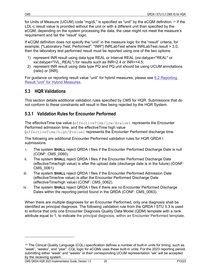for Units of Measure (UCUM) code "mg/dL" is specified as "unit" by the eCQM definition.[10](#page-34-2) If the LDL-c result value is provided without the unit or with a different unit than specified by the eCQM, depending on the system processing the data, the case might not meet the measure's requirement and fail the "result" logic.

If eCQM definition does not specify the "unit" in the measure logic for the "result" criteria, for example, ["Laboratory Test, Performed": "INR"] INRLabTest where INRLabTest.result > 3.0, then the laboratory test performed result must be reported using one of the two options:

- 1) represent INR result using data type REAL or Interval REAL (xsi:datype="REAL" or xsi:datype="IVL\_REAL") for results such as INR=2.4 or INR>=4.5;
- 2) represent INR result using data type PQ and PQ.unit should be using UCUM annotations {ratio} or {INR}.

For guidance on reporting result value "unit" for hybrid measures, please see [6.2](#page-43-0) Reporting [Result "unit" for Hybrid Measures.](#page-43-0)

#### <span id="page-34-0"></span>**5.3 HQR Validations**

This section details additional validation rules specified by CMS for HQR. Submissions that do not conform to these constraints will result in files being rejected by the HQR System.

#### <span id="page-34-1"></span>**5.3.1 Validation Rules for Encounter Performed**

The effectiveTime low value (effectiveTime/low/@value) represents the Encounter Performed admission time, and the effectiveTime high value (effectiveTime/high/@value) represents the Encounter Performed discharge time.

The following are additional Encounter Performed validation rules for HQR QRDA I submissions.

- i. The system **SHALL** reject QRDA I files if the Encounter Performed Discharge Date is null (CONF: CMS\_0060).
- ii. The system **SHALL** reject QRDA I files if the Encounter Performed Discharge Date (effectiveTime/high value) is after the upload date (discharge date is in the future) (CONF: CMS\_0061).
- iii. The system **SHALL** reject QRDA I files if the Encounter Performed Admission Date (effectiveTime/low value) is after the Encounter Performed Discharge Date (effectiveTime/high value) (CONF: CMS\_0062).
- iv. The system **SHALL** reject QRDA I files if there are no Encounter Performed Discharge Dates within the reporting period found in the QRDA (CONF: CMS 0063).

When there are multiple diagnoses for an Encounter Performed, only one diagnosis shall be identified as principal diagnosis. The following validation rule from the QRDA I STU 5.3 is used to enforce that only one Encounter Diagnosis Quality Data Model (QDM) template with a rank attribute equal to 1, to indicate the principal diagnosis, within an Encounter Performed template.

<span id="page-34-2"></span> $10$  The Clinical Quality Language (CQL) specification defines a number of built-in units for timing, such as "week", "weeks", and "year". CQL logic for eCQMs uses these built-in units. For the 2023 reporting period, submitting either "week" and "weeks" or their corresponding UCUM representation "wk" will be accepted by the receiving system.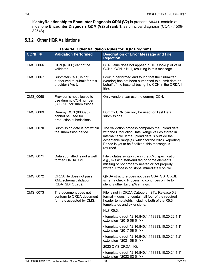If **entryRelationship to Encounter Diagnosis QDM (V2)** is present**, SHALL** contain at most one **Encounter Diagnosis QDM (V2)** of **rank 1**, as principal diagnosis (CONF:4509- 32546).

#### <span id="page-35-0"></span>**5.3.2 Other HQR Validations**

#### **Table 14: Other Validation Rules for HQR Programs**

<span id="page-35-1"></span>

| CONF.#   | <b>Validation Performed</b>                                                     | <b>Description of Error Message and File</b><br><b>Rejection</b>                                                                                                                                                                                                            |  |  |
|----------|---------------------------------------------------------------------------------|-----------------------------------------------------------------------------------------------------------------------------------------------------------------------------------------------------------------------------------------------------------------------------|--|--|
| CMS_0066 | CCN (NULL) cannot be<br>validated.                                              | CCN value does not appear in HQR lookup of valid<br>CCNs. CCN is Null, resulting in this message.                                                                                                                                                                           |  |  |
| CMS_0067 | Submitter (%s) is not<br>authorized to submit for this<br>provider (%s).        | Lookup performed and found that the Submitter<br>(vendor) has not been authorized to submit data on<br>behalf of the hospital (using the CCN in the QRDA I<br>file).                                                                                                        |  |  |
| CMS 0068 | Provider is not allowed to<br>use dummy CCN number<br>(800890) for submissions. | Only vendors can use the dummy CCN.                                                                                                                                                                                                                                         |  |  |
| CMS_0069 | Dummy CCN (800890)<br>cannot be used for<br>production submissions.             | Dummy CCN can only be used for Test Data<br>submissions.                                                                                                                                                                                                                    |  |  |
| CMS_0070 | Submission date is not within<br>the submission period.                         | The validation process compares the upload date<br>with the Production Date Range values stored in<br>internal table. If the upload date is outside the<br>acceptable range(s), which for the 2023 Reporting<br>Period is yet to be finalized, this message is<br>returned. |  |  |
| CMS_0071 | Data submitted is not a well<br>formed QRDA XML.                                | File violates syntax rule in the XML specification,<br>e.g., missing start/end tag or prime elements<br>missing or not properly nested or not properly<br>written. Processing stops immediately on file.                                                                    |  |  |
| CMS_0072 | QRDA file does not pass<br>XML schema validation<br>(CDA_SDTC.xsd).             | QRDA structure does not pass CDA_SDTC.XSD<br>schema check. Processing continues on file to<br>identify other Errors/Warnings.                                                                                                                                               |  |  |
| CMS_0073 | The document does not<br>conform to QRDA document<br>formats accepted by CMS.   | File is not in QRDA Category I STU Release 5.3<br>format -- does not contain all four of the required<br>header templatelds including both of the R5.3<br>templatelds and extensions:                                                                                       |  |  |
|          |                                                                                 | HL7 R5.3:                                                                                                                                                                                                                                                                   |  |  |
|          |                                                                                 | <templateid <br="" root="2.16.840.1.113883.10.20.22.1.1">extension="2015-08-01"/&gt;</templateid>                                                                                                                                                                           |  |  |
|          |                                                                                 | <templateid <br="" root="2.16.840.1.113883.10.20.24.1.1">extension="2017-08-01"/&gt;</templateid>                                                                                                                                                                           |  |  |
|          |                                                                                 | <templateid <br="" root="2.16.840.1.113883.10.20.24.1.2">extension="2021-08-01"/&gt;</templateid>                                                                                                                                                                           |  |  |
|          |                                                                                 | 2023 CMS QRDA I IG:                                                                                                                                                                                                                                                         |  |  |
|          |                                                                                 | <templateid <br="" root="2.16.840.1.113883.10.20.24.1.3">extension="2022-02-01"/&gt;</templateid>                                                                                                                                                                           |  |  |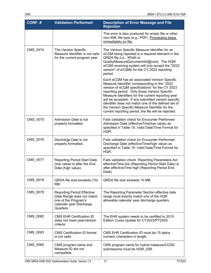| CONF.#   | <b>Validation Performed</b>                                                                                                    | <b>Description of Error Message and File</b><br><b>Rejection</b>                                                                                                                                                                                                                                                                                                                                                                                                                 |
|----------|--------------------------------------------------------------------------------------------------------------------------------|----------------------------------------------------------------------------------------------------------------------------------------------------------------------------------------------------------------------------------------------------------------------------------------------------------------------------------------------------------------------------------------------------------------------------------------------------------------------------------|
|          |                                                                                                                                | This error is also produced for empty file or other<br>non-XML file type (e.g., PDF). Processing stops<br>immediately on file.                                                                                                                                                                                                                                                                                                                                                   |
| CMS_0074 | The Version Specific<br>Measure Identifier is not valid<br>for the current program year.                                       | The Version Specific Measure Identifier for an<br>eCQM being reported is a required element in the<br>QRDA file (i.e., XPath is<br>QualityMeasureDocument/id/@root). The HQR<br>eCQM receiving system will only accept the "2022<br>version" of eCQMs for the CY 2023 reporting<br>period.                                                                                                                                                                                       |
|          |                                                                                                                                | Each eCQM has an associated Version Specific<br>Measure Identifier corresponding to the "2022<br>version of eCQM specifications" for the CY 2023<br>reporting period. Only those Version Specific<br>Measure Identifiers for the current reporting year<br>will be accepted. If any submitted version specific<br>identifier does not match one of the defined set of<br>the Version Specific Measure Identifier for the<br>current reporting period, the file will be rejected. |
| CMS_0075 | Admission Date is not<br>properly formatted.                                                                                   | Fails validation check for Encounter Performed<br>Admission Date (effectiveTime/low value) as<br>specified in Table 15: Valid Date/Time Format for<br>HQR.                                                                                                                                                                                                                                                                                                                       |
| CMS_0076 | Discharge Date is not<br>properly formatted.                                                                                   | <b>Fails validation check for Encounter Performed</b><br>Discharge Date (effectiveTime/high value) as<br>specified in Table 15: Valid Date/Time Format for<br>HQR.                                                                                                                                                                                                                                                                                                               |
| CMS_0077 | <b>Reporting Period Start Date</b><br>(low value) is after the End<br>Date (high value).                                       | Fails validation check. Reporting Parameters Act<br>effectiveTime low (Reporting Period Start Date) is<br>after effectiveTime high (Reporting Period End<br>Date).                                                                                                                                                                                                                                                                                                               |
| CMS_0078 | QRDA file size exceeds (10)<br>MB.                                                                                             | QRDA file size exceeds 10 MB.                                                                                                                                                                                                                                                                                                                                                                                                                                                    |
| CMS_0079 | <b>Reporting Period Effective</b><br>Date Range does not match<br>one of the Program's<br>calendar year Discharge<br>Quarters. | The Reporting Parameter Section effective date<br>range must exactly match one of the HQR<br>allowable calendar year discharge quarters.                                                                                                                                                                                                                                                                                                                                         |
| CMS_0082 | <b>CMS EHR Certification ID</b><br>does not meet year/version<br>criteria.                                                     | The EHR system needs to be certified to 2015<br>Edition Cures Update for CY2023/PY2025.                                                                                                                                                                                                                                                                                                                                                                                          |
| CMS_0083 | <b>CMS Certification ID format</b><br>is not valid.                                                                            | CMS EHR Certification ID must be 15 alpha<br>numeric characters in length.                                                                                                                                                                                                                                                                                                                                                                                                       |
| CMS_0085 | CMS program name and<br>Measure ID are not<br>compatible.                                                                      | CMS program name for hybrid measure/CCDE<br>submissions must be HQR_IQR.                                                                                                                                                                                                                                                                                                                                                                                                         |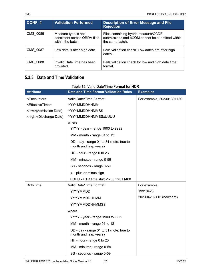| CONF.#          | <b>Validation Performed</b>                                              | <b>Description of Error Message and File</b><br><b>Rejection</b>                                           |
|-----------------|--------------------------------------------------------------------------|------------------------------------------------------------------------------------------------------------|
| CMS 0086        | Measure type is not<br>consistent across QRDA files<br>within the batch. | Files containing hybrid measure/CCDE<br>submissions and eCQM cannot be submitted within<br>the same batch. |
| <b>CMS 0087</b> | Low date is after high date.                                             | Fails validation check. Low dates are after high<br>dates.                                                 |
| <b>CMS 0088</b> | Invalid DateTime has been<br>provided.                                   | Fails validation check for low and high date time<br>format.                                               |

### **5.3.3 Date and Time Validation**

# **Table 15: Valid Date/Time Format for HQR**

<span id="page-37-0"></span>

| <b>Attribute</b>                | <b>Date and Time Format Validation Rules</b>                      | <b>Examples</b>           |
|---------------------------------|-------------------------------------------------------------------|---------------------------|
| <encounter></encounter>         | Valid Date/Time Format:                                           | For example, 202301301130 |
| <effectivetime></effectivetime> | YYYYMMDDHHMM                                                      |                           |
| <low>(Admission Date)</low>     | <b>YYYYMMDDHHMMSS</b>                                             |                           |
| <high>(Discharge Date)</high>   | YYYYMMDDHHMMSSxUUUU                                               |                           |
|                                 | where                                                             |                           |
|                                 | YYYY - year - range 1900 to 9999                                  |                           |
|                                 | MM - month - range 01 to 12                                       |                           |
|                                 | DD - day - range 01 to 31 (note: true to<br>month and leap years) |                           |
|                                 | HH - hour - range 0 to 23                                         |                           |
|                                 | MM - minutes - range 0-59                                         |                           |
|                                 | SS - seconds - range 0-59                                         |                           |
|                                 | x - plus or minus sign                                            |                           |
|                                 | UUUU - UTC time shift -1200 thru+1400                             |                           |
| <b>BirthTime</b>                | Valid Date/Time Format:                                           | For example,              |
|                                 | YYYYMMDD                                                          | 19910428                  |
|                                 | YYYYMMDDHHMM                                                      | 202304202115 (newborn)    |
|                                 | <b>YYYYMMDDHHMMSS</b>                                             |                           |
|                                 | where                                                             |                           |
|                                 | YYYY - year - range 1900 to 9999                                  |                           |
|                                 | MM - month - range 01 to 12                                       |                           |
|                                 | DD - day - range 01 to 31 (note: true to<br>month and leap years) |                           |
|                                 | HH - hour - range 0 to 23                                         |                           |
|                                 | MM - minutes - range 0-59                                         |                           |
|                                 | SS - seconds - range 0-59                                         |                           |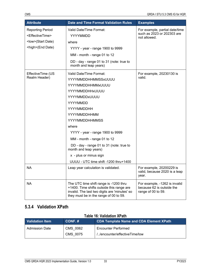| <b>Attribute</b>                | <b>Date and Time Format Validation Rules</b>                                                                                                                                   | <b>Examples</b>                                                                  |
|---------------------------------|--------------------------------------------------------------------------------------------------------------------------------------------------------------------------------|----------------------------------------------------------------------------------|
| <b>Reporting Period</b>         | Valid Date/Time Format:                                                                                                                                                        | For example, partial date/time                                                   |
| <effectivetime></effectivetime> | <b>YYYYMMDD</b>                                                                                                                                                                | such as 2023 or 202303 are<br>not allowed.                                       |
| <low>(Start Date)</low>         | where                                                                                                                                                                          |                                                                                  |
| <high>(End Date)</high>         | YYYY - year - range 1900 to 9999                                                                                                                                               |                                                                                  |
|                                 | MM - month - range 01 to 12                                                                                                                                                    |                                                                                  |
|                                 | DD - day - range 01 to 31 (note: true to<br>month and leap years)                                                                                                              |                                                                                  |
| EffectiveTime (US               | Valid Date/Time Format:                                                                                                                                                        | For example, 20230130 is                                                         |
| Realm Header)                   | YYYYMMDDHHMMSSxUUUU                                                                                                                                                            | valid.                                                                           |
|                                 | YYYYMMDDHHMMxUUUU                                                                                                                                                              |                                                                                  |
|                                 | YYYYMMDDHHxUUUU                                                                                                                                                                |                                                                                  |
|                                 | YYYYMMDDxUUUU                                                                                                                                                                  |                                                                                  |
|                                 | YYYYMMDD                                                                                                                                                                       |                                                                                  |
|                                 | YYYYMMDDHH                                                                                                                                                                     |                                                                                  |
|                                 | YYYYMMDDHHMM                                                                                                                                                                   |                                                                                  |
|                                 | YYYYMMDDHHMMSS                                                                                                                                                                 |                                                                                  |
|                                 | where                                                                                                                                                                          |                                                                                  |
|                                 | YYYY - year - range 1900 to 9999                                                                                                                                               |                                                                                  |
|                                 | MM - month - range 01 to 12                                                                                                                                                    |                                                                                  |
|                                 | DD - day - range 01 to 31 (note: true to<br>month and leap years)                                                                                                              |                                                                                  |
|                                 | x - plus or minus sign                                                                                                                                                         |                                                                                  |
|                                 | UUUU - UTC time shift -1200 thru+1400                                                                                                                                          |                                                                                  |
| <b>NA</b>                       | Leap year calculation is validated.                                                                                                                                            | For example, 20200229 is<br>valid, because 2020 is a leap<br>year.               |
| <b>NA</b>                       | The UTC time shift range is -1200 thru<br>+1400. Time shifts outside this range are<br>invalid. The last two digits are 'minutes' so<br>they must be in the range of 00 to 59. | For example, -1262 is invalid<br>because 62 is outside the<br>range of 00 to 59. |

### **5.3.4 Validation XPath**

### **Table 16: Validation XPath**

| <b>Nalidation Item</b> | CONF.#   | <b>CDA Template Name and CDA Element XPath</b> |
|------------------------|----------|------------------------------------------------|
| <b>Admission Date</b>  | CMS 0062 | <b>Encounter Performed</b>                     |
|                        | CMS 0075 | //encounter/effectiveTime/low                  |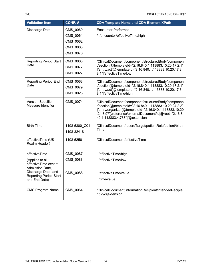| <b>Validation Item</b>                                                                   | CONF.#                                                   | <b>CDA Template Name and CDA Element XPath</b>                                                                                                                                                                                                                      |
|------------------------------------------------------------------------------------------|----------------------------------------------------------|---------------------------------------------------------------------------------------------------------------------------------------------------------------------------------------------------------------------------------------------------------------------|
| Discharge Date                                                                           | CMS_0060<br>CMS_0061<br>CMS_0062<br>CMS_0063<br>CMS_0076 | <b>Encounter Performed</b><br>//encounter/effectiveTime/high                                                                                                                                                                                                        |
| <b>Reporting Period Start</b><br>Date                                                    | CMS_0063<br>CMS_0077<br>CMS_0027                         | /ClinicalDocument/component/structuredBody/componen<br>t/section[@templateId="2.16.840.1.113883.10.20.17.2.1"<br>]/entry/act[@templateId="2.16.840.1.113883.10.20.17.3.<br>8.1"]/effectiveTime/low                                                                  |
| <b>Reporting Period End</b><br>Date                                                      | CMS_0063<br>CMS_0079<br>CMS_0028                         | /ClinicalDocument/component/structuredBody/componen<br>t/section[@templateId="2.16.840.1.113883.10.20.17.2.1"<br>]/entry/act[@templateId="2.16.840.1.113883.10.20.17.3.<br>8.1"]/effectiveTime/high                                                                 |
| <b>Version Specific</b><br>Measure Identifier                                            | CMS_0074                                                 | /ClinicalDocument/component/structuredBody/componen<br>t/section[@templateId="2.16.840.1.113883.10.20.24.2.2"<br>]/entry/organizer[@templateId="2.16.840.1.113883.10.20<br>.24.3.97")/reference/externalDocument/id[@root="2.16.8<br>40.1.113883.4.738"]/@extension |
| <b>Birth Time</b>                                                                        | 1198-5300 C01<br>1198-32418                              | /ClinicalDocument/recordTarget/patientRole/patient/birth<br>Time                                                                                                                                                                                                    |
| effectiveTime (US<br>Realm Header)                                                       | 1198-5256                                                | /ClinicalDocument/effectiveTime                                                                                                                                                                                                                                     |
| effectiveTime<br>(Applies to all<br>effectiveTime except                                 | CMS_0087<br>CMS_0088                                     | /effectiveTime/high<br>/effectiveTime/low                                                                                                                                                                                                                           |
| Admission Date,<br>Discharge Date, and<br><b>Reporting Period Start</b><br>and End Date) | CMS_0088                                                 | /effectiveTime/value<br>/time/value                                                                                                                                                                                                                                 |
| <b>CMS Program Name</b>                                                                  | CMS 0064                                                 | /ClinicalDocument/informationRecipient/intendedRecipie<br>nt/id/@extension                                                                                                                                                                                          |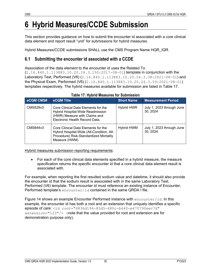# **6 Hybrid Measures/CCDE Submission**

This section provides guidance on how to submit the encounter id associated with a core clinical data element and report result "unit" for submissions for hybrid measures.

Hybrid Measures/CCDE submissions SHALL use the CMS Program Name HQR\_IQR.

### **6.1 Submitting the encounter id associated with a CCDE**

Association of the data element to the encounter id uses the Related To

(2.16.840.1.113883.10.20.24.3.150:2017-08-01) template in conjunction with the Laboratory Test, Performed (V6) (2.16.840.1.113883.10.20.24.3.38:2021-08-01) and the Physical Exam, Performed (V6) (2.16.840.1.113883.10.20.24.3.59:2021-08-01) templates respectively. The hybrid measures available for submission are listed in [Table 17.](#page-40-0)

<span id="page-40-0"></span>

| eCQM CMS# | eCQM Title                                                                                                                                  | <b>Short Name</b> | <b>Measurement Period</b>             |
|-----------|---------------------------------------------------------------------------------------------------------------------------------------------|-------------------|---------------------------------------|
| CMS529v3  | Core Clinical Data Elements for the<br>Hybrid Hospital-Wide Readmission<br>(HWR) Measure with Claims and<br>Electronic Health Record Data.  | <b>Hybrid HWR</b> | July 1, 2023 through June<br>30, 2024 |
| CMS844v3  | Core Clinical Data Elements for the<br>Hybrid Hospital-Wide (All-Condition, All-<br>Procedure) Risk-Standardized Mortality<br>Measure (HWM) | Hybrid HWM        | July 1, 2023 through June<br>30.2024  |

#### **Table 17: Hybrid Measures for Submission**

Hybrid measures submission reporting requirements:

• For each of the core clinical data elements specified in a hybrid measure, the measure specification returns the specific encounter id that a core clinical data element result is associated with.

For example, when reporting the first resulted sodium value and datetime, it should also provide the encounter id that the sodium result is associated with in the same Laboratory Test, Performed (V6) template. The encounter id must reference an existing instance of Encounter, Performed template's encounter/id contained in the same QRDA I file.

[Figure 14](#page-41-0) shows an example Encounter Performed instance with encounter/id. In this example, the encounter id has both a root and an extension that uniquely identifies a specific episode of care: <id root="4836d196-85d5-480c-b640-e470790eec7d" extension="123"/> (note that the value provided for root and extension are for demonstration purpose only).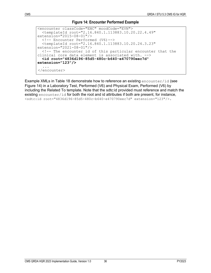#### **Figure 14: Encounter Performed Example**

```
<encounter classCode="ENC" moodCode="EVN">
 <templateId root="2.16.840.1.113883.10.20.22.4.49" 
  \langle!-- Encounter Performed (V6)-->
 <templateId root="2.16.840.1.113883.10.20.24.3.23" 
\langle!-- The encounter id of this particular encounter that the clinical core data element is associated with. -->
  clinical core data element is associated with. --> <id root="4836d196-85d5-480c-b640-e470790eec7d" 
extension="123"/>
   ...
</encounter>
```
Example XMLs in [Table 18](#page-42-0) demonstrate how to reference an existing encounter/id (see [Figure 14\)](#page-41-0) in a Laboratory Test, Performed (V6) and Physical Exam, Performed (V6) by including the Related To template. Note that the sdtc:id provided must reference and match the existing encounter/id for both the root and id attributes if both are present, for instance, <sdtc:id root="4836d196-85d5-480c-b640-e470790eec7d" extension="123"/>.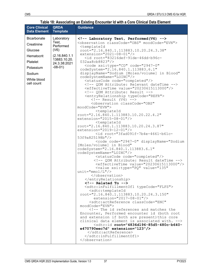### **Table 18: Associating an Existing Encounter Id with a Core Clinical Data Element**

<span id="page-42-0"></span>

| <b>Core Clinical</b><br><b>Data Element</b>                                                                               | <b>QRDA</b><br><b>Template</b>                                                                          | <b>Guidance</b>                                                                                                                                                                                                                                                                                                                                                                                                                                                                                                                                                                                                                                                                                                                                                                                                                                                                                                                                                                                                                                                                                                                                                                                                                                                                                                                                                                                                                                                                                                                                                                                                                                                                                                                                                                                                                                                                                                                                                                                                                                                                                                                                                                       |
|---------------------------------------------------------------------------------------------------------------------------|---------------------------------------------------------------------------------------------------------|---------------------------------------------------------------------------------------------------------------------------------------------------------------------------------------------------------------------------------------------------------------------------------------------------------------------------------------------------------------------------------------------------------------------------------------------------------------------------------------------------------------------------------------------------------------------------------------------------------------------------------------------------------------------------------------------------------------------------------------------------------------------------------------------------------------------------------------------------------------------------------------------------------------------------------------------------------------------------------------------------------------------------------------------------------------------------------------------------------------------------------------------------------------------------------------------------------------------------------------------------------------------------------------------------------------------------------------------------------------------------------------------------------------------------------------------------------------------------------------------------------------------------------------------------------------------------------------------------------------------------------------------------------------------------------------------------------------------------------------------------------------------------------------------------------------------------------------------------------------------------------------------------------------------------------------------------------------------------------------------------------------------------------------------------------------------------------------------------------------------------------------------------------------------------------------|
| <b>Bicarbonate</b><br>Creatinine<br>Glucose<br>Hematocrit<br>Platelet<br>Potassium<br>Sodium<br>White blood<br>cell count | Laboratory<br>Test,<br>Performed<br>(V6)<br>(2.16.840.1.1)<br>13883.10.20.<br>24.3.38:2021<br>$-08-01)$ | Laboratory Test, Performed(V6)<br><observation classcode="OBS" moodcode="EVN"><br/><templateid<br>root="2.16.840.1.113883.10.20.24.3.38"<br/>extension="2021-08-01"/&gt;<br/><id root="83216def-91de-46dd-b96c-&lt;br&gt;032aa8cb8823"></id><br/><code <br="" code="2947-0" xsi:type="CD">codeSystem="2.16.840.1.113883.6.1"<br/>displayName="Sodium [Moles/volume] in Blood"<br/>codeSystemName="LOINC"/&gt;<br/><statuscode code="completed"></statuscode><br/><!-- QDM Attribute: Relevant dateTime --><br/><effectivetime value="20230615113000"></effectivetime><br/><!-- QDM Attribute: Result --><br/><entryrelationship typecode="REFR"><br/><math>\langle</math>!-- Result (V4) --&gt;<br/><observation <br="" classcode="OBS">moodCode="EVN"&gt;<br/><templateid<br>root="2.16.840.1.113883.10.20.22.4.2"<br/>extension="2015-08-01"/&gt;<br/><templateid<br>root="2.16.840.1.113883.10.20.24.3.87"<br/>extension="2019-12-01"/&gt;<br/><id 2947-0"="" <br="" displayname="Sodium&lt;br&gt;[Moles/volume] in Blood" root="3fad091f-7b4e-4661-b61c-&lt;br&gt;53f9a825198b''/&lt;br&gt;&lt;code code=">codeSystem="2.16.840.1.113883.6.1"<br/>codeSystemName="LOINC"/&gt;<br/><statuscode code="completed"></statuscode><br/><!-- QDM Attribute: Result dateTime --><br/><effectivetime value="20230615113000"></effectivetime><br/><value <br="" value="135" xsi:type="PQ"><math>unit="mon/L"</math>/&gt;<br/></value></id></templateid<br></templateid<br></observation><br/></entryrelationship><br/><math>\langle</math>!-- Related To --&gt;<br/><sdtc:infulfillmentof1 typecode="FLFS"><br/><sdtc:templateid<br>root="2.16.840.1.113883.10.20.24.3.150"<br/>extension="2017-08-01"/&gt;<br/><sdtc:actreference <br="" classcode="ENC">moodCode="EVN"&gt;<br/><!-- The id references and matches the<br>Encounter, Performed encounter id (both root<br>and extension if both are present) this core<br>clinical data element is associated with. --><br/><sdtc:id extension="123" root="4836d196-85d5-480c-b640-&lt;br&gt;e470790eec7d"></sdtc:id><br/></sdtc:actreference><br/></sdtc:templateid<br></sdtc:infulfillmentof1><br/></code></templateid<br></observation> |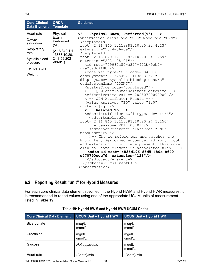| <b>Core Clinical</b><br><b>Data Element</b>                                                                              | <b>QRDA</b><br><b>Template</b>                                                                | <b>Guidance</b>                                                                                                                                                                                                                                                                                                                                                                                                                                                                                                                                                                                                                                                                                                                                                                                                                                                                                                                                                                                                                                                                                                                                                                                                                                                                                                                                                                                                                                                                                                            |
|--------------------------------------------------------------------------------------------------------------------------|-----------------------------------------------------------------------------------------------|----------------------------------------------------------------------------------------------------------------------------------------------------------------------------------------------------------------------------------------------------------------------------------------------------------------------------------------------------------------------------------------------------------------------------------------------------------------------------------------------------------------------------------------------------------------------------------------------------------------------------------------------------------------------------------------------------------------------------------------------------------------------------------------------------------------------------------------------------------------------------------------------------------------------------------------------------------------------------------------------------------------------------------------------------------------------------------------------------------------------------------------------------------------------------------------------------------------------------------------------------------------------------------------------------------------------------------------------------------------------------------------------------------------------------------------------------------------------------------------------------------------------------|
| Heart rate<br>Oxygen<br>saturation<br>(V6)<br>Respiratory<br>rate<br>Systolic blood<br>pressure<br>Temperature<br>Weight | Physical<br>Exam,<br>Performed<br>(2.16.840.1.1)<br>13883.10.20.<br>24.3.59:2021<br>$-08-01)$ | Physical Exam, Performed(V6)<br><observation classcode="OBS" moodcode="EVN"><br/><templateid<br>root="2.16.840.1.113883.10.20.22.4.13"<br/>extension="2014-06-09"/&gt;<br/><templateid<br>root="2.16.840.1.113883.10.20.24.3.59"<br/>extension="2021-08-01"/&gt;<br/><id <br="" cd"="" code="8480-6" root="09982a50-a3f7-422b-9eb2-&lt;br&gt;d9e26ad6448b''/&lt;br&gt;&lt;code xsi:type=">codeSystem="2.16.840.1.113883.6.1"<br/>displayName="Systolic blood pressure"<br/>codeSystemName="LOINC"/&gt;<br/><statuscode code="completed"></statuscode><br/><!-- QDM Attribute: Relevant dateTime --><br/><effectivetime value="20230729090000"></effectivetime><br/><!-- QDM Attribute: Result --><br/><value <br="" value="120" xsi:type="PQ"><math>unit="mm[Hq]''/&gt;</math><br/><math>\langle</math>!-- Related To --&gt;<br/><sdtc:infulfillmentof1 typecode="FLFS"><br/><sdtc:templateid<br>root="2.16.840.1.113883.10.20.24.3.150"<br/><math>extension="2017-08-01"</math><br/><sdtc:actreference <br="" classcode="ENC">moodCode="EVN"&gt;<br/><!-- The id references and matches the<br>Encounter, Performed encounter id (both root<br>and extension if both are present) this core<br>clinical data element is associated with. --><br/><sdtc:id extension="123" root="4836d196-85d5-480c-b640-&lt;br&gt;e470790eec7d"></sdtc:id><br/></sdtc:actreference><br/></sdtc:templateid<br></sdtc:infulfillmentof1><br/><math>\langle</math>/observation&gt;</value></id></templateid<br></templateid<br></observation> |

### **6.2 Reporting Result "unit" for Hybrid Measures**

For each core clinical data element specified in the Hybrid HWM and Hybrid HWR measures, it is recommended to report values using one of the appropriate UCUM units of measurement listed in [Table 19.](#page-43-0)

<span id="page-43-0"></span>

| <b>Core Clinical Data Element</b> | <b>UCUM Unit - Hybrid HWM</b> | <b>UCUM Unit - Hybrid HWR</b> |
|-----------------------------------|-------------------------------|-------------------------------|
| <b>Bicarbonate</b>                | meg/L<br>mmol/L               | meq/L<br>mmol/L               |
| Creatinine                        | mg/dL<br>umol/L               | mg/dL<br>umol/L               |
| Glucose                           | Not applicable                | mg/dL<br>mmol/L               |
| Heart rate                        | Beats}/min}                   | {Beats}/min                   |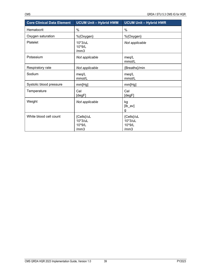| <b>Core Clinical Data Element</b> | <b>UCUM Unit - Hybrid HWM</b>           | <b>UCUM Unit - Hybrid HWR</b>           |
|-----------------------------------|-----------------------------------------|-----------------------------------------|
| Hematocrit                        | $\%$                                    | %                                       |
| Oxygen saturation                 | %{Oxygen}                               | %{Oxygen}                               |
| Platelet                          | $10*3$ /uL<br>10*9/L<br>/mm3            | Not applicable                          |
| Potassium                         | Not applicable                          | meg/L<br>mmol/L                         |
| Respiratory rate                  | Not applicable                          | {Breaths}/min                           |
| Sodium                            | meq/L<br>mmol/L                         | meq/L<br>mmol/L                         |
| Systolic blood pressure           | mm[Hg]                                  | mm[Hg]                                  |
| Temperature                       | Cel<br>[degF]                           | Cel<br>[degF]                           |
| Weight                            | Not applicable                          | kg<br>$[lb_av]$<br>g                    |
| White blood cell count            | {Cells}/uL<br>10*3/uL<br>10*9/L<br>/mm3 | {Cells}/uL<br>10*3/uL<br>10*9/L<br>/mm3 |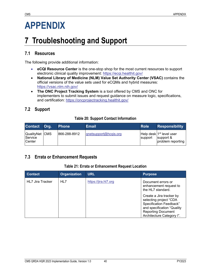# **APPENDIX**

# **7 Troubleshooting and Support**

### **7.1 Resources**

The following provide additional information:

- **eCQI Resource Center** is the one-stop shop for the most current resources to support electronic clinical quality improvement:<https://ecqi.healthit.gov/>
- **National Library of Medicine (NLM) Value Set Authority Center (VSAC)** contains the official versions of the value sets used for eCQMs and hybrid measures: <https://vsac.nlm.nih.gov/>
- **The ONC Project Tracking System** is a tool offered by CMS and ONC for implementers to submit issues and request guidance on measure logic, specifications, and certification:<https://oncprojectracking.healthit.gov/>

## **7.2 Support**

### **Table 20: Support Contact Information**

| Contact Org.                                      | <b>Phone</b> | Email                 | <b>Role</b> | <b>Responsibility</b>                                                  |
|---------------------------------------------------|--------------|-----------------------|-------------|------------------------------------------------------------------------|
| QualityNet CMS<br><b>Service</b><br><b>Center</b> | 866-288-8912 | gnetsupport@hcqis.org | support     | Help desk 1 <sup>st</sup> level user<br>support &<br>problem reporting |

### **7.3 Errata or Enhancement Requests**

#### **Table 21: Errata or Enhancement Request Location**

| <b>Contact</b>          | <b>Organization</b> | <b>URL</b>           | <b>Purpose</b>                                                                                                                                                        |
|-------------------------|---------------------|----------------------|-----------------------------------------------------------------------------------------------------------------------------------------------------------------------|
| <b>HL7 Jira Tracker</b> | HL7                 | https://jira.hl7.org | Document errors or<br>enhancement request to<br>the HL7 standard.                                                                                                     |
|                         |                     |                      | Create a Jira tracker by<br>selecting project "CDA<br>Specification Feedback"<br>and specification "Quality<br><b>Reporting Document</b><br>Architecture Category I". |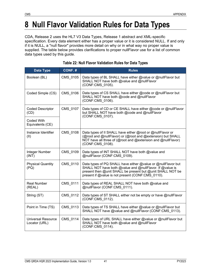# **8 Null Flavor Validation Rules for Data Types**

CDA, Release 2 uses the HL7 V3 Data Types, Release 1 abstract and XML-specific specification. Every data element either has a proper value or it is considered NULL. If and only if it is NULL, a "null flavor" provides more detail on why or in what way no proper value is supplied. The table below provides clarifications to proper nullFlavor use for a list of common data types used by this guide.

| Data Type                                  | CONF.#   | <b>Rules</b>                                                                                                                                                                                                                                |
|--------------------------------------------|----------|---------------------------------------------------------------------------------------------------------------------------------------------------------------------------------------------------------------------------------------------|
| Boolean (BL)                               | CMS_0105 | Data types of BL SHALL have either @value or @nullFlavor but<br>SHALL NOT have both @value and @nullFlavor<br>(CONF:CMS 0105).                                                                                                              |
| Coded Simple (CS)                          | CMS 0106 | Data types of CS SHALL have either @code or @nullFlavor but<br>SHALL NOT have both @code and @nullFlavor<br>(CONF:CMS 0106).                                                                                                                |
| <b>Coded Descriptor</b><br>(CD)            | CMS_0107 | Data types of CD or CE SHALL have either @code or @nullFlavor<br>but SHALL NOT have both @code and @nullFlavor<br>(CONF:CMS_0107).                                                                                                          |
| Coded With<br>Equivalents (CE)             |          |                                                                                                                                                                                                                                             |
| Instance Identifier<br>(II)                | CMS 0108 | Data types of II SHALL have either @root or @nullFlavor or<br>(@root and @nullFlavor) or (@root and @extension) but SHALL<br>NOT have all three of (@root and @extension and @nullFlavor)<br>(CONF:CMS_0108).                               |
| Integer Number<br>(INT)                    | CMS 0109 | Data types of INT SHALL NOT have both @value and<br>@nullFlavor (CONF:CMS 0109).                                                                                                                                                            |
| <b>Physical Quantity</b><br>(PQ)           | CMS_0110 | Data types of PQ SHALL have either @value or @nullFlavor but<br>SHALL NOT have both @value and @nullFlavor. If @value is<br>present then @unit SHALL be present but @unit SHALL NOT be<br>present if @value is not present (CONF:CMS 0110). |
| <b>Real Number</b><br>(REAL)               | CMS 0111 | Data types of REAL SHALL NOT have both @value and<br>@nullFlavor (CONF:CMS_0111).                                                                                                                                                           |
| String (ST)                                | CMS_0112 | Data types of ST SHALL either not be empty or have @nullFlavor<br>(CONF:CMS 0112).                                                                                                                                                          |
| Point in Time (TS)                         | CMS_0113 | Data types of TS SHALL have either @value or @nullFlavor but<br>SHALL NOT have @value and @nullFlavor (CONF:CMS 0113).                                                                                                                      |
| <b>Universal Resource</b><br>Locator (URL) | CMS_0114 | Data types of URL SHALL have either @value or @nullFlavor but<br>SHALL NOT have both @value and @nullFlavor<br>(CONF:CMS_0114).                                                                                                             |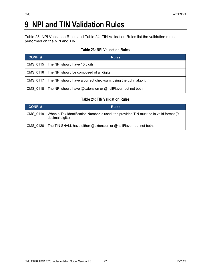# **9 NPI and TIN Validation Rules**

[Table 23: NPI Validation Rules](#page-47-0) and [Table 24: TIN Validation Rules](#page-47-1) list the validation rules performed on the NPI and TIN.

#### **Table 23: NPI Validation Rules**

<span id="page-47-0"></span>

| CONF.# | <b>Rules</b>                                                                 |  |  |
|--------|------------------------------------------------------------------------------|--|--|
|        | CMS 0115   The NPI should have 10 digits.                                    |  |  |
|        | CMS 0116   The NPI should be composed of all digits.                         |  |  |
|        | CMS 0117   The NPI should have a correct checksum, using the Luhn algorithm. |  |  |
|        | CMS 0118   The NPI should have @extension or @nullFlavor, but not both.      |  |  |

### **Table 24: TIN Validation Rules**

<span id="page-47-1"></span>

| CONF.# | <b>Rules</b>                                                                                                         |
|--------|----------------------------------------------------------------------------------------------------------------------|
|        | CMS 0119   When a Tax Identification Number is used, the provided TIN must be in valid format (9<br>decimal digits). |
|        | CMS 0120   The TIN SHALL have either @extension or @nullFlavor, but not both.                                        |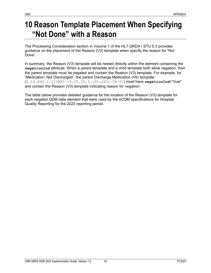# **10 Reason Template Placement When Specifying "Not Done" with a Reason**

The Processing Consideration section in Volume 1 of the HL7 QRDA I STU 5.3 provides guidance on the placement of the Reason (V3) template when specify the reason for "Not Done".

In summary, the Reason (V3) template will be nested directly within the element containing the **negationInd** attribute. When a parent template and a child template both allow negation, then the parent template must be negated and contain the Reason (V3) template. For example, for "Medication, Not Discharged", the parent Discharge Medication (V6) template (2.16.840.1.113883.10.20.24.3.105:2021-08-01) must have **negationInd**="true" and contain the Reason (V3) template indicating reason for negation.

The table below provides detailed guidance for the location of the Reason (V3) template for each negated QDM data element that were used by the eCQM specifications for Hospital Quality Reporting for the 2023 reporting period.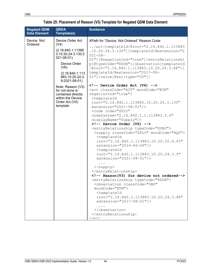### **Table 25: Placement of Reason (V3) Template for Negated QDM Data Element**

| <b>Negated QDM</b><br><b>Data Element</b> | QRDA<br>Template(s)                                                                                           | <b>Guidance</b>                                                                                                                                                                                                                                                                                                                                                                                                                                                                                                                                                                                                                                                                                                                                                                                                                 |
|-------------------------------------------|---------------------------------------------------------------------------------------------------------------|---------------------------------------------------------------------------------------------------------------------------------------------------------------------------------------------------------------------------------------------------------------------------------------------------------------------------------------------------------------------------------------------------------------------------------------------------------------------------------------------------------------------------------------------------------------------------------------------------------------------------------------------------------------------------------------------------------------------------------------------------------------------------------------------------------------------------------|
| Device, Not<br>Ordered                    | Device Order Act<br>(V4)                                                                                      | XPath for "Device, Not Ordered" Reason Code:                                                                                                                                                                                                                                                                                                                                                                                                                                                                                                                                                                                                                                                                                                                                                                                    |
|                                           | (2.16.840.1.11388<br>3.10.20.24.3.130:2<br>$021 - 08 - 01$                                                    | /act[templateId/@root="2.16.840.1.113883<br>.10.20.24.3.130"] [templateId/@extension="2<br>$021 - 08 -$<br>01"] [@negationInd="true"]/entryRelationshi                                                                                                                                                                                                                                                                                                                                                                                                                                                                                                                                                                                                                                                                          |
|                                           | Device Order<br>(V6)                                                                                          | p[@typeCode="RSON"]/observation[templateId<br>/@root="2.16.840.1.113883.10.20.24.3.88"][                                                                                                                                                                                                                                                                                                                                                                                                                                                                                                                                                                                                                                                                                                                                        |
|                                           | (2.16.840.1.113)<br>883.10.20.24.3.<br>$9:2021-08-01$                                                         | templateId/@extension="2017-08-<br>$01"$ ]/value[@xsi:type="CD"]/                                                                                                                                                                                                                                                                                                                                                                                                                                                                                                                                                                                                                                                                                                                                                               |
|                                           | Note: Reason (V3)<br>for not done is<br>contained directly<br>within the Device<br>Order Act (V4)<br>template | Device Order Act (V4)<br><act <br="" classcode="ACT" moodcode="EVN">negationInd="true"&gt;<br/><templateid<br>root="2.16.840.1.113883.10.20.24.3.130"<br/>extension="2021-08-01"/&gt;<br/><code <br="" code="SPLY">codeSystem="2.16.840.1.1.113883.5.6"<br/><math>display</math>nayName="Supply"/&gt;<br/><math>\langle -1 - 12\rangle</math> Device Order (V6) --&gt;<br/><entryrelationship typecode="SUBJ"><br/><supply classcode="SPLY" moodcode="RQO"><br/><templateid<br>root="2.16.840.1.113883.10.20.22.4.43"<br/>extension="2014-06-09"/&gt;<br/><templateid<br>root="2.16.840.1.113883.10.20.24.3.9"<br/>extension="2021-08-01"/&gt;<br/><math>\langle</math>/supply&gt;<br/></templateid<br></templateid<br></supply></entryrelationship><br/><!-- Reason(V3) for device not ordered--></code></templateid<br></act> |
|                                           |                                                                                                               | <entryrelationship typecode="RSON"><br/><observation <br="" classcode="OBS">moodCode="EVN"&gt;<br/><templateid< td=""></templateid<></observation></entryrelationship>                                                                                                                                                                                                                                                                                                                                                                                                                                                                                                                                                                                                                                                          |
|                                           |                                                                                                               | root="2.16.840.1.113883.10.20.24.3.88"<br>extension="2017-08-01"/>                                                                                                                                                                                                                                                                                                                                                                                                                                                                                                                                                                                                                                                                                                                                                              |
|                                           |                                                                                                               | <br><br>$\langle$ act>                                                                                                                                                                                                                                                                                                                                                                                                                                                                                                                                                                                                                                                                                                                                                                                                          |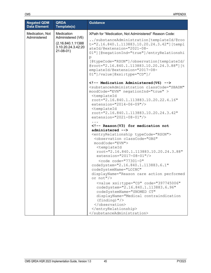| <b>Negated QDM</b><br><b>Data Element</b> | <b>QRDA</b><br>Template(s)                                                    | <b>Guidance</b>                                                                                                                                                                                                                                                                                                                                                                                                                                                                                                                                                                                                                           |
|-------------------------------------------|-------------------------------------------------------------------------------|-------------------------------------------------------------------------------------------------------------------------------------------------------------------------------------------------------------------------------------------------------------------------------------------------------------------------------------------------------------------------------------------------------------------------------------------------------------------------------------------------------------------------------------------------------------------------------------------------------------------------------------------|
| Medication, Not                           | Medication                                                                    | XPath for "Medication, Not Administered" Reason Code:                                                                                                                                                                                                                                                                                                                                                                                                                                                                                                                                                                                     |
| Administered                              | Administered (V6)<br>(2.16.840.1.11388)<br>3.10.20.24.3.42:20<br>$21-08-01$ ) | /substanceAdministration[templateId/@roo<br>t="2.16.840.1.113883.10.20.24.3.42"][templ<br>ateId/@extension="2021-08-<br>01"][@negationInd="true"]/entryRelationshi<br>$\mathbf{p}$<br>[@typeCode="RSON"]/observation[templateId/<br>@root="2.16.840.1.113883.10.20.24.3.88"][t<br>emplateId/@extension="2017-08-<br>$01"$ ]/value[@xsi:type="CD"]/                                                                                                                                                                                                                                                                                        |
|                                           |                                                                               | Medication Administered (V6)<br><substanceadministration <br="" classcode="SBADM">moodCode="EVN" negationInd="true" &gt;<br/><templateid<br>root="2.16.840.1.113883.10.20.22.4.16"<br/>extension="2014-06-09"/&gt;<br/><templateid<br>root="2.16.840.1.113883.10.20.24.3.42"<br/>extension="2021-08-01"/&gt;</templateid<br></templateid<br></substanceadministration>                                                                                                                                                                                                                                                                    |
|                                           |                                                                               | Reason(V3) for medication not</td></tr><tr><td></td><td></td><td>administered<br><entryrelationship typecode="RSON"><br/><observation <br="" classcode="OBS">moodCode="EVN"&gt;<br/><templateid<br>root="2.16.840.1.113883.10.20.24.3.88"<br/>extension="2017-08-01"/&gt;<br/><code <br="" code="77301-0">codeSystem="2.16.840.1.113883.6.1"<br/>codeSystemName="LOINC"<br/>displayName="Reason care action performed<br/>or <math>not"</math> /&gt;<br/><value <br="" code="397745006" xsi:type="CD">codeSystem="2.16.840.1.113883.6.96"<br/>codeSystemName="SNOMED CT"</value></code></templateid<br></observation></entryrelationship> |
|                                           |                                                                               | displayName="Medical contraindication<br>$(finding)$ "/><br><br><br>                                                                                                                                                                                                                                                                                                                                                                                                                                                                                                                                                                      |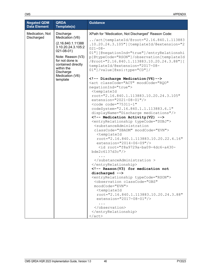| Medication, Not<br>Discharge<br>XPath for "Medication, Not Discharged" Reason Code:<br>Discharged<br>Medication (V6)<br>$/act[templateId/@root="2.16.840.1.113883]$<br>(2.16.840.1.11388)<br>.10.20.24.3.105"][templateId/@extension="2<br>3.10.20.24.3.105:2<br>$021 - 08 -$<br>$021 - 08 - 01$<br>01"][@negationInd="true"]/entryRelationshi<br>Note: Reason (V3)<br>p[@typeCode="RSON"]/observation[templateId<br>for not done is<br>/@root="2.16.840.1.113883.10.20.24.3.88"][<br>contained directly<br>templateId/@extension="2017-08-<br>within the<br>01"]/value[@xsi:type="CD"]/<br>Discharge<br>Medication (V6)<br>Discharge Medication (V6)<br>template<br><act <br="" classcode="ACT" moodcode="RQO">negationInd="true"&gt;<br/><templateid<br>root="2.16.840.1.113883.10.20.24.3.105"<br/>extension="2021-08-01"/&gt;<br/><code <br="" code="75311-1">codeSystem="2.16.840.1.1.113883.6.1"<br/>displayName="Discharge medications"/&gt;<br/><!-- Medication Activity (V2) --><br/><entryrelationship typecode="SUBJ"><br/><substanceadministration<br>classCode="SBADM" moodCode="EVN"&gt;<br/><templateid<br>root="2.16.840.1.113883.10.20.22.4.16"<br/>extension="2014-06-09"/&gt;<br/><id root="f8a9729a-ba09-4dc6-a430-&lt;br&gt;bde2c6137d3c"></id><br/><br/></templateid<br></substanceadministration<br></entryrelationship><br/><!-- Reason(V3) for medication not<br>discharged --><br/><entryrelationship typecode="RSON"><br/><observation <br="" classcode="OBS">moodCode="EVN"&gt;<br/><templateid<br>root="2.16.840.1.113883.10.20.24.3.88"<br/>extension="2017-08-01"/&gt;<br/></templateid<br></observation><br/></entryrelationship></code></templateid<br></act> | <b>Negated QDM</b><br><b>Data Element</b> | <b>QRDA</b><br>Template(s) | <b>Guidance</b> |
|------------------------------------------------------------------------------------------------------------------------------------------------------------------------------------------------------------------------------------------------------------------------------------------------------------------------------------------------------------------------------------------------------------------------------------------------------------------------------------------------------------------------------------------------------------------------------------------------------------------------------------------------------------------------------------------------------------------------------------------------------------------------------------------------------------------------------------------------------------------------------------------------------------------------------------------------------------------------------------------------------------------------------------------------------------------------------------------------------------------------------------------------------------------------------------------------------------------------------------------------------------------------------------------------------------------------------------------------------------------------------------------------------------------------------------------------------------------------------------------------------------------------------------------------------------------------------------------------------------------------------------------------------------------------------------------------|-------------------------------------------|----------------------------|-----------------|
| $\langle$ act>                                                                                                                                                                                                                                                                                                                                                                                                                                                                                                                                                                                                                                                                                                                                                                                                                                                                                                                                                                                                                                                                                                                                                                                                                                                                                                                                                                                                                                                                                                                                                                                                                                                                                 |                                           |                            |                 |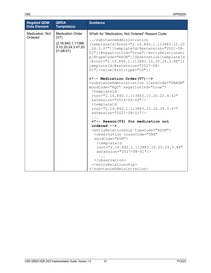| <b>Negated QDM</b><br><b>Data Element</b> | <b>QRDA</b><br>Template(s)                                                                | <b>Guidance</b>                                                                                                                                                                                                                                                                                                                                                                                                                                                                                                                                                                                                                                                                                                                                    |
|-------------------------------------------|-------------------------------------------------------------------------------------------|----------------------------------------------------------------------------------------------------------------------------------------------------------------------------------------------------------------------------------------------------------------------------------------------------------------------------------------------------------------------------------------------------------------------------------------------------------------------------------------------------------------------------------------------------------------------------------------------------------------------------------------------------------------------------------------------------------------------------------------------------|
| Medication, Not<br>Ordered                | <b>Medication Order</b><br>(V7)<br>(2.16.840.1.11388)<br>3.10.20.24.3.47:20<br>$21-08-01$ | XPath for "Medication, Not Ordered" Reason Code:<br>/substanceAdministration<br>[templateId/@root="2.16.840.1.113883.10.20<br>.24.3.47"][templateId/@extension="2021-08-<br>01"] [@negationInd="true"]/entryRelationshi<br>p[@typeCode="RSON"]/observation[templateId<br>/@root="2.16.840.1.113883.10.20.24.3.88"][<br>templateId/@extension="2017-08-<br>$01"$ ]/value[@xsi:type="CD"]/<br>$\langle$ !-- Medication Order(V7)--><br><substanceadministration <br="" classcode="SBADM">moodCode="RQO" negationInd="true"&gt;<br/><templateid<br>root="2.16.840.1.113883.10.20.22.4.42"<br/><math>extension="2014-06-09"</math><br/><templateid<br>root="2.16.840.1.113883.10.20.24.3.47"</templateid<br></templateid<br></substanceadministration> |

**... <!-- Reason(V3) for medication not ordered -->** 

<entryRelationship typeCode="RSON"> <observation classCode="OBS" moodCode="EVN"> <templateId root="2.16.840.1.113883.10.20.24.3.88" extension="2017-08-01"/>

| $\langle$ /observation> |
|-------------------------|
|                         |
|                         |

extension="2021-08-01"/>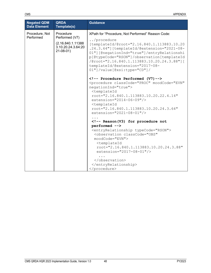| <b>Negated QDM</b><br><b>Data Element</b> | <b>QRDA</b><br>Template(s)                                                             | <b>Guidance</b>                                                                                                                                                                                                                                                                                                                                                                                                                                                                                                                                                                                                                                                                                                                                                                                                                                                       |
|-------------------------------------------|----------------------------------------------------------------------------------------|-----------------------------------------------------------------------------------------------------------------------------------------------------------------------------------------------------------------------------------------------------------------------------------------------------------------------------------------------------------------------------------------------------------------------------------------------------------------------------------------------------------------------------------------------------------------------------------------------------------------------------------------------------------------------------------------------------------------------------------------------------------------------------------------------------------------------------------------------------------------------|
| Procedure, Not<br>Performed               | Procedure<br>Performed (V7)<br>(2.16.840.1.11388<br>3.10.20.24.3.64:20<br>$21-08-01$ ) | XPath for "Procedure, Not Performed" Reason Code:<br>/procedure<br>[templateId/@root="2.16.840.1.113883.10.20<br>.24.3.64"][templateId/@extension="2021-08-<br>01"][@negationInd="true"]/entryRelationshi<br>p[@typeCode="RSON"]/observation[templateId<br>/@root="2.16.840.1.113883.10.20.24.3.88"][<br>templateId/@extension="2017-08-<br>01"]/value[@xsi:type="CD"]/<br>Procedure Performed (V7)<br><procedure <br="" classcode="PROC" moodcode="EVN">negationInd="true"&gt;<br/><templateid<br><math>root="2.16.840.1.113883.10.20.22.4.14"</math><br/><math>extension="2014-06-09"</math><br/><templateid<br>root="2.16.840.1.113883.10.20.24.3.64"<br/><math>extension="2021-08-01"</math>/&gt;<br/><!-- Reason (V3) for procedure not<br>performed --><br/><entryrelationship typecode="RSON"></entryrelationship></templateid<br></templateid<br></procedure> |

<observation classCode="OBS"

extension="2017-08-01"/>

root="2.16.840.1.113883.10.20.24.3.88"

moodCode="EVN"> <templateId

</observation> </entryRelationship>

...

</procedure>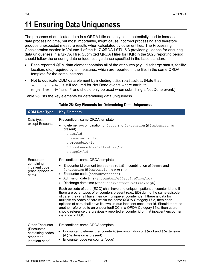# **11 Ensuring Data Uniqueness**

The presence of duplicated data in a QRDA I file not only could potentially lead to increased data processing time, but most importantly, might cause incorrect processing and therefore produce unexpected measure results when calculated by other entities. The Processing Consideration section in Volume 1 of the HL7 QRDA I STU 5.3 provides guidance for ensuring data uniqueness in a QRDA I file. Submitted QRDA I files for HQR in the 2023 reporting period should follow the ensuring data uniqueness guidance specified in the base standard.

- Each reported QDM data element contains all of the attributes (e.g., discharge status, facility location, etc.) required by all measures, which are reported in the file, in the same QRDA template for the same instance.
- Not to duplicate QDM data element by including sdtc: valueSet. (Note that sdtc: valueSet is still required for Not Done events where attribute negationInd=**"**true**"** and should only be used when submitting a Not Done event.)

<span id="page-54-0"></span>[Table 26](#page-54-0) lists the key elements for determining data uniqueness.

| <b>QDM Data Type</b>                                                                      | <b>Key Elements</b>                                                                                                                                                                                                                                                                                                                                                                                                                                                                                                                                                                                                                                                                                                                                                                                                                                                                                         |
|-------------------------------------------------------------------------------------------|-------------------------------------------------------------------------------------------------------------------------------------------------------------------------------------------------------------------------------------------------------------------------------------------------------------------------------------------------------------------------------------------------------------------------------------------------------------------------------------------------------------------------------------------------------------------------------------------------------------------------------------------------------------------------------------------------------------------------------------------------------------------------------------------------------------------------------------------------------------------------------------------------------------|
| Data types<br>except Encounter                                                            | Precondition: same QRDA template<br>Id element-combination of @root and @extension (if @extension is<br>present)<br>o act/id<br>o observation/id<br>o procedure/id<br>o substanceAdministration/id<br>o supply/id                                                                                                                                                                                                                                                                                                                                                                                                                                                                                                                                                                                                                                                                                           |
| Encounter<br>containing<br>inpatient code<br>(each episode of<br>care)                    | Precondition: same QRDA template<br>• Encounter id element (encounter/id)- combination of @root and<br>Gextension (if Gextension is present)<br>Encounter code (encounter/code)<br>• Admission date time (encounter/effectiveTime/low)<br>Discharge date time (encounter/effectiveTime/high)<br>Each episode of care (EOC) shall have one unique inpatient encounter id and if<br>there are other types of encounters present (e.g., ED) during the same episode<br>of care, they shall have their own unique encounter ids. If there is data for<br>multiple episodes of care within the same QRDA Category I file, then each<br>episode of care shall have its own unique inpatient encounter id. Should there be<br>another reference to an encounter/EOC in a QRDA Category I file, then users<br>should reference the previously reported encounter id of that inpatient encounter<br>instance or EOC. |
| <b>Other Encounter</b><br>(Encounter<br>containing codes<br>other than<br>inpatient code) | Precondition: same QRDA template<br>• Encounter id element (encounter/id)—combination of $@$ root and $@$ extension<br>(if @extension is present)<br>Encounter code (encounter/code)                                                                                                                                                                                                                                                                                                                                                                                                                                                                                                                                                                                                                                                                                                                        |

#### **Table 26: Key Elements for Determining Data Uniqueness**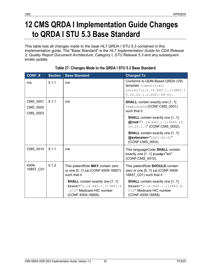# **12 CMS QRDA I Implementation Guide Changes to QRDA I STU 5.3 Base Standard**

This table lists all changes made to the base HL7 QRDA I STU 5.3 contained in this implementation guide. The "Base Standard" is the *HL7 Implementation Guide for CDA Release 2: Quality Report Document Architecture, Category I, STU Release 5.3* and any subsequent errata update.

| CONF.#                           | <b>Section</b> | <b>Base Standard</b>                                                                                                     | <b>Changed To</b>                                                                                                        |
|----------------------------------|----------------|--------------------------------------------------------------------------------------------------------------------------|--------------------------------------------------------------------------------------------------------------------------|
| n/a                              | 5.1.1          | n/a                                                                                                                      | Conforms to QDM-Based QRDA (V8)<br>template (identifier:<br>urn:hl7ii:2.16.840.1.113883.1<br>$0.20.24.1.2:2021-08-01$ .  |
| CMS_0001<br>CMS_0002<br>CMS_0003 | 5.1.1          | n/a                                                                                                                      | <b>SHALL</b> contain exactly one [11]<br>templateId (CONF:CMS_0001)<br>such that it                                      |
|                                  |                |                                                                                                                          | <b>SHALL</b> contain exactly one [11]<br>@root="2.16.840.1.113883.10.<br>20.24.1.3" (CONF:CMS_0002).                     |
|                                  |                |                                                                                                                          | <b>SHALL</b> contain exactly one [11]<br>@extension="2022-02-01"<br>(CONF:CMS 0003).                                     |
| CMS 0010                         | 5.1.1          | n/a                                                                                                                      | This languageCode SHALL contain<br>exactly one [11] @code="en"<br>(CONF:CMS_0010).                                       |
| 4509-<br>16857_C01               | 5.1.2          | This patientRole MAY contain zero<br>or one [01] id (CONF:4509-16857)<br>such that it                                    | This patientRole SHOULD contain<br>zero or one [01] id (CONF:4509-<br>16857_C01) such that it                            |
|                                  |                | <b>SHALL</b> contain exactly one [11]<br>$@root="2.16.840.1.113883.4$<br>.572" Medicare HIC number<br>(CONF:4509-16858). | <b>SHALL</b> contain exactly one [11]<br>$@root="2.16.840.1.113883.4.$<br>572" Medicare HIC number<br>(CONF:4509-16858). |

#### **Table 27: Changes Made to the QRDA I STU 5.3 Base Standard**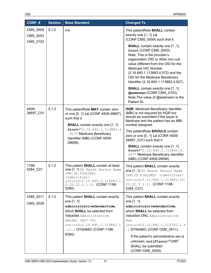| $CONF.$ #                        | <b>Section</b> | <b>Base Standard</b>                                                                                                                                                                                                                  | <b>Changed To</b>                                                                                                                                                                                                                                                                                                                         |
|----------------------------------|----------------|---------------------------------------------------------------------------------------------------------------------------------------------------------------------------------------------------------------------------------------|-------------------------------------------------------------------------------------------------------------------------------------------------------------------------------------------------------------------------------------------------------------------------------------------------------------------------------------------|
| CMS_0009<br>CMS_0053<br>CMS_0103 | 5.1.2          | n/a                                                                                                                                                                                                                                   | This patientRole SHALL contain<br>exactly one [11] id<br>(CONF:CMS_0009) such that it                                                                                                                                                                                                                                                     |
|                                  |                |                                                                                                                                                                                                                                       | <b>SHALL</b> contain exactly one [11]<br>@root (CONF:CMS 0053).<br>Note: This is the provider's<br>organization OID or other non-null<br>value different from the OID for the<br>Medicare HIC Number<br>(2.16.840.1.113883.4.572) and the<br>OID for the Medicare Beneficiary<br>Identifier (2.16.840.1.113883.4.927).                    |
|                                  |                |                                                                                                                                                                                                                                       | <b>SHALL</b> contain exactly one [11]<br>@extension (CONF:CMS 0103).<br>Note: The value of @extension is the<br>Patient ID.                                                                                                                                                                                                               |
| 4509-<br>28697_C01               | 5.1.2          | This patientRole MAY contain zero<br>or one [01] id (CONF:4509-28697)<br>such that it<br><b>SHALL</b> contain exactly one [11]<br>@root="2.16.840.1.113883.4<br>.927" Medicare Beneficiary<br>Identifier (MBI) (CONF:4509-<br>28698). | HQR: Medicare Beneficiary Identifier<br>(MBI) is not required for HQR but<br>should be submitted if the payer is<br>Medicare and the patient has an MBI<br>number assigned.                                                                                                                                                               |
|                                  |                |                                                                                                                                                                                                                                       | This patientRole SHOULD contain<br>zero or one [01] id (CONF:4509-<br>28697_C01) such that it                                                                                                                                                                                                                                             |
|                                  |                |                                                                                                                                                                                                                                       | <b>SHALL</b> contain exactly one [11]<br>$@root="2.16.840.1.113883.4.$<br>927" Medicare Beneficiary Identifier<br>(MBI) (CONF:4509-28698).                                                                                                                                                                                                |
| 1198-<br>5284_C01                | 5.1.2          | This patient SHALL contain at least<br>one [1*] US Realm Person Name<br>(PN.US.FIELDED)<br>(identifier:<br>urn:oid:2.16.840.1.113883.1<br>$0.20.22.5.1.1)$ (CONF:1198-<br>5284).                                                      | This patient SHALL contain exactly<br>one [11] US Realm Person Name<br>(PN.US.FIELDED) (identifier:<br>urn:oid:2.16.840.1.113883.10.<br>20.22.5.1.1) (CONF:1198-<br>5284 C01).                                                                                                                                                            |
| CMS_0011<br>CMS 0029             | 5.1.2          | This patient SHALL contain exactly<br>one [11]<br>administrativeGenderCode,<br>which SHALL be selected from<br>ValueSet Administrative<br>Gender (HL7 V3)<br>urn:oid:2.16.840.1.113883.1<br>.11.1 DYNAMIC (CONF:1198-<br>6394).       | This patient SHALL contain exactly<br>one [11]<br>administrativeGenderCode,<br>which <b>SHALL</b> be selected from<br>ValueSet ONC Administrative<br>Sex<br>urn:oid:2.16.840.1.113762.1.4<br>.1 DYNAMIC (CONF:CMS_0011).<br>If the patient's administrative sex is<br>unknown, nullFlavor="UNK"<br>SHALL be submitted<br>(CONF:CMS_0029). |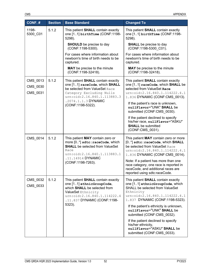| CONF.#                           | <b>Section</b> | <b>Base Standard</b>                                                                                                                                                                                  | <b>Changed To</b>                                                                                                                                                                                                                                                                                                                                                                                                                    |
|----------------------------------|----------------|-------------------------------------------------------------------------------------------------------------------------------------------------------------------------------------------------------|--------------------------------------------------------------------------------------------------------------------------------------------------------------------------------------------------------------------------------------------------------------------------------------------------------------------------------------------------------------------------------------------------------------------------------------|
| 1198-<br>5300_C01                | 5.1.2          | This patient SHALL contain exactly<br>one [11] birthTime (CONF:1198-<br>5298).                                                                                                                        | This patient <b>SHALL</b> contain exactly<br>one [11] birthTime (CONF:1198-<br>5298).                                                                                                                                                                                                                                                                                                                                                |
|                                  |                | <b>SHOULD</b> be precise to day<br>(CONF:1198-5300).                                                                                                                                                  | <b>SHALL</b> be precise to day<br>(CONF:1198-5300 C01).                                                                                                                                                                                                                                                                                                                                                                              |
|                                  |                | For cases where information about<br>newborn's time of birth needs to be<br>captured.                                                                                                                 | For cases where information about<br>newborn's time of birth needs to be<br>captured.                                                                                                                                                                                                                                                                                                                                                |
|                                  |                | MAY be precise to the minute<br>(CONF:1198-32418).                                                                                                                                                    | <b>MAY</b> be precise to the minute<br>(CONF:1198-32418).                                                                                                                                                                                                                                                                                                                                                                            |
| CMS 0013<br>CMS 0030<br>CMS 0031 | 5.1.2          | This patient <b>SHALL</b> contain exactly<br>one [11] raceCode, which SHALL<br>be selected from ValueSet Race<br>Category Excluding Nulls<br>urn:oid:2.16.840.1.113883.3                              | This patient <b>SHALL</b> contain exactly<br>one [11] raceCode, which SHALL be<br>selected from ValueSet Race<br>urn:oid:2.16.840.1.114222.4.1<br>1.836 DYNAMIC (CONF:CMS 0013).                                                                                                                                                                                                                                                     |
|                                  |                | .2074.1.1.3 DYNAMIC<br>(CONF:1198-5322).                                                                                                                                                              | If the patient's race is unknown,<br>nullFlavor="UNK" SHALL be<br>submitted (CONF:CMS_0030).                                                                                                                                                                                                                                                                                                                                         |
|                                  |                |                                                                                                                                                                                                       | If the patient declined to specify<br>his/her race, nullFlavor="ASKU"<br><b>SHALL</b> be submitted<br>(CONF:CMS_0031).                                                                                                                                                                                                                                                                                                               |
| CMS_0014                         | 5.1.2          | This patient MAY contain zero or<br>more [0*] sdtc: raceCode, which<br><b>SHALL</b> be selected from ValueSet<br>Race<br>urn:oid:2.16.840.1.113883.1<br>.11.14914 DYNAMIC                             | This patient MAY contain zero or more<br>[0*] sdtc: raceCode, which SHALL<br>be selected from ValueSet Race<br>urn:oid:2.16.840.1.114222.4.1<br>1.836 DYNAMIC (CONF:CMS 0014).                                                                                                                                                                                                                                                       |
|                                  |                | (CONF:1198-7263).                                                                                                                                                                                     | Note: If a patient has more than one<br>race category, one race is reported in<br>raceCode, and additional races are<br>reported using sdtc:raceCode.                                                                                                                                                                                                                                                                                |
| CMS_0032<br>CMS_0033             | 5.1.2          | This patient <b>SHALL</b> contain exactly<br>one [1.1] ethnicGroupCode,<br>which SHALL be selected from<br>ValueSet Ethnicity<br>urn:oid:2.16.840.1.114222.4<br>.11.837 DYNAMIC (CONF:1198-<br>5323). | This patient <b>SHALL</b> contain exactly<br>one [11] ethnicGroupCode, which<br><b>SHALL be selected from ValueSet</b><br>Ethnicity<br>urn:oid:2.16.840.1.114222.4.1<br>1.837 DYNAMIC (CONF:1198-5323).<br>If the patient's ethnicity is unknown,<br>nullFlavor="UNK" SHALL be<br>submitted (CONF:CMS_0032).<br>If the patient declined to specify<br>his/her ethnicity,<br>nullFlavor="ASKU" SHALL be<br>submitted (CONF:CMS_0033). |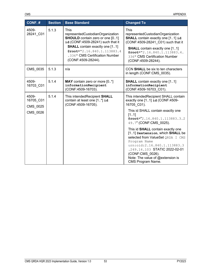| CONF.#                         | <b>Section</b> | <b>Base Standard</b>                                                                                                                                                                                                                                          | <b>Changed To</b>                                                                                                                                                                                                                                                             |
|--------------------------------|----------------|---------------------------------------------------------------------------------------------------------------------------------------------------------------------------------------------------------------------------------------------------------------|-------------------------------------------------------------------------------------------------------------------------------------------------------------------------------------------------------------------------------------------------------------------------------|
| 4509-<br>28241 C01             | 5.1.3          | <b>This</b><br>representedCustodianOrganization<br><b>SHOULD</b> contain zero or one [01]<br>id (CONF:4509-28241) such that it<br><b>SHALL</b> contain exactly one [11]<br>@root="2.16.840.1.113883.4<br>.336" CMS Certification Number<br>(CONF:4509-28244). | <b>This</b><br>representedCustodianOrganization<br><b>SHALL</b> contain exactly one [11] id<br>(CONF:4509-28241 C01) such that it<br><b>SHALL</b> contain exactly one [11]<br>$@root="2.16.840.1.113883.4.$<br>336" CMS Certification Number<br>(CONF:4509-28244).            |
| CMS_0035                       | 5.1.3          | n/a                                                                                                                                                                                                                                                           | CCN SHALL be six to ten characters<br>in length (CONF:CMS_0035).                                                                                                                                                                                                              |
| 4509-<br>16703 C01             | 5.1.4          | MAY contain zero or more [0*]<br>informationRecipient<br>(CONF:4509-16703).                                                                                                                                                                                   | <b>SHALL</b> contain exactly one [11]<br>informationRecipient<br>(CONF:4509-16703 C01).                                                                                                                                                                                       |
| 4509-<br>16705_C01<br>CMS 0025 | 5.1.4          | This intended Recipient SHALL<br>contain at least one $[1*]$ id<br>(CONF:4509-16705).                                                                                                                                                                         | This intendedRecipient SHALL contain<br>exactly one [11] id (CONF:4509-<br>16705 C01).                                                                                                                                                                                        |
| CMS_0026                       |                |                                                                                                                                                                                                                                                               | This id SHALL contain exactly one<br>[11]<br>@root="2.16.840.1.113883.3.2<br>49.7" (CONF:CMS 0025).                                                                                                                                                                           |
|                                |                |                                                                                                                                                                                                                                                               | This id SHALL contain exactly one<br>[11] @extension, which SHALL be<br>selected from ValueSet QRDA I CMS<br>Program Name<br>urn:oid:2.16.840.1.113883.3<br>.249.14.103 STATIC 2022-02-01<br>(CONF:CMS 0026).<br>Note: The value of @extension is<br><b>CMS Program Name.</b> |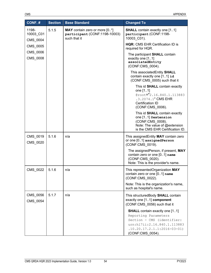| CONF.#                         | <b>Section</b> | <b>Base Standard</b>                                                           | <b>Changed To</b>                                                                                                                                                               |
|--------------------------------|----------------|--------------------------------------------------------------------------------|---------------------------------------------------------------------------------------------------------------------------------------------------------------------------------|
| 1198-<br>10003_C01<br>CMS_0004 | 5.1.5          | MAY contain zero or more [0*]<br>participant (CONF:1198-10003)<br>such that it | <b>SHALL</b> contain exactly one [11]<br>participant (CONF:1198-<br>10003 C01).                                                                                                 |
| CMS 0005                       |                |                                                                                | <b>HQR: CMS EHR Certification ID is</b><br>required for HQR.                                                                                                                    |
| CMS_0006<br>CMS_0008           |                |                                                                                | The participant SHALL contain<br>exactly one [11]<br>associatedEntity<br>(CONF:CMS 0004).                                                                                       |
|                                |                |                                                                                | This associatedEntity SHALL<br>contain exactly one $[11]$ id<br>(CONF:CMS 0005) such that it                                                                                    |
|                                |                |                                                                                | This id SHALL contain exactly<br>one [11]<br>@root="2.16.840.1.113883<br>.3.2074.1" CMS EHR<br>Certification ID<br>(CONF:CMS_0006).                                             |
|                                |                |                                                                                | This id SHALL contain exactly<br>one [1.1] @extension<br>(CONF:CMS_0008).<br>Note: The value of @extension<br>is the CMS EHR Certification ID.                                  |
| CMS_0019<br>CMS_0020           | 5.1.6          | n/a                                                                            | This assigned Entity MAY contain zero<br>or one [01] assignedPerson<br>(CONF:CMS_0019).                                                                                         |
|                                |                |                                                                                | The assignedPerson, if present, MAY<br>contain zero or one [01] name<br>(CONF:CMS 0020).<br>Note: This is the provider's name.                                                  |
| CMS_0022                       | 5.1.6          | n/a                                                                            | This representedOrganization MAY<br>contain zero or one [01] name<br>(CONF:CMS_0022).                                                                                           |
|                                |                |                                                                                | Note: This is the organization's name,<br>such as hospital's name.                                                                                                              |
| CMS 0056<br>CMS 0054           | 5.1.7          | n/a                                                                            | This structuredBody SHALL contain<br>exactly one [11] component<br>(CONF:CMS 0056) such that it                                                                                 |
|                                |                |                                                                                | <b>SHALL</b> contain exactly one [11]<br>Reporting Parameters<br>Section - CMS (identifier:<br>urn:h17ii:2.16.840.1.113883<br>$.10.20.17.2.1.1:2016-03-01)$<br>(CONF:CMS_0054). |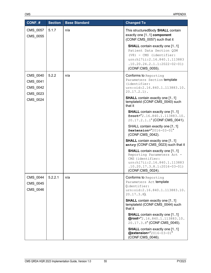| $CONF.$ #                                    | <b>Section</b> | <b>Base Standard</b> | <b>Changed To</b>                                                                                                                                                                |
|----------------------------------------------|----------------|----------------------|----------------------------------------------------------------------------------------------------------------------------------------------------------------------------------|
| CMS_0057<br>CMS_0055                         | 5.1.7          | n/a                  | This structured Body SHALL contain<br>exactly one [11] component<br>(CONF:CMS_0057) such that it                                                                                 |
|                                              |                |                      | <b>SHALL</b> contain exactly one [11]<br>Patient Data Section QDM<br>(V8) - CMS (identifier:<br>urn:h17ii:2.16.840.1.113883<br>$.10.20.24.2.1.1:2022-02-01)$<br>(CONF:CMS 0055). |
| CMS_0040<br>CMS 0041<br>CMS 0042<br>CMS 0023 | 5.2.2          | n/a                  | <b>Conforms to Reporting</b><br>Parameters Section template<br>(identifier:<br>urn:oid:2.16.840.1.113883.10.<br>$20.17.2.1$ .                                                    |
| CMS 0024                                     |                |                      | <b>SHALL</b> contain exactly one [11]<br>templateId (CONF:CMS_0040) such<br>that it                                                                                              |
|                                              |                |                      | <b>SHALL</b> contain exactly one [11]<br>@root="2.16.840.1.113883.10.<br>20.17.2.1.1" (CONF:CMS_0041).                                                                           |
|                                              |                |                      | SHALL contain exactly one [11]<br>@extension="2016-03-01"<br>(CONF:CMS_0042).                                                                                                    |
|                                              |                |                      | <b>SHALL</b> contain exactly one [11]<br>entry (CONF:CMS_0023) such that it                                                                                                      |
|                                              |                |                      | <b>SHALL</b> contain exactly one [11]<br>Reporting Parameters Act -<br>CMS (identifier:<br>urn:hl7ii:2.16.840.1.113883<br>$.10.20.17.3.8.1:2016-03-01)$<br>(CONF:CMS 0024).      |
| CMS 0044<br>CMS_0045<br>CMS 0046             | 5.2.2.1        | n/a                  | <b>Conforms to Reporting</b><br>Parameters Act template<br>(identifier:<br>urn:oid:2.16.840.1.113883.10.<br>$20.17.3.8$ ).                                                       |
|                                              |                |                      | <b>SHALL</b> contain exactly one [11]<br>templateId (CONF:CMS_0044) such<br>that it                                                                                              |
|                                              |                |                      | <b>SHALL</b> contain exactly one [11]<br>@root="2.16.840.1.113883.10.<br>20.17.3.8" (CONF:CMS 0045).                                                                             |
|                                              |                |                      | <b>SHALL</b> contain exactly one [11]<br>@extension="2016-03-01"<br>(CONF:CMS_0046).                                                                                             |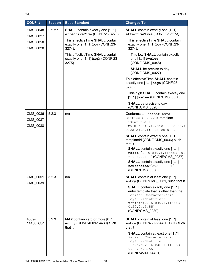| CONF.#                           | <b>Section</b> | <b>Base Standard</b>                                                              | <b>Changed To</b>                                                                                                                                                                                  |
|----------------------------------|----------------|-----------------------------------------------------------------------------------|----------------------------------------------------------------------------------------------------------------------------------------------------------------------------------------------------|
| CMS_0048<br>CMS 0027             | 5.2.2.1        | <b>SHALL</b> contain exactly one [11]<br>effectiveTime (CONF:23-3273).            | <b>SHALL</b> contain exactly one [11]<br>effectiveTime (CONF:23-3273).                                                                                                                             |
| CMS_0050<br>CMS_0028             |                | This effective Time SHALL contain<br>exactly one [11] low (CONF:23-<br>3274).     | This effective Time SHALL contain<br>exactly one [11] low (CONF:23-<br>3274).                                                                                                                      |
|                                  |                | This effective Time SHALL contain<br>exactly one [11] high (CONF:23-<br>$3275$ ). | This low SHALL contain exactly<br>one [11] @value<br>(CONF:CMS 0048).                                                                                                                              |
|                                  |                |                                                                                   | <b>SHALL</b> be precise to day<br>(CONF:CMS_0027)                                                                                                                                                  |
|                                  |                |                                                                                   | This effective Time SHALL contain<br>exactly one [11] high (CONF:23-<br>3275).                                                                                                                     |
|                                  |                |                                                                                   | This high SHALL contain exactly one<br>[11] @value (CONF:CMS 0050).                                                                                                                                |
|                                  |                |                                                                                   | <b>SHALL</b> be precise to day<br>(CONF:CMS 0028)                                                                                                                                                  |
| CMS_0036<br>CMS_0037<br>CMS 0038 | 5.2.3          | n/a                                                                               | Conforms to Patient Data<br>Section QDM (V8) template<br>(identifier:<br>urn:h17ii:2.16.840.1.113883.1<br>$0.20.24.2.1:2021-08-01$ .                                                               |
|                                  |                |                                                                                   | <b>SHALL</b> contain exactly one [11]<br>templateId (CONF:CMS_0036) such<br>that it                                                                                                                |
|                                  |                |                                                                                   | <b>SHALL</b> contain exactly one [11]<br>@root="2.16.840.1.113883.10.<br>20.24.2.1.1" (CONF:CMS_0037).<br><b>SHALL</b> contain exactly one [11]                                                    |
|                                  |                |                                                                                   | @extension="2022-02-01"<br>(CONF:CMS_0038).                                                                                                                                                        |
| CMS_0051<br>CMS_0039             | 5.2.3          | n/a                                                                               | <b>SHALL</b> contain at least one [1*]<br>entry (CONF:CMS_0051) such that it                                                                                                                       |
|                                  |                |                                                                                   | <b>SHALL</b> contain exactly one [11]<br>entry template that is other than the<br>Patient Characteristic<br>Payer (identifier:<br>urn:oid:2.16.840.1.113883.1<br>0.20.24.3.55)<br>(CONF:CMS 0039). |
| 4509-<br>14430_C01               | 5.2.3          | MAY contain zero or more [0*]<br>entry (CONF:4509-14430) such<br>that it          | <b>SHALL</b> contain at least one [1*]<br>entry (CONF:4509-14430_C01) such<br>that it                                                                                                              |
|                                  |                |                                                                                   | <b>SHALL</b> contain at least one [1*]<br>Patient Characteristic<br>Payer (identifier:<br>urn:oid:2.16.840.1.113883.1<br>0.20.24.3.55)<br>(CONF:4509_14431).                                       |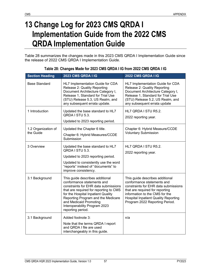# **13 Change Log for 2023 CMS QRDA I Implementation Guide from the 2022 CMS QRDA Implementation Guide**

[Table 28](#page-62-0) summarizes the changes made in this 2023 CMS QRDA I Implementation Guide since the release of 2022 CMS QRDA I Implementation Guide.

<span id="page-62-0"></span>

| <b>Section Heading</b>           | 2023 CMS QRDA I IG                                                                                                                                                                                                                                                                                          | 2022 CMS QRDA I IG                                                                                                                                                                                                                                          |
|----------------------------------|-------------------------------------------------------------------------------------------------------------------------------------------------------------------------------------------------------------------------------------------------------------------------------------------------------------|-------------------------------------------------------------------------------------------------------------------------------------------------------------------------------------------------------------------------------------------------------------|
| <b>Base Standard</b>             | HL7 Implementation Guide for CDA<br>Release 2: Quality Reporting<br>Document Architecture Category I,<br>Release 1, Standard for Trial Use<br>(STU) Release 5.3, US Realm, and<br>any subsequent errata update.                                                                                             | HL7 Implementation Guide for CDA<br>Release 2: Quality Reporting<br>Document Architecture Category I,<br>Release 1, Standard for Trial Use<br>(STU) Release 5.2, US Realm, and<br>any subsequent errata update                                              |
| 1 Introduction                   | Updated the base standard to HL7<br>QRDA I STU 5.3.<br>Updated to 2023 reporting period.                                                                                                                                                                                                                    | HL7 QRDA I STU R5.2.<br>2022 reporting year.                                                                                                                                                                                                                |
| 1.2 Organization of<br>the Guide | Updated the Chapter 6 title.<br>Chapter 6: Hybrid Measures/CCDE<br>Submission                                                                                                                                                                                                                               | Chapter 6: Hybrid Measure/CCDE<br><b>Voluntary Submission</b>                                                                                                                                                                                               |
| 3 Overview                       | Updated the base standard to HL7<br>QRDA I STU 5.3.<br>Updated to 2023 reporting period.<br>Updated to consistently use the word<br>"reports" instead of "documents" to<br>improve consistency.                                                                                                             | HL7 QRDA I STU R5.2.<br>2022 reporting year.                                                                                                                                                                                                                |
| 3.1 Background                   | This guide describes additional<br>conformance statements and<br>constraints for EHR data submissions<br>that are required for reporting to CMS<br>for the Hospital Inpatient Quality<br>Reporting Program and the Medicare<br>and Medicaid Promoting<br>Interoperability Program 2023<br>reporting period. | This guide describes additional<br>conformance statements and<br>constraints for EHR data submissions<br>that are required for reporting<br>information to the CMS for the<br><b>Hospital Inpatient Quality Reporting</b><br>Program 2022 Reporting Period. |
| 3.1 Background                   | Added footnote 3:<br>Note that the terms QRDA I report<br>and QRDA I file are used<br>interchangeably in this guide.                                                                                                                                                                                        | n/a                                                                                                                                                                                                                                                         |

#### **Table 28: Changes Made for 2023 CMS QRDA I IG from 2022 CMS QRDA I IG**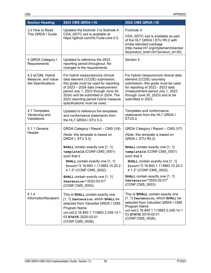| <b>Section Heading</b>                                       | 2023 CMS QRDA I IG                                                                                                                                                                                                                                                                                       | 2022 CMS QRDA I IG                                                                                                                                                                                                                          |
|--------------------------------------------------------------|----------------------------------------------------------------------------------------------------------------------------------------------------------------------------------------------------------------------------------------------------------------------------------------------------------|---------------------------------------------------------------------------------------------------------------------------------------------------------------------------------------------------------------------------------------------|
| 3.2 How to Read<br>This QRDA I Guide                         | Updated the footnote 3 to footnote 4:<br>CDA_SDTC.xsd is available at<br>https://github.com/HL7/cda-core-2.0.                                                                                                                                                                                            | Footnote 3:<br>CDA_SDTC.xsd is available as part<br>of the HL7 QRDA I STU R5.2 with<br>errata standard package<br>(http://www.hl7.org/implement/standar<br>ds/product_brief.cfm?product_id=35).                                             |
| 4 QRDA Category I<br>Requirements                            | Updated to reference the 2023<br>reporting period throughout. No<br>changes to the requirements.                                                                                                                                                                                                         | Section 4                                                                                                                                                                                                                                   |
| 4.2 eCQM, Hybrid<br>Measure, and Value<br>Set Specifications | For hybrid measures/core clinical<br>data element (CCDE) submission,<br>this guide must be used for reporting<br>of 2023 - 2024 data (measurement<br>period July 1, 2023 through June 30,<br>2024) and be submitted in 2024. The<br>2023 reporting period hybrid measure<br>specifications must be used. | For hybrid measure/core clinical data<br>element (CCDE) voluntary<br>submission, this guide must be used<br>for reporting of 2022 - 2023 data<br>(measurement period July 1, 2022<br>through June 30, 2023) and to be<br>submitted in 2023. |
| 4.7 Templates<br>Versioning and<br>Validations               | Updated to reference the templates<br>and conformance statements from<br>the HL7 QRDA I STU 5.3.                                                                                                                                                                                                         | Templates and conformance<br>statements from the HL7 QRDA I<br>STU5.2.                                                                                                                                                                      |
| 5.1.1 General                                                | QRDA Category I Report - CMS (V8)                                                                                                                                                                                                                                                                        | QRDA Category I Report - CMS (V7)                                                                                                                                                                                                           |
| Header                                                       | (Note: this template is based on<br>QRDA I, STU 5.3)                                                                                                                                                                                                                                                     | (Note: this template is based on<br>QRDA I, STU R5.2)                                                                                                                                                                                       |
|                                                              | <b>SHALL</b> contain exactly one [11]<br>templateId (CONF:CMS_0001)<br>such that it<br><b>SHALL</b> contain exactly one [11]<br>@root="2.16.840.1.113883.10.20.2<br>4.1.3" (CONF:CMS 0002).                                                                                                              | <b>SHALL</b> contain exactly one [11]<br>templateId (CONF:CMS_0001)<br>such that it<br><b>SHALL</b> contain exactly one [11]<br>@root="2.16.840.1.113883.10.20.2<br>4.1.3" (CONF:CMS 0002).                                                 |
|                                                              | <b>SHALL</b> contain exactly one [11]<br>@extension="2022-02-01"<br>(CONF:CMS_0003).                                                                                                                                                                                                                     | <b>SHALL</b> contain exactly one [11]<br>@extension="2020-02-01"<br>(CONF:CMS 0003).                                                                                                                                                        |
| 5.1.4<br>informationRecipient                                | This id SHALL contain exactly one<br>[1.1] @extension, which SHALL be<br>selected from ValueSet QRDA I CMS<br>Program Name<br>urn:oid:2.16.840.1.113883.3.249.14.1<br>03 STATIC 2020-02-01<br>(CONF:CMS_0026).                                                                                           | This id <b>SHALL</b> contain exactly one<br>[11] Gextension, which SHALL be<br>selected from ValueSet QRDA I CMS<br>Program Name<br>urn:oid:2.16.840.1.113883.3.249.14.1<br>03 STATIC 2019-02-01<br>(CONF:CMS_0026).                        |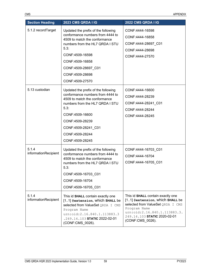| <b>Section Heading</b>        | <b>2023 CMS QRDA I IG</b>                                                                                                                                                                                                                              | 2022 CMS QRDA I IG                                                                                                                                                                                             |
|-------------------------------|--------------------------------------------------------------------------------------------------------------------------------------------------------------------------------------------------------------------------------------------------------|----------------------------------------------------------------------------------------------------------------------------------------------------------------------------------------------------------------|
| 5.1.2 recordTarget            | Updated the prefix of the following<br>conformance numbers from 4444 to<br>4509 to match the conformance<br>numbers from the HL7 QRDA I STU<br>5.3:<br>CONF:4509-16598<br>CONF:4509-16858<br>CONF:4509-28697 C01<br>CONF:4509-28698<br>CONF:4509-27570 | CONF:4444-16598<br>CONF:4444-16858<br>CONF:4444-28697_C01<br>CONF:4444-28698<br>CONF:4444-27570                                                                                                                |
| 5.13 custodian                | Updated the prefix of the following<br>conformance numbers from 4444 to<br>4509 to match the conformance<br>numbers from the HL7 QRDA I STU<br>5.3:<br>CONF:4509-16600<br>CONF:4509-28239<br>CONF:4509-28241_C01<br>CONF:4509-28244<br>CONF:4509-28245 | CONF:4444-16600<br>CONF:4444-28239<br>CONF:4444-28241_C01<br>CONF:4444-28244<br>CONF:4444-28245                                                                                                                |
| 5.1.4<br>informationRecipient | Updated the prefix of the following<br>conformance numbers from 4444 to<br>4509 to match the conformance<br>numbers from the HL7 QRDA I STU<br>5.3:<br>CONF:4509-16703 C01<br>CONF:4509-16704<br>CONF:4509-16705_C01                                   | CONF:4444-16703_C01<br>CONF:4444-16704<br>CONF:4444-16705_C01                                                                                                                                                  |
| 5.1.4<br>informationRecipient | This id SHALL contain exactly one<br>[11] @extension, Which SHALL be<br>selected from ValueSet QRDA I CMS<br>Program Name<br>urn:oid:2.16.840.1.113883.3<br>.249.14.103 STATIC 2022-02-01<br>(CONF:CMS_0026).                                          | This id SHALL contain exactly one<br>[1.1] @extension, Which SHALL be<br>selected from ValueSet QRDA I CMS<br>Program Name<br>urn:oid:2.16.840.1.113883.3.<br>249.14.103 STATIC 2020-02-01<br>(CONF:CMS_0026). |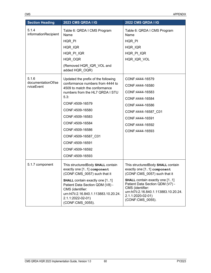| <b>Section Heading</b>           | 2023 CMS QRDA I IG                                                                                                                                                             | 2022 CMS QRDA I IG                                                                                                                                                             |
|----------------------------------|--------------------------------------------------------------------------------------------------------------------------------------------------------------------------------|--------------------------------------------------------------------------------------------------------------------------------------------------------------------------------|
| 5.1.4<br>informationRecipient    | Table 6: QRDA I CMS Program<br>Name                                                                                                                                            | Table 6: QRDA I CMS Program<br>Name                                                                                                                                            |
|                                  | HQR_PI                                                                                                                                                                         | HQR PI                                                                                                                                                                         |
|                                  | HQR_IQR                                                                                                                                                                        | HQR_IQR                                                                                                                                                                        |
|                                  | HQR_PI_IQR                                                                                                                                                                     | HQR_PI_IQR                                                                                                                                                                     |
|                                  | HQR_OQR                                                                                                                                                                        | HQR_IQR_VOL                                                                                                                                                                    |
|                                  | (Removed HQR_IQR_VOL and<br>added HQR_OQR)                                                                                                                                     |                                                                                                                                                                                |
| 5.1.6                            | Updated the prefix of the following                                                                                                                                            | CONF:4444-16579                                                                                                                                                                |
| documentationOf/se<br>rviceEvent | conformance numbers from 4444 to<br>4509 to match the conformance                                                                                                              | CONF:4444-16580                                                                                                                                                                |
|                                  | numbers from the HL7 QRDA I STU                                                                                                                                                | CONF:4444-16583                                                                                                                                                                |
|                                  | 5.3:                                                                                                                                                                           | CONF:4444-16584                                                                                                                                                                |
|                                  | CONF:4509-16579                                                                                                                                                                | CONF:4444-16586                                                                                                                                                                |
|                                  | CONF:4509-16580                                                                                                                                                                | CONF:4444-16587 C01                                                                                                                                                            |
|                                  | CONF:4509-16583                                                                                                                                                                | CONF:4444-16591                                                                                                                                                                |
|                                  | CONF:4509-16584                                                                                                                                                                | CONF:4444-16592                                                                                                                                                                |
|                                  | CONF:4509-16586                                                                                                                                                                | CONF:4444-16593                                                                                                                                                                |
|                                  | CONF:4509-16587_C01                                                                                                                                                            |                                                                                                                                                                                |
|                                  | CONF:4509-16591                                                                                                                                                                |                                                                                                                                                                                |
|                                  | CONF:4509-16592                                                                                                                                                                |                                                                                                                                                                                |
|                                  | CONF:4509-16593                                                                                                                                                                |                                                                                                                                                                                |
| 5.1.7 component                  | This structuredBody SHALL contain<br>exactly one [11] component<br>(CONF:CMS_0057) such that it                                                                                | This structuredBody SHALL contain<br>exactly one [11] component<br>(CONF:CMS_0057) such that it                                                                                |
|                                  | <b>SHALL</b> contain exactly one [11]<br>Patient Data Section QDM (V8) -<br>CMS (identifier:<br>urn:hl7ii:2.16.840.1.113883.10.20.24.<br>2.1.1:2022-02-01)<br>(CONF:CMS_0055). | <b>SHALL</b> contain exactly one [11]<br>Patient Data Section QDM (V7) -<br>CMS (identifier:<br>urn:hl7ii:2.16.840.1.113883.10.20.24.<br>2.1.1:2020-02-01)<br>(CONF:CMS_0055). |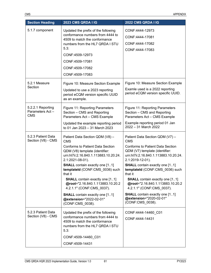| <b>Section Heading</b>                              | 2023 CMS QRDA I IG                                                                                                                                  | 2022 CMS QRDA I IG                                                                                                                     |
|-----------------------------------------------------|-----------------------------------------------------------------------------------------------------------------------------------------------------|----------------------------------------------------------------------------------------------------------------------------------------|
| 5.1.7 component                                     | Updated the prefix of the following<br>conformance numbers from 4444 to<br>4509 to match the conformance<br>numbers from the HL7 QRDA I STU<br>5.3: | CONF:4444-12973                                                                                                                        |
|                                                     |                                                                                                                                                     | CONF:4444-17081                                                                                                                        |
|                                                     |                                                                                                                                                     | CONF:4444-17082                                                                                                                        |
|                                                     |                                                                                                                                                     | CONF:4444-17083                                                                                                                        |
|                                                     | CONF:4509-12973                                                                                                                                     |                                                                                                                                        |
|                                                     | CONF:4509-17081                                                                                                                                     |                                                                                                                                        |
|                                                     | CONF:4509-17082                                                                                                                                     |                                                                                                                                        |
|                                                     | CONF:4509-17083                                                                                                                                     |                                                                                                                                        |
| 5.2.1 Measure                                       | Figure 10: Measure Section Example                                                                                                                  | Figure 10: Measure Section Example                                                                                                     |
| Section                                             | Updated to use a 2023 reporting<br>period eCQM version specific UUID<br>as an example.                                                              | Examle used is a 2022 reporting<br>period eCQM version specific UUID.                                                                  |
| 5.2.2.1 Reporting<br>Parameters Act -<br><b>CMS</b> | Figure 11: Reporting Parameters<br>Section - CMS and Reporting<br>Parameters Act - CMS Example                                                      | Figure 11: Reporting Parameters<br>Section - CMS and Reporting<br>Parameters Act - CMS Example                                         |
|                                                     | Updated the example reporting period<br>to 01 Jan 2023 - 31 March 2023                                                                              | Example reporting period 01 Jan<br>2022 - 31 March 2022                                                                                |
| 5.2.3 Patient Data<br>Section (V8) - CMS            | Patient Data Section QDM (V8) -<br><b>CMS</b>                                                                                                       | Patient Data Section QDM (V7) -<br><b>CMS</b>                                                                                          |
|                                                     | <b>Conforms to Patient Data Section</b><br>QDM (V8) template (identifier:<br>urn:hl7ii:2.16.840.1.113883.10.20.24.<br>2.1:2021-08-01).              | <b>Conforms to Patient Data Section</b><br>QDM (V7) template (identifier:<br>urn:hl7ii:2.16.840.1.113883.10.20.24.<br>2.1:2019-12-01). |
|                                                     | <b>SHALL</b> contain exactly one [11]<br>templateId (CONF:CMS 0036) such<br>that it                                                                 | <b>SHALL</b> contain exactly one [11]<br>templateId (CONF:CMS 0036) such<br>that it                                                    |
|                                                     | <b>SHALL</b> contain exactly one [11]<br>@root="2.16.840.1.113883.10.20.2<br>4.2.1.1" (CONF:CMS 0037).                                              | <b>SHALL</b> contain exactly one [11]<br>@root="2.16.840.1.113883.10.20.2<br>4.2.1.1" (CONF:CMS 0037).                                 |
|                                                     | <b>SHALL</b> contain exactly one [11]<br>@extension="2022-02-01"<br>(CONF:CMS 0038).                                                                | <b>SHALL</b> contain exactly one [11]<br>@extension="2020-02-01"<br>(CONF:CMS_0038).                                                   |
| 5.2.3 Patient Data<br>Section (V8) - CMS            | Updated the prefix of the following<br>conformance numbers from 4444 to<br>4509 to match the conformance<br>numbers from the HL7 QRDA I STU<br>5.3: | CONF:4444-14460 C01                                                                                                                    |
|                                                     |                                                                                                                                                     | CONF:4444-14431                                                                                                                        |
|                                                     | CONF:4509-14460 C01                                                                                                                                 |                                                                                                                                        |
|                                                     | CONF:4509-14431                                                                                                                                     |                                                                                                                                        |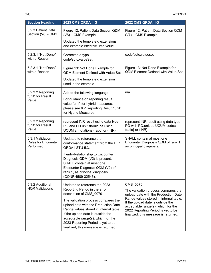| <b>Section Heading</b>                                      | 2023 CMS QRDA I IG                                                                                                                                                                                                                                                             | 2022 CMS QRDA I IG                                                                                                                                                                                                                                                                         |
|-------------------------------------------------------------|--------------------------------------------------------------------------------------------------------------------------------------------------------------------------------------------------------------------------------------------------------------------------------|--------------------------------------------------------------------------------------------------------------------------------------------------------------------------------------------------------------------------------------------------------------------------------------------|
| 5.2.3 Patient Data<br>Section (V8) - CMS                    | Figure 12: Patient Data Section QDM<br>(V8) - CMS Example                                                                                                                                                                                                                      | Figure 12: Patient Data Section QDM<br>$(V7)$ – CMS Example                                                                                                                                                                                                                                |
|                                                             | Updated the templateld extensions<br>and example effectiveTime value                                                                                                                                                                                                           |                                                                                                                                                                                                                                                                                            |
| 5.2.3.1 "Not Done"<br>with a Reason                         | Corrected a typo<br>code/sdtc:valueSet                                                                                                                                                                                                                                         | code/sdtc:valueset                                                                                                                                                                                                                                                                         |
| 5.2.3.1 "Not Done"<br>with a Reason                         | Figure 13: Not Done Example for<br><b>QDM Element Defined with Value Set</b>                                                                                                                                                                                                   | Figure 13: Not Done Example for<br><b>QDM Element Defined with Value Set</b>                                                                                                                                                                                                               |
|                                                             | Updated the templateld extension<br>used in the example                                                                                                                                                                                                                        |                                                                                                                                                                                                                                                                                            |
| 5.2.3.2 Reporting                                           | Added the following language:                                                                                                                                                                                                                                                  | n/a                                                                                                                                                                                                                                                                                        |
| "unit" for Result<br>Value                                  | For guidance on reporting result<br>value "unit" for hybrid measures,<br>please see 6.2 Reporting Result "unit"<br>for Hybrid Measures.                                                                                                                                        |                                                                                                                                                                                                                                                                                            |
| 5.2.3.2 Reporting<br>"unit" for Result<br>Value             | represent INR result using data type<br>PQ and PQ unit should be using<br>UCUM annotations {ratio} or {INR}.                                                                                                                                                                   | represent INR result using data type<br>PQ with PQ.unit as UCUM codes<br>{ratio} or {INR}.                                                                                                                                                                                                 |
| 5.3.1 Validation<br><b>Rules for Encounter</b><br>Performed | Updated to reference the<br>conformance statement from the HL7<br>QRDA I STU 5.3.                                                                                                                                                                                              | SHALL contain at most one<br>Encounter Diagnosis QDM of rank 1,<br>as principal diagnosis.                                                                                                                                                                                                 |
|                                                             | If entryRelationship to Encounter<br>Diagnosis QDM (V2) is present,<br>SHALL contain at most one<br>Encounter Diagnosis QDM (V2) of<br>rank 1, as principal diagnosis<br>(CONF:4509-32546).                                                                                    |                                                                                                                                                                                                                                                                                            |
| 5.3.2 Additional<br><b>HQR Validations</b>                  | Updated to reference the 2023<br>Reporting Period in the error<br>description of CMS 0070                                                                                                                                                                                      | CMS_0070<br>The validation process compares the<br>upload date with the Production Date<br>Range values stored in internal table.<br>If the upload date is outside the<br>acceptable range(s), which for the<br>2022 Reporting Period is yet to be<br>finalized, this message is returned. |
|                                                             | The validation process compares the<br>upload date with the Production Date<br>Range values stored in internal table.<br>If the upload date is outside the<br>acceptable range(s), which for the<br>2023 Reporting Period is yet to be<br>finalized, this message is returned. |                                                                                                                                                                                                                                                                                            |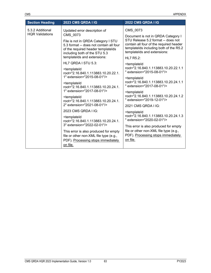| <b>Section Heading</b>                     | 2023 CMS QRDA I IG                                                                                                                                   | 2022 CMS QRDA I IG                                                                                                                                                                           |
|--------------------------------------------|------------------------------------------------------------------------------------------------------------------------------------------------------|----------------------------------------------------------------------------------------------------------------------------------------------------------------------------------------------|
| 5.3.2 Additional<br><b>HQR Validations</b> | Updated error description of<br>CMS 0073                                                                                                             | CMS_0073                                                                                                                                                                                     |
|                                            | File is not in QRDA Category I STU<br>5.3 format -- does not contain all four<br>of the required header templatelds<br>including both of the STU 5.3 | Document is not in QRDA Category I<br>STU Release 5.2 format -- does not<br>contain all four of the required header<br>templatelds including both of the R5.2<br>templatelds and extensions: |
|                                            | templatelds and extensions:<br>HL7 QRDA I STU 5.3:                                                                                                   | <b>HL7 R5.2:</b>                                                                                                                                                                             |
|                                            |                                                                                                                                                      | <templateid<br>root="2.16.840.1.113883.10.20.22.1.1</templateid<br>                                                                                                                          |
|                                            | <templateid<br>root="2.16.840.1.113883.10.20.22.1.<br/>1" extension="2015-08-01"/&gt;</templateid<br>                                                | " extension="2015-08-01"/>                                                                                                                                                                   |
|                                            |                                                                                                                                                      | <templateid< td=""></templateid<>                                                                                                                                                            |
|                                            | <templateid<br>root="2.16.840.1.113883.10.20.24.1.</templateid<br>                                                                                   | root="2.16.840.1.113883.10.20.24.1.1<br>" extension="2017-08-01"/>                                                                                                                           |
|                                            | 1" extension="2017-08-01"/>                                                                                                                          | <templateid< td=""></templateid<>                                                                                                                                                            |
|                                            | <templateid<br>root="2.16.840.1.113883.10.20.24.1.<br/>2" extension="2021-08-01"/&gt;</templateid<br>                                                | root="2.16.840.1.113883.10.20.24.1.2<br>" extension="2019-12-01"/>                                                                                                                           |
|                                            |                                                                                                                                                      | 2021 CMS QRDA I IG:                                                                                                                                                                          |
|                                            | 2023 CMS QRDA I IG:                                                                                                                                  | <templateid< td=""></templateid<>                                                                                                                                                            |
|                                            | <templateid<br>root="2.16.840.1.113883.10.20.24.1.</templateid<br>                                                                                   | root="2.16.840.1.113883.10.20.24.1.3<br>" extension="2020-02-01"/>                                                                                                                           |
|                                            | 3" extension="2022-02-01"/>                                                                                                                          | This error is also produced for empty                                                                                                                                                        |
|                                            | This error is also produced for empty                                                                                                                | file or other non-XML file type (e.g.,<br>PDF). Processing stops immediately                                                                                                                 |
|                                            | file or other non-XML file type (e.g.,<br>PDF). Processing stops immediately                                                                         | on file.                                                                                                                                                                                     |
|                                            | on file.                                                                                                                                             |                                                                                                                                                                                              |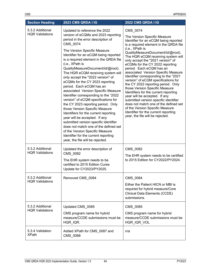| <b>Section Heading</b>                     | <b>2023 CMS QRDA I IG</b>                                                                                                                                                                                                                                                                                                                                                                                                                                                                                                                                                                                                                                                                                                                                                                   | 2022 CMS QRDA I IG                                                                                                                                                                                                                                                                                                                                                                                                                                                                                                                                                                                                                                                                                                                                                                                      |
|--------------------------------------------|---------------------------------------------------------------------------------------------------------------------------------------------------------------------------------------------------------------------------------------------------------------------------------------------------------------------------------------------------------------------------------------------------------------------------------------------------------------------------------------------------------------------------------------------------------------------------------------------------------------------------------------------------------------------------------------------------------------------------------------------------------------------------------------------|---------------------------------------------------------------------------------------------------------------------------------------------------------------------------------------------------------------------------------------------------------------------------------------------------------------------------------------------------------------------------------------------------------------------------------------------------------------------------------------------------------------------------------------------------------------------------------------------------------------------------------------------------------------------------------------------------------------------------------------------------------------------------------------------------------|
| 5.3.2 Additional<br><b>HQR Validations</b> | Updated to reference the 2022<br>version of eCQMs and 2023 reporting<br>period in the error description of<br>CMS 0074                                                                                                                                                                                                                                                                                                                                                                                                                                                                                                                                                                                                                                                                      | CMS_0074<br>The Version Specific Measure<br>Identifier for an eCQM being reported<br>is a required element in the QRDA file<br>(i.e., XPath is<br>QualityMeasureDocument/id/@root).<br>The HQR eCQM receiving system will<br>only accept the "2021 version" of<br>eCQMs for the CY 2022 reporting<br>period. Each eCQM has an<br>associated Version Specific Measure<br>Identifier corresponding to the "2021<br>version" of eCQM specifications for<br>the CY 2022 reporting period. Only<br>those Version Specific Measure<br>Identifiers for the current reporting<br>year will be accepted. If any<br>submitted version specific identifier<br>does not match one of the defined set<br>of the Version Specific Measure<br>Identifier for the current reporting<br>year, the file will be rejected. |
|                                            | The Version Specific Measure<br>Identifier for an eCQM being reported<br>is a required element in the QRDA file<br>(i.e., XPath is<br>QualityMeasureDocument/id/@root).<br>The HQR eCQM receiving system will<br>only accept the "2022 version" of<br>eCQMs for the CY 2023 reporting<br>period. Each eCQM has an<br>associated Version Specific Measure<br>Identifier corresponding to the "2022<br>version" of eCQM specifications for<br>the CY 2023 reporting period. Only<br>those Version Specific Measure<br>Identifiers for the current reporting<br>year will be accepted. If any<br>submitted version specific identifier<br>does not match one of the defined set<br>of the Version Specific Measure<br>Identifier for the current reporting<br>year, the file will be rejected. |                                                                                                                                                                                                                                                                                                                                                                                                                                                                                                                                                                                                                                                                                                                                                                                                         |
| 5.3.2 Additional<br><b>HQR Validations</b> | Updated the error description of<br>CMS_0082                                                                                                                                                                                                                                                                                                                                                                                                                                                                                                                                                                                                                                                                                                                                                | CMS_0082<br>The EHR system needs to be certified                                                                                                                                                                                                                                                                                                                                                                                                                                                                                                                                                                                                                                                                                                                                                        |
|                                            | The EHR system needs to be<br>certified to 2015 Edition Cures<br>Update for CY2023/PY2025.                                                                                                                                                                                                                                                                                                                                                                                                                                                                                                                                                                                                                                                                                                  | to 2015 Edition for CY2022/PY2024.                                                                                                                                                                                                                                                                                                                                                                                                                                                                                                                                                                                                                                                                                                                                                                      |
| 5.3.2 Additional                           | Removed CMS 0084                                                                                                                                                                                                                                                                                                                                                                                                                                                                                                                                                                                                                                                                                                                                                                            | <b>CMS 0084</b>                                                                                                                                                                                                                                                                                                                                                                                                                                                                                                                                                                                                                                                                                                                                                                                         |
| <b>HQR Validations</b>                     |                                                                                                                                                                                                                                                                                                                                                                                                                                                                                                                                                                                                                                                                                                                                                                                             | Either the Patient HICN or MBI is<br>required for hybrid measure/Core<br><b>Clinical Data Elements (CCDE)</b><br>submissions.                                                                                                                                                                                                                                                                                                                                                                                                                                                                                                                                                                                                                                                                           |
| 5.3.2 Additional<br><b>HQR Validations</b> | Updated CMS_0085                                                                                                                                                                                                                                                                                                                                                                                                                                                                                                                                                                                                                                                                                                                                                                            | CMS_0085                                                                                                                                                                                                                                                                                                                                                                                                                                                                                                                                                                                                                                                                                                                                                                                                |
|                                            | CMS program name for hybrid<br>measure/CCDE submissions must be<br>HQR_IQR.                                                                                                                                                                                                                                                                                                                                                                                                                                                                                                                                                                                                                                                                                                                 | CMS program name for hybrid<br>measure/CCDE submissions must be<br>HQR_IQR_VOL                                                                                                                                                                                                                                                                                                                                                                                                                                                                                                                                                                                                                                                                                                                          |
| 5.3.4 Validation<br><b>XPath</b>           | Added XPath for CMS_0087 and<br>CMS_0088                                                                                                                                                                                                                                                                                                                                                                                                                                                                                                                                                                                                                                                                                                                                                    | n/a                                                                                                                                                                                                                                                                                                                                                                                                                                                                                                                                                                                                                                                                                                                                                                                                     |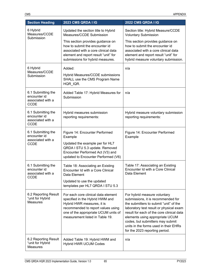| <b>Section Heading</b>                                                 | 2023 CMS QRDA I IG                                                                                                                                                                                                    | 2022 CMS QRDA I IG                                                                                                                                                                                                                                                                                                                                     |
|------------------------------------------------------------------------|-----------------------------------------------------------------------------------------------------------------------------------------------------------------------------------------------------------------------|--------------------------------------------------------------------------------------------------------------------------------------------------------------------------------------------------------------------------------------------------------------------------------------------------------------------------------------------------------|
| 6 Hybrid<br>Measures/CCDE<br>Submission                                | Updated the section title to Hybrid<br>Measures/CCDE Submission                                                                                                                                                       | Section title: Hybrid Measure/CCDE<br><b>Voluntary Submission</b>                                                                                                                                                                                                                                                                                      |
|                                                                        | This section provides guidance on<br>how to submit the encounter id<br>associated with a core clinical data<br>element and report result "unit" for<br>submissions for hybrid measures.                               | This section provides guidance on<br>how to submit the encounter id<br>associated with a core clinical data<br>element and report result "unit" for<br>hybrid measure voluntary submission.                                                                                                                                                            |
| 6 Hybrid<br>Measures/CCDE<br>Submission                                | Added:                                                                                                                                                                                                                | n/a                                                                                                                                                                                                                                                                                                                                                    |
|                                                                        | Hybrid Measures/CCDE submissions<br>SHALL use the CMS Program Name<br>HQR_IQR.                                                                                                                                        |                                                                                                                                                                                                                                                                                                                                                        |
| 6.1 Submitting the<br>encounter id<br>associated with a<br><b>CCDE</b> | Added Table 17: Hybrid Measures for<br>Submission                                                                                                                                                                     | n/a                                                                                                                                                                                                                                                                                                                                                    |
| 6.1 Submitting the<br>encounter id<br>associated with a<br><b>CCDE</b> | Hybrid measures submission<br>reporting requirements:                                                                                                                                                                 | Hybrid measure voluntary submission<br>reporting requirements:                                                                                                                                                                                                                                                                                         |
| 6.1 Submitting the<br>encounter id<br>associated with a<br><b>CCDE</b> | Figure 14: Encounter Performed<br>Example                                                                                                                                                                             | Figure 14: Encounter Performed<br>Example                                                                                                                                                                                                                                                                                                              |
|                                                                        | Updated the example per for HL7<br>QRDA I STU 5.3 update. Removed<br>Encounter Performed Act (V3) and<br>updated to Encounter Performed (V6)                                                                          |                                                                                                                                                                                                                                                                                                                                                        |
| 6.1 Submitting the<br>encounter id<br>associated with a<br><b>CCDE</b> | Table 18: Associating an Existing<br>Encounter Id with a Core Clinical<br>Data Element                                                                                                                                | Table 17: Associating an Existing<br>Encounter Id with a Core Clinical<br>Data Element                                                                                                                                                                                                                                                                 |
|                                                                        | Updated to use the updated<br>templates per HL7 QRDA I STU 5.3                                                                                                                                                        |                                                                                                                                                                                                                                                                                                                                                        |
| 6.2 Reporting Result<br>"unit for Hybrid<br><b>Measures</b>            | For each core clinical data element<br>specified in the Hybrid HWM and<br>Hybrid HWR measures, it is<br>recommended to report values using<br>one of the appropriate UCUM units of<br>measurement listed in Table 19. | For hybrid measure voluntary<br>submissions, it is recommended for<br>the submitters to submit "unit" of the<br>laboratory test result or physical exam<br>result for each of the core clinical data<br>elements using appropriate UCUM<br>codes, but submitters may submit<br>units in the forms used in their EHRs<br>for the 2023 reporting period. |
| 6.2 Reporting Result<br>"unit for Hybrid<br>Measures                   | Added Table 19: Hybrid HWM and<br><b>Hybrid HWR UCUM Codes</b>                                                                                                                                                        | n/a                                                                                                                                                                                                                                                                                                                                                    |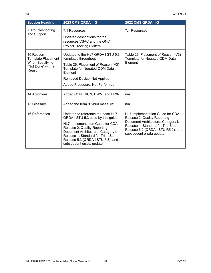| <b>Section Heading</b>                                                                   | <b>2023 CMS QRDA I IG</b>                                                                                                                                                                                                                                                                | <b>2022 CMS QRDA I IG</b>                                                                                                                                                                                      |
|------------------------------------------------------------------------------------------|------------------------------------------------------------------------------------------------------------------------------------------------------------------------------------------------------------------------------------------------------------------------------------------|----------------------------------------------------------------------------------------------------------------------------------------------------------------------------------------------------------------|
| 7 Troubleshooting<br>and Support                                                         | 7.1 Resources                                                                                                                                                                                                                                                                            | 7.1 Resources                                                                                                                                                                                                  |
|                                                                                          | Updated descriptions for the<br>resources VSAC and the ONC<br><b>Project Tracking System</b>                                                                                                                                                                                             |                                                                                                                                                                                                                |
| 10 Reason<br><b>Template Placement</b><br>When Specifying<br>"Not Done" with a<br>Reason | Updated to the HL7 QRDA I STU 5.3<br>templates throughout<br>Table 26: Placement of Reason (V3)                                                                                                                                                                                          | Table 23: Placement of Reason (V3)<br>Template for Negated QDM Data<br>Element                                                                                                                                 |
|                                                                                          | Template for Negated QDM Data<br>Element                                                                                                                                                                                                                                                 |                                                                                                                                                                                                                |
|                                                                                          | Removed Device, Not Applied                                                                                                                                                                                                                                                              |                                                                                                                                                                                                                |
|                                                                                          | Added Procedure, Not Performed                                                                                                                                                                                                                                                           |                                                                                                                                                                                                                |
| 14 Acronyms                                                                              | Added CCN, HICN, HWM, and HWR                                                                                                                                                                                                                                                            | n/a                                                                                                                                                                                                            |
| 15 Glossary                                                                              | Added the term "Hybrid measure"                                                                                                                                                                                                                                                          | n/a                                                                                                                                                                                                            |
| 16 References                                                                            | Updated to reference the base HL7<br>QRDA I STU 5.3 used by this guide.<br>HL7 Implementation Guide for CDA<br>Release 2: Quality Reporting<br>Document Architecture, Category I,<br>Release 1, Standard for Trial Use<br>Release 5.3 (QRDA I STU 5.3), and<br>subsequent errata update. | HL7 Implementation Guide for CDA<br>Release 2: Quality Reporting<br>Document Architecture, Category I,<br>Release 1, Standard for Trial Use<br>Release 5.2 (QRDA I STU R5.2), and<br>subsequent errata update. |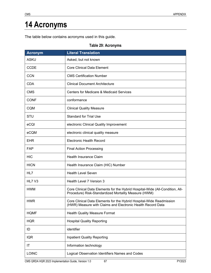## **14 Acronyms**

The table below contains acronyms used in this guide.

## **Table 29: Acronyms**

| <b>Acronym</b> | <b>Literal Translation</b>                                                                                                            |
|----------------|---------------------------------------------------------------------------------------------------------------------------------------|
| <b>ASKU</b>    | Asked, but not known                                                                                                                  |
| <b>CCDE</b>    | <b>Core Clinical Data Element</b>                                                                                                     |
| <b>CCN</b>     | <b>CMS Certification Number</b>                                                                                                       |
| <b>CDA</b>     | <b>Clinical Document Architecture</b>                                                                                                 |
| <b>CMS</b>     | <b>Centers for Medicare &amp; Medicaid Services</b>                                                                                   |
| <b>CONF</b>    | conformance                                                                                                                           |
| <b>CQM</b>     | <b>Clinical Quality Measure</b>                                                                                                       |
| <b>STU</b>     | <b>Standard for Trial Use</b>                                                                                                         |
| eCQI           | electronic Clinical Quality Improvement                                                                                               |
| eCQM           | electronic clinical quality measure                                                                                                   |
| <b>EHR</b>     | <b>Electronic Health Record</b>                                                                                                       |
| <b>FAP</b>     | <b>Final Action Processing</b>                                                                                                        |
| <b>HIC</b>     | <b>Health Insurance Claim</b>                                                                                                         |
| <b>HICN</b>    | Health Insurance Claim (HIC) Number                                                                                                   |
| HL7            | <b>Health Level Seven</b>                                                                                                             |
| HL7 V3         | Health Level 7 Version 3                                                                                                              |
| <b>HWM</b>     | Core Clinical Data Elements for the Hybrid Hospital-Wide (All-Condition, All-<br>Procedure) Risk-Standardized Mortality Measure (HWM) |
| <b>HWR</b>     | Core Clinical Data Elements for the Hybrid Hospital-Wide Readmission<br>(HWR) Measure with Claims and Electronic Health Record Data   |
| <b>HQMF</b>    | <b>Health Quality Measure Format</b>                                                                                                  |
| <b>HQR</b>     | <b>Hospital Quality Reporting</b>                                                                                                     |
| ID             | identifier                                                                                                                            |
| <b>IQR</b>     | <b>Inpatient Quality Reporting</b>                                                                                                    |
| IT             | Information technology                                                                                                                |
| <b>LOINC</b>   | Logical Observation Identifiers Names and Codes                                                                                       |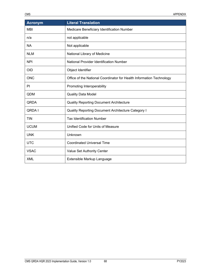| <b>Acronym</b> | <b>Literal Translation</b>                                           |
|----------------|----------------------------------------------------------------------|
| <b>MBI</b>     | Medicare Beneficiary Identification Number                           |
| n/a            | not applicable                                                       |
| <b>NA</b>      | Not applicable                                                       |
| <b>NLM</b>     | National Library of Medicine                                         |
| <b>NPI</b>     | National Provider Identification Number                              |
| <b>OID</b>     | Object Identifier                                                    |
| <b>ONC</b>     | Office of the National Coordinator for Health Information Technology |
| PI             | Promoting Interoperability                                           |
| QDM            | <b>Quality Data Model</b>                                            |
| <b>QRDA</b>    | <b>Quality Reporting Document Architecture</b>                       |
| QRDA I         | <b>Quality Reporting Document Architecture Category I</b>            |
| <b>TIN</b>     | <b>Tax Identification Number</b>                                     |
| <b>UCUM</b>    | Unified Code for Units of Measure                                    |
| <b>UNK</b>     | Unknown                                                              |
| <b>UTC</b>     | <b>Coordinated Universal Time</b>                                    |
| <b>VSAC</b>    | Value Set Authority Center                                           |
| <b>XML</b>     | Extensible Markup Language                                           |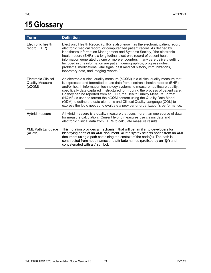## **15 Glossary**

| <b>Term</b>                                             | <b>Definition</b>                                                                                                                                                                                                                                                                                                                                                                                                                                                                                                                                                                                                                                     |
|---------------------------------------------------------|-------------------------------------------------------------------------------------------------------------------------------------------------------------------------------------------------------------------------------------------------------------------------------------------------------------------------------------------------------------------------------------------------------------------------------------------------------------------------------------------------------------------------------------------------------------------------------------------------------------------------------------------------------|
| Electronic health<br>record (EHR)                       | Electronic Health Record (EHR) is also known as the electronic patient record,<br>electronic medical record, or computerized patient record. As defined by<br>Healthcare Information Management and Systems Society, "the electronic<br>health record (EHR) is a longitudinal electronic record of patient health<br>information generated by one or more encounters in any care delivery setting.<br>Included in this information are patient demographics, progress notes,<br>problems, medications, vital signs, past medical history, immunizations,<br>laboratory data, and imaging reports."                                                    |
| Electronic Clinical<br><b>Quality Measure</b><br>(eCQM) | An electronic clinical quality measure (eCQM) is a clinical quality measure that<br>is expressed and formatted to use data from electronic health records (EHR)<br>and/or health information technology systems to measure healthcare quality,<br>specifically data captured in structured form during the process of patient care.<br>So they can be reported from an EHR, the Health Quality Measure Format<br>(HQMF) is used to format the eCQM content using the Quality Data Model<br>(QDM) to define the data elements and Clinical Quality Language (CQL) to<br>express the logic needed to evaluate a provider or organization's performance. |
| Hybrid measure                                          | A hybrid measure is a quality measure that uses more than one source of data<br>for measure calculation. Current hybrid measures use claims data and<br>electronic clinical data from EHRs to calculate measure results.                                                                                                                                                                                                                                                                                                                                                                                                                              |
| <b>XML Path Language</b><br>(XPath)                     | This notation provides a mechanism that will be familiar to developers for<br>identifying parts of an XML document. XPath syntax selects nodes from an XML<br>document using a path containing the context of the node(s). The path is<br>constructed from node names and attribute names (prefixed by an '@') and<br>concatenated with a '/' symbol.                                                                                                                                                                                                                                                                                                 |